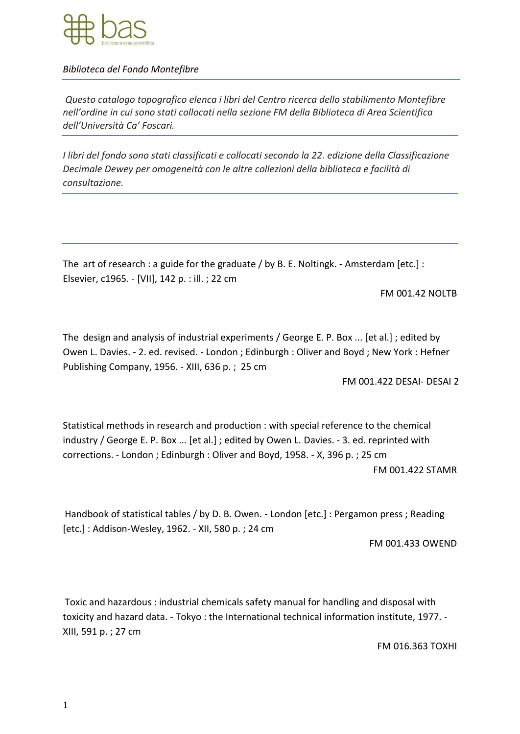

*Biblioteca del Fondo Montefibre*

*Questo catalogo topografico elenca i libri del Centro ricerca dello stabilimento Montefibre nell'ordine in cui sono stati collocati nella sezione FM della Biblioteca di Area Scientifica dell'Università Ca' Foscari.*

*I libri del fondo sono stati classificati e collocati secondo la 22. edizione della Classificazione Decimale Dewey per omogeneità con le altre collezioni della biblioteca e facilità di consultazione.*

The art of research : a guide for the graduate / by B. E. Noltingk. - Amsterdam [etc.] : Elsevier, c1965. - [VII], 142 p. : ill. ; 22 cm

FM 001.42 NOLTB

The design and analysis of industrial experiments / George E. P. Box ... [et al.] ; edited by Owen L. Davies. - 2. ed. revised. - London ; Edinburgh : Oliver and Boyd ; New York : Hefner Publishing Company, 1956. - XIII, 636 p. ; 25 cm

FM 001.422 DESAI- DESAI 2

Statistical methods in research and production : with special reference to the chemical industry / George E. P. Box ... [et al.] ; edited by Owen L. Davies. - 3. ed. reprinted with corrections. - London ; Edinburgh : Oliver and Boyd, 1958. - X, 396 p. ; 25 cm FM 001.422 STAMR

Handbook of statistical tables / by D. B. Owen. - London [etc.] : Pergamon press ; Reading [etc.] : Addison-Wesley, 1962. - XII, 580 p. ; 24 cm

FM 001.433 OWEND

Toxic and hazardous : industrial chemicals safety manual for handling and disposal with toxicity and hazard data. - Tokyo : the International technical information institute, 1977. - XIII, 591 p. ; 27 cm

FM 016.363 TOXHI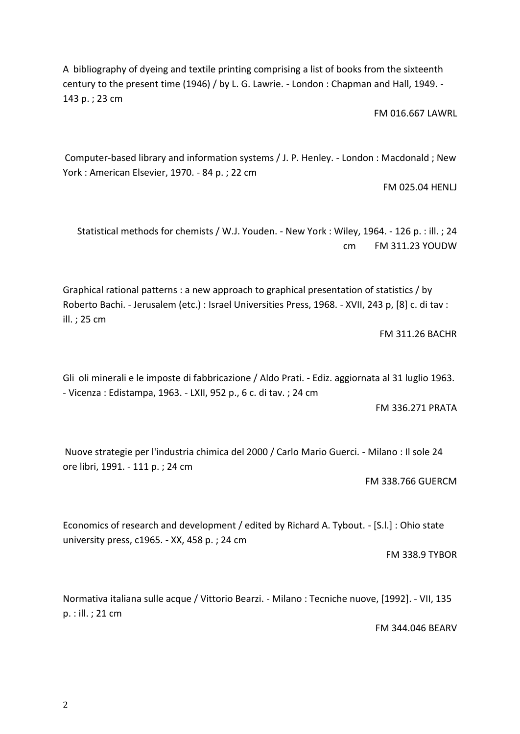A bibliography of dyeing and textile printing comprising a list of books from the sixteenth century to the present time (1946) / by L. G. Lawrie. - London : Chapman and Hall, 1949. - 143 p. ; 23 cm

FM 016.667 LAWRL

Computer-based library and information systems / J. P. Henley. - London : Macdonald ; New York : American Elsevier, 1970. - 84 p. ; 22 cm

FM 025.04 HENLJ

Statistical methods for chemists / W.J. Youden. - New York : Wiley, 1964. - 126 p. : ill. ; 24 cm FM 311.23 YOUDW

Graphical rational patterns : a new approach to graphical presentation of statistics / by Roberto Bachi. - Jerusalem (etc.) : Israel Universities Press, 1968. - XVII, 243 p, [8] c. di tav : ill. ; 25 cm

FM 311.26 BACHR

Gli oli minerali e le imposte di fabbricazione / Aldo Prati. - Ediz. aggiornata al 31 luglio 1963. - Vicenza : Edistampa, 1963. - LXII, 952 p., 6 c. di tav. ; 24 cm

FM 336.271 PRATA

Nuove strategie per l'industria chimica del 2000 / Carlo Mario Guerci. - Milano : Il sole 24 ore libri, 1991. - 111 p. ; 24 cm

FM 338.766 GUERCM

Economics of research and development / edited by Richard A. Tybout. - [S.l.] : Ohio state university press, c1965. - XX, 458 p. ; 24 cm

FM 338.9 TYBOR

Normativa italiana sulle acque / Vittorio Bearzi. - Milano : Tecniche nuove, [1992]. - VII, 135 p. : ill. ; 21 cm

FM 344.046 BEARV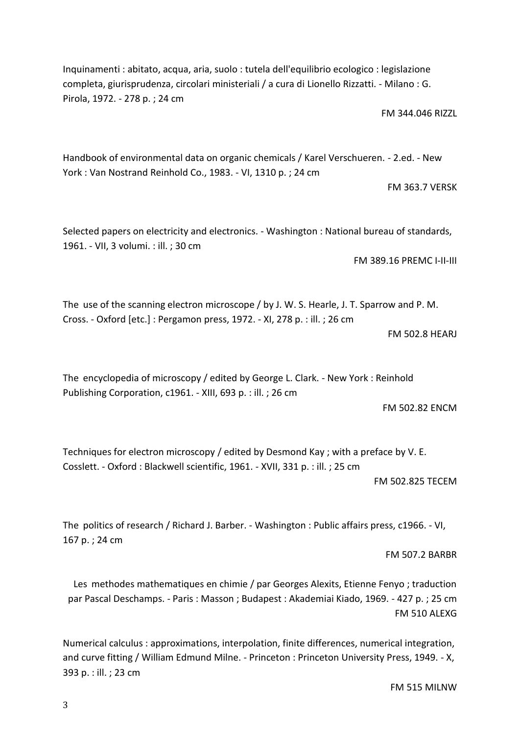3

Inquinamenti : abitato, acqua, aria, suolo : tutela dell'equilibrio ecologico : legislazione completa, giurisprudenza, circolari ministeriali / a cura di Lionello Rizzatti. - Milano : G. Pirola, 1972. - 278 p. ; 24 cm

FM 344.046 RIZZL

Handbook of environmental data on organic chemicals / Karel Verschueren. - 2.ed. - New York : Van Nostrand Reinhold Co., 1983. - VI, 1310 p. ; 24 cm

FM 363.7 VERSK

Selected papers on electricity and electronics. - Washington : National bureau of standards, 1961. - VII, 3 volumi. : ill. ; 30 cm

FM 389.16 PREMC I-II-III

The use of the scanning electron microscope / by J. W. S. Hearle, J. T. Sparrow and P. M. Cross. - Oxford [etc.] : Pergamon press, 1972. - XI, 278 p. : ill. ; 26 cm

FM 502.8 HEARJ

The encyclopedia of microscopy / edited by George L. Clark. - New York : Reinhold Publishing Corporation, c1961. - XIII, 693 p. : ill. ; 26 cm

FM 502.82 ENCM

Techniques for electron microscopy / edited by Desmond Kay ; with a preface by V. E. Cosslett. - Oxford : Blackwell scientific, 1961. - XVII, 331 p. : ill. ; 25 cm

FM 502.825 TECEM

The politics of research / Richard J. Barber. - Washington : Public affairs press, c1966. - VI, 167 p. ; 24 cm

FM 507.2 BARBR

Les methodes mathematiques en chimie / par Georges Alexits, Etienne Fenyo ; traduction par Pascal Deschamps. - Paris : Masson ; Budapest : Akademiai Kiado, 1969. - 427 p. ; 25 cm FM 510 ALEXG

Numerical calculus : approximations, interpolation, finite differences, numerical integration, and curve fitting / William Edmund Milne. - Princeton : Princeton University Press, 1949. - X, 393 p. : ill. ; 23 cm

FM 515 MILNW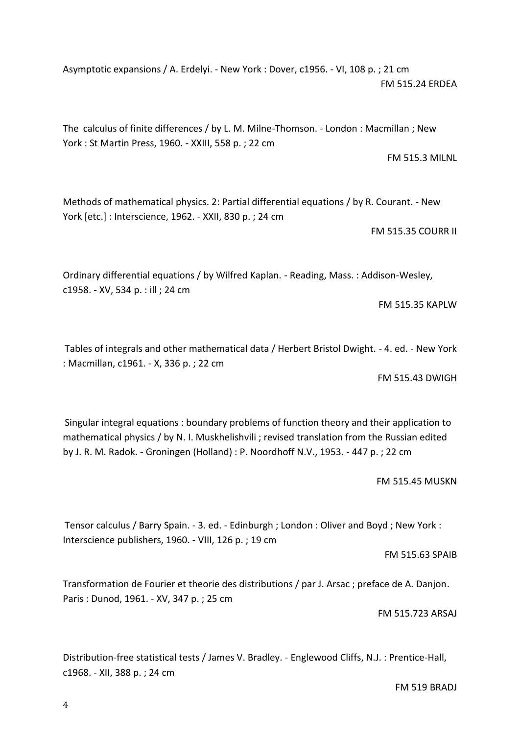Asymptotic expansions / A. Erdelyi. - New York : Dover, c1956. - VI, 108 p. ; 21 cm FM 515.24 ERDEA

The calculus of finite differences / by L. M. Milne-Thomson. - London : Macmillan ; New York : St Martin Press, 1960. - XXIII, 558 p. ; 22 cm

Methods of mathematical physics. 2: Partial differential equations / by R. Courant. - New York [etc.] : Interscience, 1962. - XXII, 830 p. ; 24 cm

FM 515.35 COURR II

FM 515.3 MILNL

Ordinary differential equations / by Wilfred Kaplan. - Reading, Mass. : Addison-Wesley, c1958. - XV, 534 p. : ill ; 24 cm

FM 515.35 KAPLW

Tables of integrals and other mathematical data / Herbert Bristol Dwight. - 4. ed. - New York : Macmillan, c1961. - X, 336 p. ; 22 cm

FM 515.43 DWIGH

Singular integral equations : boundary problems of function theory and their application to mathematical physics / by N. I. Muskhelishvili ; revised translation from the Russian edited by J. R. M. Radok. - Groningen (Holland) : P. Noordhoff N.V., 1953. - 447 p. ; 22 cm

FM 515.45 MUSKN

Tensor calculus / Barry Spain. - 3. ed. - Edinburgh ; London : Oliver and Boyd ; New York : Interscience publishers, 1960. - VIII, 126 p. ; 19 cm

FM 515.63 SPAIB

Transformation de Fourier et theorie des distributions / par J. Arsac ; preface de A. Danjon. Paris : Dunod, 1961. - XV, 347 p. ; 25 cm

FM 515.723 ARSAJ

Distribution-free statistical tests / James V. Bradley. - Englewood Cliffs, N.J. : Prentice-Hall, c1968. - XII, 388 p. ; 24 cm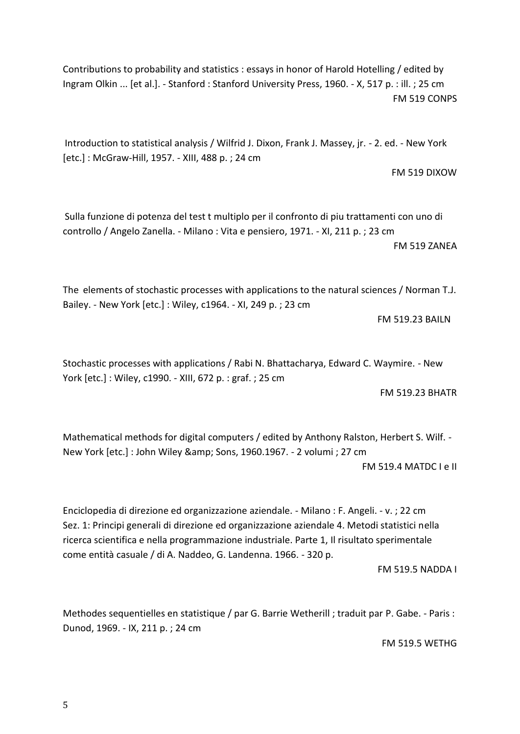Contributions to probability and statistics : essays in honor of Harold Hotelling / edited by Ingram Olkin ... [et al.]. - Stanford : Stanford University Press, 1960. - X, 517 p. : ill. ; 25 cm FM 519 CONPS

Introduction to statistical analysis / Wilfrid J. Dixon, Frank J. Massey, jr. - 2. ed. - New York [etc.] : McGraw-Hill, 1957. - XIII, 488 p. ; 24 cm

FM 519 DIXOW

Sulla funzione di potenza del test t multiplo per il confronto di piu trattamenti con uno di controllo / Angelo Zanella. - Milano : Vita e pensiero, 1971. - XI, 211 p. ; 23 cm FM 519 ZANEA

The elements of stochastic processes with applications to the natural sciences / Norman T.J. Bailey. - New York [etc.] : Wiley, c1964. - XI, 249 p. ; 23 cm

FM 519.23 BAILN

Stochastic processes with applications / Rabi N. Bhattacharya, Edward C. Waymire. - New York [etc.] : Wiley, c1990. - XIII, 672 p. : graf. ; 25 cm

FM 519.23 BHATR

Mathematical methods for digital computers / edited by Anthony Ralston, Herbert S. Wilf. - New York [etc.] : John Wiley & amp; Sons, 1960.1967. - 2 volumi ; 27 cm FM 519.4 MATDC I e II

[Enciclopedia di direzione ed organizzazione aziendale. -](https://polovea.sebina.it/sebina/catalogazione/D_TIT_RET2.do?codFnz=D_TIT_RET2&operation=visualizzaDettaglio&typeCall=INSTANCE&id=119884&idIndice=CFI0024464) Milano : F. Angeli. - v. ; 2[2 cm](https://polovea.sebina.it/sebina/catalogazione/D_TIT_RET2.do?codFnz=D_TIT_RET2&operation=visualizzaDettaglio&typeCall=INSTANCE&id=119884&idIndice=CFI0024464)  Sez. 1: Principi generali di direzione ed organizzazione aziendale 4. Metodi statistici nella ricerca scientifica e nella programmazione industriale. Parte 1, Il risultato sperimentale come entità casuale / di A. Naddeo, G. Landenna. 1966. - 320 p.

FM 519.5 NADDA I

Methodes sequentielles en statistique / par G. Barrie Wetherill ; traduit par P. Gabe. - Paris : Dunod, 1969. - IX, 211 p. ; 24 cm

FM 519.5 WETHG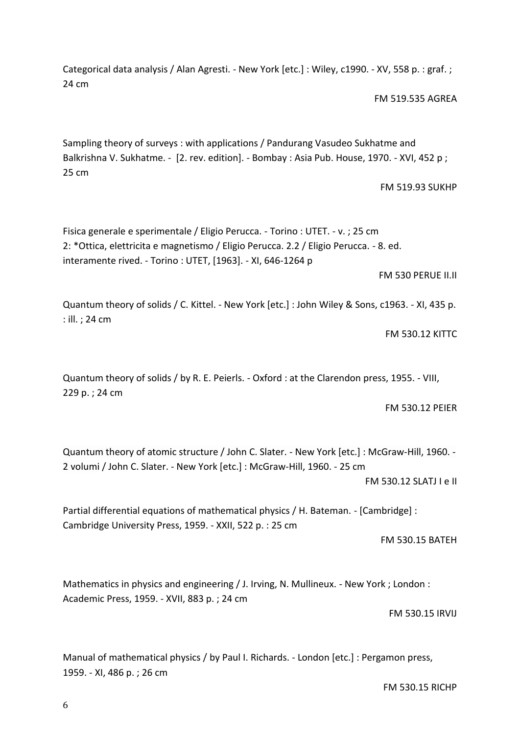Categorical data analysis / Alan Agresti. - New York [etc.]: Wiley, c1990. - XV, 558 p. : graf.; 24 cm

FM 519.535 AGREA

Sampling theory of surveys : with applications / Pandurang Vasudeo Sukhatme and Balkrishna V. Sukhatme. - [2. rev. edition]. - Bombay : Asia Pub. House, 1970. - XVI, 452 p; 25 cm

FM 519.93 SUKHP

[Fisica generale e sperimentale / Eligio Perucca. -](https://polovea.sebina.it/sebina/catalogazione/D_TIT_RET2.do?codFnz=D_TIT_RET2&operation=visualizzaDettaglio&typeCall=INSTANCE&id=136811&idIndice=RAV0217288) Torino : UTET. - v. ; 25 cm 2: \*Ottica, elettricita e magnetismo / Eligio Perucca. 2.2 / Eligio Perucca. - 8. ed. interamente rived. - Torino : UTET, [1963]. - XI, 646-1264 p

FM 530 PERUE II.II

Quantum theory of solids / C. Kittel. - New York [etc.] : John Wiley & Sons, c1963. - XI, 435 p. : ill. ; 24 cm

FM 530.12 KITTC

Quantum theory of solids / by R. E. Peierls. - Oxford : at the Clarendon press, 1955. - VIII, 229 p. ; 24 cm

FM 530.12 PEIER

Quantum theory of atomic structure / John C. Slater. - New York [etc.] : McGraw-Hill, 1960. - 2 volumi / John C. Slater. - New York [etc.] : McGraw-Hill, 1960. - 25 cm

FM 530.12 SLATJ I e II

Partial differential equations of mathematical physics / H. Bateman. - [Cambridge] : Cambridge University Press, 1959. - XXII, 522 p. : 25 cm

FM 530.15 BATEH

Mathematics in physics and engineering / J. Irving, N. Mullineux. - New York ; London : Academic Press, 1959. - XVII, 883 p. ; 24 cm

FM 530.15 IRVIJ

Manual of mathematical physics / by Paul I. Richards. - London [etc.] : Pergamon press, 1959. - XI, 486 p. ; 26 cm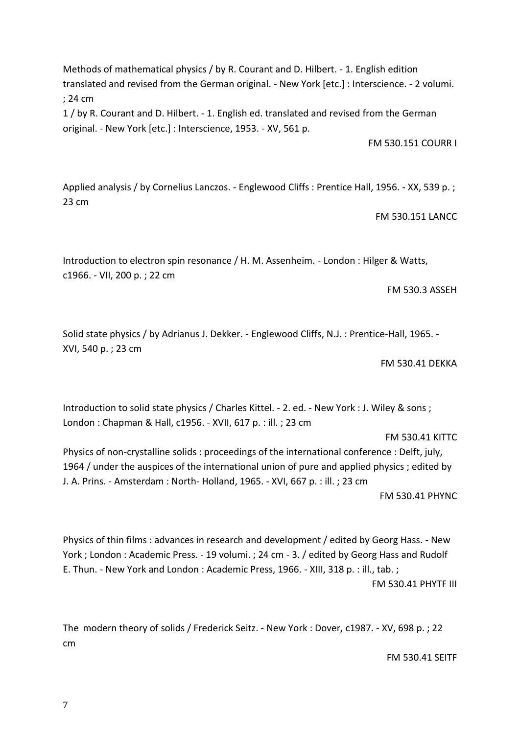Methods of mathematical physics / by R. Courant and D. Hilbert. - 1. English edition translated and revised from the German original. - New York [etc.] : Interscience. - 2 volumi. ; 24 cm

1 / by R. Courant and D. Hilbert. - 1. English ed. translated and revised from the German original. - New York [etc.] : Interscience, 1953. - XV, 561 p.

FM 530.151 COURR I

Applied analysis / by Cornelius Lanczos. - Englewood Cliffs : Prentice Hall, 1956. - XX, 539 p. ; 23 cm

FM 530.151 LANCC

Introduction to electron spin resonance / H. M. Assenheim. - London : Hilger & Watts, c1966. - VII, 200 p. ; 22 cm

FM 530.3 ASSEH

Solid state physics / by Adrianus J. Dekker. - Englewood Cliffs, N.J. : Prentice-Hall, 1965. - XVI, 540 p. ; 23 cm

#### FM 530.41 DEKKA

Introduction to solid state physics / Charles Kittel. - 2. ed. - New York : J. Wiley & sons ; London : Chapman & Hall, c1956. - XVII, 617 p. : ill. ; 23 cm

#### FM 530.41 KITTC

Physics of non-crystalline solids : proceedings of the international conference : Delft, july, 1964 / under the auspices of the international union of pure and applied physics ; edited by J. A. Prins. - Amsterdam : North- Holland, 1965. - XVI, 667 p. : ill. ; 23 cm

FM 530.41 PHYNC

[Physics of thin films : advances in research and development / edited by Georg Hass. -](https://polovea.sebina.it/sebina/catalogazione/D_TIT_RET2.do?codFnz=D_TIT_RET2&operation=visualizzaDettaglio&typeCall=INSTANCE&id=2107671&idIndice=RMS0058577) New [York ; London : Academic Press. -](https://polovea.sebina.it/sebina/catalogazione/D_TIT_RET2.do?codFnz=D_TIT_RET2&operation=visualizzaDettaglio&typeCall=INSTANCE&id=2107671&idIndice=RMS0058577) 19 volumi. ; 24 cm - 3. / edited by Georg Hass and Rudolf E. Thun. - New York and London : Academic Press, 1966. - XIII, 318 p. : ill., tab. ; FM 530.41 PHYTF III

The modern theory of solids / Frederick Seitz. - New York : Dover, c1987. - XV, 698 p. ; 22 cm

FM 530.41 SEITF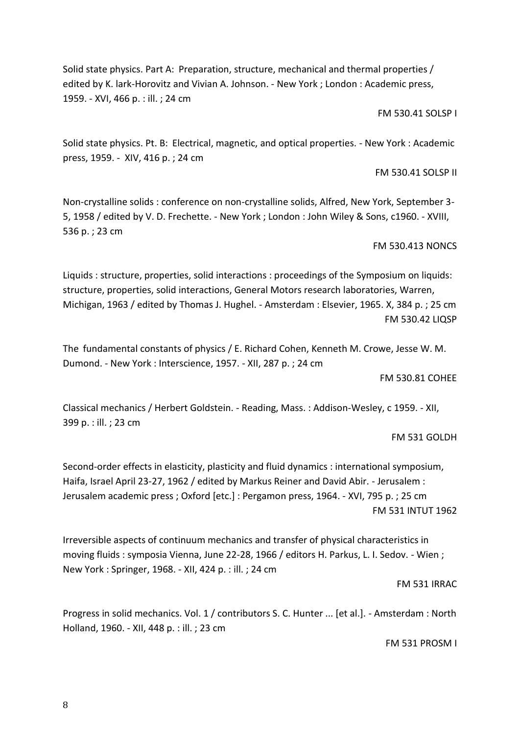8

Solid state physics. Part A: Preparation, structure, mechanical and thermal properties / edited by K. lark-Horovitz and Vivian A. Johnson. - New York ; London : Academic press, 1959. - XVI, 466 p. : ill. ; 24 cm

FM 530.41 SOLSP I

Solid state physics. Pt. B: Electrical, magnetic, and optical properties. - New York : Academic press, 1959. - XIV, 416 p. ; 24 cm

FM 530.41 SOLSP II

Non-crystalline solids : conference on non-crystalline solids, Alfred, New York, September 3- 5, 1958 / edited by V. D. Frechette. - New York ; London : John Wiley & Sons, c1960. - XVIII, 536 p. ; 23 cm

FM 530.413 NONCS

Liquids : structure, properties, solid interactions : proceedings of the Symposium on liquids: structure, properties, solid interactions, General Motors research laboratories, Warren, Michigan, 1963 / edited by Thomas J. Hughel. - Amsterdam : Elsevier, 1965. X, 384 p. ; 25 cm FM 530.42 LIQSP

The fundamental constants of physics / E. Richard Cohen, Kenneth M. Crowe, Jesse W. M. Dumond. - New York : Interscience, 1957. - XII, 287 p. ; 24 cm

FM 530.81 COHEE

Classical mechanics / Herbert Goldstein. - Reading, Mass. : Addison-Wesley, c 1959. - XII, 399 p. : ill. ; 23 cm

FM 531 GOLDH

Second-order effects in elasticity, plasticity and fluid dynamics : international symposium, Haifa, Israel April 23-27, 1962 / edited by Markus Reiner and David Abir. - Jerusalem : Jerusalem academic press ; Oxford [etc.] : Pergamon press, 1964. - XVI, 795 p. ; 25 cm FM 531 INTUT 1962

Irreversible aspects of continuum mechanics and transfer of physical characteristics in moving fluids : symposia Vienna, June 22-28, 1966 / editors H. Parkus, L. I. Sedov. - Wien ; New York : Springer, 1968. - XII, 424 p. : ill. ; 24 cm

#### FM 531 IRRAC

Progress in solid mechanics. Vol. 1 / contributors S. C. Hunter ... [et al.]. - Amsterdam : North Holland, 1960. - XII, 448 p. : ill. ; 23 cm

FM 531 PROSM I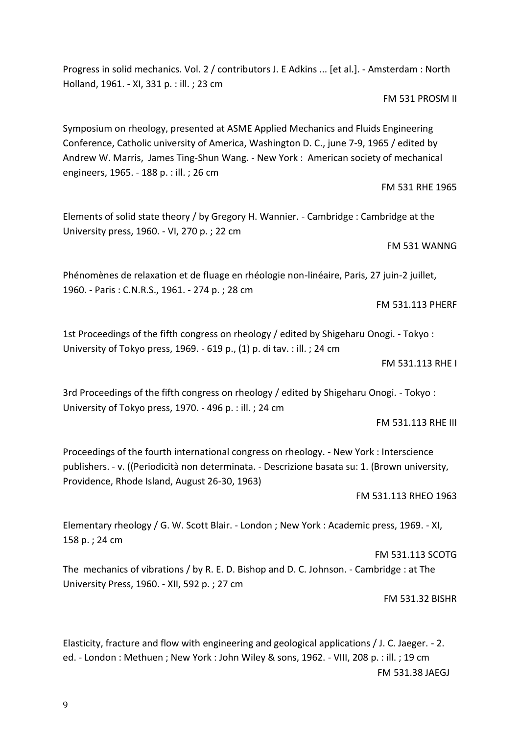Progress in solid mechanics. Vol. 2 / contributors J. E Adkins ... [et al.]. - Amsterdam : North Holland, 1961. - XI, 331 p. : ill. ; 23 cm

FM 531 PROSM II

Symposium on rheology, presented at ASME Applied Mechanics and Fluids Engineering Conference, Catholic university of America, Washington D. C., june 7-9, 1965 / edited by Andrew W. Marris, James Ting-Shun Wang. - New York : American society of mechanical engineers, 1965. - 188 p. : ill. ; 26 cm

FM 531 RHE 1965

Elements of solid state theory / by Gregory H. Wannier. - Cambridge : Cambridge at the University press, 1960. - VI, 270 p. ; 22 cm

FM 531 WANNG

Phénomènes de relaxation et de fluage en rhéologie non-linéaire, Paris, 27 juin-2 juillet, 1960. - Paris : C.N.R.S., 1961. - 274 p. ; 28 cm

FM 531.113 PHERF

1st Proceedings of the fifth congress on rheology / edited by Shigeharu Onogi. - Tokyo : University of Tokyo press, 1969. - 619 p., (1) p. di tav. : ill. ; 24 cm

FM 531.113 RHE I

3rd Proceedings of the fifth congress on rheology / edited by Shigeharu Onogi. - Tokyo : University of Tokyo press, 1970. - 496 p. : ill. ; 24 cm

FM 531.113 RHE III

Proceedings of the fourth international congress on rheology. - New York : Interscience publishers. - v. ((Periodicità non determinata. - Descrizione basata su: 1. (Brown university, Providence, Rhode Island, August 26-30, 1963)

FM 531.113 RHEO 1963

Elementary rheology / G. W. Scott Blair. - London ; New York : Academic press, 1969. - XI, 158 p. ; 24 cm

The mechanics of vibrations / by R. E. D. Bishop and D. C. Johnson. - Cambridge : at The University Press, 1960. - XII, 592 p. ; 27 cm

FM 531.32 BISHR

FM 531.113 SCOTG

Elasticity, fracture and flow with engineering and geological applications / J. C. Jaeger. - 2. ed. - London : Methuen ; New York : John Wiley & sons, 1962. - VIII, 208 p. : ill. ; 19 cm FM 531.38 JAEGJ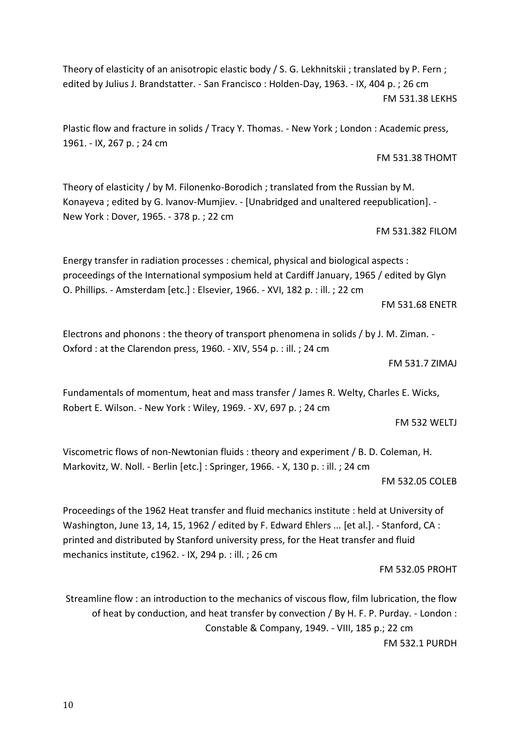Theory of elasticity of an anisotropic elastic body / S. G. Lekhnitskii ; translated by P. Fern ; edited by Julius J. Brandstatter. - San Francisco : Holden-Day, 1963. - IX, 404 p. ; 26 cm FM 531.38 LEKHS

Plastic flow and fracture in solids / Tracy Y. Thomas. - New York ; London : Academic press, 1961. - IX, 267 p. ; 24 cm

Theory of elasticity / by M. Filonenko-Borodich ; translated from the Russian by M. Konayeva ; edited by G. Ivanov-Mumjiev. - [Unabridged and unaltered reepublication]. - New York : Dover, 1965. - 378 p. ; 22 cm

#### FM 531.382 FILOM

FM 531.38 THOMT

Energy transfer in radiation processes : chemical, physical and biological aspects : proceedings of the International symposium held at Cardiff January, 1965 / edited by Glyn O. Phillips. - Amsterdam [etc.] : Elsevier, 1966. - XVI, 182 p. : ill. ; 22 cm

FM 531.68 ENETR

Electrons and phonons : the theory of transport phenomena in solids / by J. M. Ziman. - Oxford : at the Clarendon press, 1960. - XIV, 554 p. : ill. ; 24 cm

FM 531.7 ZIMAJ

Fundamentals of momentum, heat and mass transfer / James R. Welty, Charles E. Wicks, Robert E. Wilson. - New York : Wiley, 1969. - XV, 697 p. ; 24 cm

FM 532 WELTJ

Viscometric flows of non-Newtonian fluids : theory and experiment / B. D. Coleman, H. Markovitz, W. Noll. - Berlin [etc.] : Springer, 1966. - X, 130 p. : ill. ; 24 cm

FM 532.05 COLEB

Proceedings of the 1962 Heat transfer and fluid mechanics institute : held at University of Washington, June 13, 14, 15, 1962 / edited by F. Edward Ehlers ... [et al.]. - Stanford, CA : printed and distributed by Stanford university press, for the Heat transfer and fluid mechanics institute, c1962. - IX, 294 p. : ill. ; 26 cm

FM 532.05 PROHT

Streamline flow : an introduction to the mechanics of viscous flow, film lubrication, the flow of heat by conduction, and heat transfer by convection / By H. F. P. Purday. - London : Constable & Company, 1949. - VIII, 185 p.; 22 cm FM 532.1 PURDH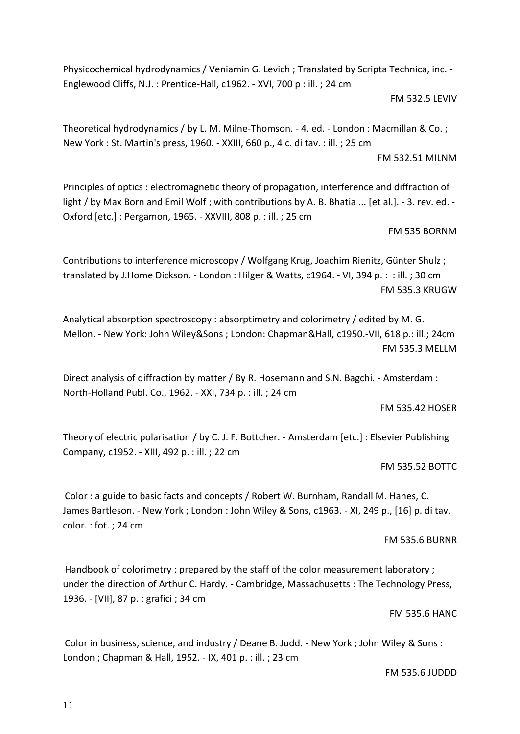Physicochemical hydrodynamics / Veniamin G. Levich ; Translated by Scripta Technica, inc. - Englewood Cliffs, N.J. : Prentice-Hall, c1962. - XVI, 700 p : ill. ; 24 cm

FM 532.5 LEVIV

Theoretical hydrodynamics / by L. M. Milne-Thomson. - 4. ed. - London : Macmillan & Co. ; New York : St. Martin's press, 1960. - XXIII, 660 p., 4 c. di tav. : ill. ; 25 cm

FM 532.51 MILNM

Principles of optics : electromagnetic theory of propagation, interference and diffraction of light / by Max Born and Emil Wolf; with contributions by A. B. Bhatia ... [et al.]. - 3. rev. ed. -Oxford [etc.] : Pergamon, 1965. - XXVIII, 808 p. : ill. ; 25 cm

FM 535 BORNM

Contributions to interference microscopy / Wolfgang Krug, Joachim Rienitz, Günter Shulz ; translated by J.Home Dickson. - London : Hilger & Watts, c1964. - VI, 394 p. : : ill. ; 30 cm FM 535.3 KRUGW

Analytical absorption spectroscopy : absorptimetry and colorimetry / edited by M. G. Mellon. - New York: John Wiley&Sons ; London: Chapman&Hall, c1950.-VII, 618 p.: ill.; 24cm FM 535.3 MELLM

Direct analysis of diffraction by matter / By R. Hosemann and S.N. Bagchi. - Amsterdam : North-Holland Publ. Co., 1962. - XXI, 734 p. : ill. ; 24 cm

FM 535.42 HOSER

Theory of electric polarisation / by C. J. F. Bottcher. - Amsterdam [etc.] : Elsevier Publishing Company, c1952. - XIII, 492 p. : ill. ; 22 cm

FM 535.52 BOTTC

Color : a guide to basic facts and concepts / Robert W. Burnham, Randall M. Hanes, C. James Bartleson. - New York ; London : John Wiley & Sons, c1963. - XI, 249 p., [16] p. di tav. color. : fot. ; 24 cm

FM 535.6 BURNR

Handbook of colorimetry : prepared by the staff of the color measurement laboratory ; under the direction of Arthur C. Hardy. - Cambridge, Massachusetts : The Technology Press, 1936. - [VII], 87 p. : grafici ; 34 cm

FM 535.6 HANC

Color in business, science, and industry / Deane B. Judd. - New York ; John Wiley & Sons : London ; Chapman & Hall, 1952. - IX, 401 p. : ill. ; 23 cm

FM 535.6 JUDDD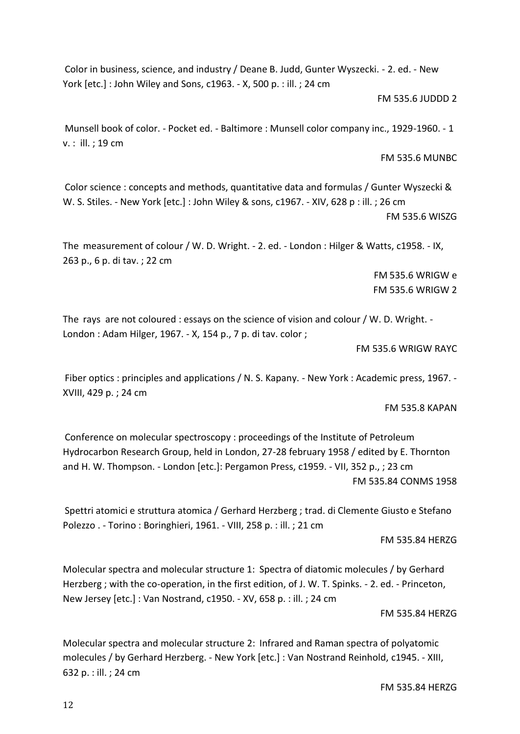Color in business, science, and industry / Deane B. Judd, Gunter Wyszecki. - 2. ed. - New York [etc.] : John Wiley and Sons, c1963. - X, 500 p. : ill. ; 24 cm

#### FM 535.6 JUDDD 2

Munsell book of color. - Pocket ed. - Baltimore : Munsell color company inc., 1929-1960. - 1 v. : ill. ; 19 cm

FM 535.6 MUNBC

Color science : concepts and methods, quantitative data and formulas / Gunter Wyszecki & W. S. Stiles. - New York [etc.] : John Wiley & sons, c1967. - XIV, 628 p : ill. ; 26 cm FM 535.6 WISZG

The measurement of colour / W. D. Wright. - 2. ed. - London : Hilger & Watts, c1958. - IX, 263 p., 6 p. di tav. ; 22 cm

> FM 535.6 WRIGW e FM 535.6 WRIGW 2

The rays are not coloured : essays on the science of vision and colour / W. D. Wright. - London : Adam Hilger, 1967. - X, 154 p., 7 p. di tav. color ;

FM 535.6 WRIGW RAYC

Fiber optics : principles and applications / N. S. Kapany. - New York : Academic press, 1967. - XVIII, 429 p. ; 24 cm

FM 535.8 KAPAN

Conference on molecular spectroscopy : proceedings of the Institute of Petroleum Hydrocarbon Research Group, held in London, 27-28 february 1958 / edited by E. Thornton and H. W. Thompson. - London [etc.]: Pergamon Press, c1959. - VII, 352 p., ; 23 cm FM 535.84 CONMS 1958

Spettri atomici e struttura atomica / Gerhard Herzberg ; trad. di Clemente Giusto e Stefano Polezzo . - Torino : Boringhieri, 1961. - VIII, 258 p. : ill. ; 21 cm

FM 535.84 HERZG

Molecular spectra and molecular structure 1: Spectra of diatomic molecules / by Gerhard Herzberg ; with the co-operation, in the first edition, of J. W. T. Spinks. - 2. ed. - Princeton, New Jersey [etc.] : Van Nostrand, c1950. - XV, 658 p. : ill. ; 24 cm

FM 535.84 HERZG

Molecular spectra and molecular structure 2: Infrared and Raman spectra of polyatomic molecules / by Gerhard Herzberg. - New York [etc.] : Van Nostrand Reinhold, c1945. - XIII, 632 p. : ill. ; 24 cm

FM 535.84 HERZG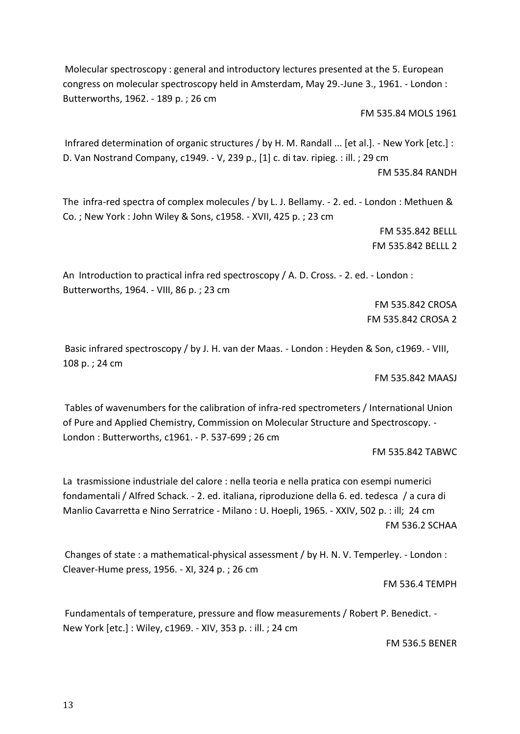Molecular spectroscopy : general and introductory lectures presented at the 5. European congress on molecular spectroscopy held in Amsterdam, May 29.-June 3., 1961. - London : Butterworths, 1962. - 189 p. ; 26 cm

FM 535.84 MOLS 1961

Infrared determination of organic structures / by H. M. Randall ... [et al.]. - New York [etc.] : D. Van Nostrand Company, c1949. - V, 239 p., [1] c. di tav. ripieg. : ill. ; 29 cm FM 535.84 RANDH

The infra-red spectra of complex molecules / by L. J. Bellamy. - 2. ed. - London : Methuen & Co. ; New York : John Wiley & Sons, c1958. - XVII, 425 p. ; 23 cm

> FM 535.842 BELLL FM 535.842 BELLL 2

An Introduction to practical infra red spectroscopy / A. D. Cross. - 2. ed. - London : Butterworths, 1964. - VIII, 86 p. ; 23 cm

> FM 535.842 CROSA FM 535.842 CROSA 2

Basic infrared spectroscopy / by J. H. van der Maas. - London : Heyden & Son, c1969. - VIII, 108 p. ; 24 cm

FM 535.842 MAASJ

Tables of wavenumbers for the calibration of infra-red spectrometers / International Union of Pure and Applied Chemistry, Commission on Molecular Structure and Spectroscopy. - London : Butterworths, c1961. - P. 537-699 ; 26 cm

FM 535.842 TABWC

La trasmissione industriale del calore : nella teoria e nella pratica con esempi numerici fondamentali / Alfred Schack. - 2. ed. italiana, riproduzione della 6. ed. tedesca / a cura di Manlio Cavarretta e Nino Serratrice - Milano : U. Hoepli, 1965. - XXIV, 502 p. : ill; 24 cm FM 536.2 SCHAA

Changes of state : a mathematical-physical assessment / by H. N. V. Temperley. - London : Cleaver-Hume press, 1956. - XI, 324 p. ; 26 cm

FM 536.4 TEMPH

Fundamentals of temperature, pressure and flow measurements / Robert P. Benedict. - New York [etc.] : Wiley, c1969. - XIV, 353 p. : ill. ; 24 cm

FM 536.5 BENER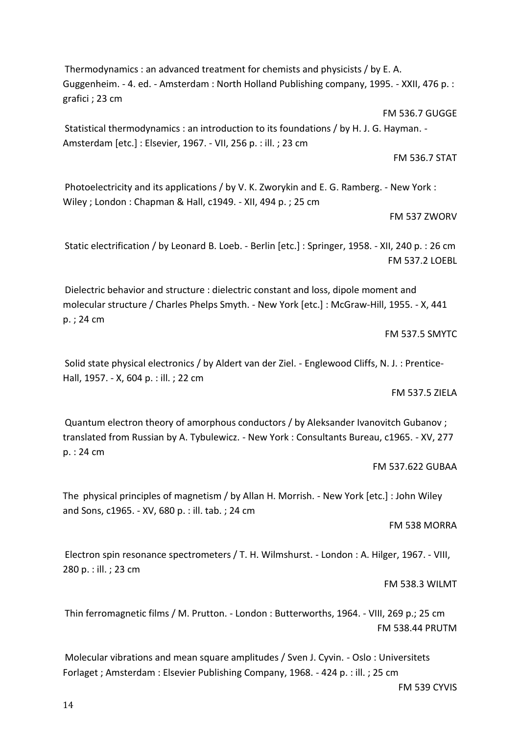Thermodynamics : an advanced treatment for chemists and physicists / by E. A. Guggenheim. - 4. ed. - Amsterdam : North Holland Publishing company, 1995. - XXII, 476 p. : grafici ; 23 cm

FM 536.7 GUGGE Statistical thermodynamics : an introduction to its foundations / by H. J. G. Hayman. - Amsterdam [etc.] : Elsevier, 1967. - VII, 256 p. : ill. ; 23 cm

FM 536.7 STAT

Photoelectricity and its applications / by V. K. Zworykin and E. G. Ramberg. - New York : Wiley ; London : Chapman & Hall, c1949. - XII, 494 p. ; 25 cm

### FM 537 ZWORV

Static electrification / by Leonard B. Loeb. - Berlin [etc.] : Springer, 1958. - XII, 240 p. : 26 cm FM 537.2 LOEBL

Dielectric behavior and structure : dielectric constant and loss, dipole moment and molecular structure / Charles Phelps Smyth. - New York [etc.] : McGraw-Hill, 1955. - X, 441 p. ; 24 cm

FM 537.5 SMYTC

Solid state physical electronics / by Aldert van der Ziel. - Englewood Cliffs, N. J. : Prentice-Hall, 1957. - X, 604 p. : ill. ; 22 cm

#### FM 537.5 ZIELA

Quantum electron theory of amorphous conductors / by Aleksander Ivanovitch Gubanov ; translated from Russian by A. Tybulewicz. - New York : Consultants Bureau, c1965. - XV, 277 p. : 24 cm

# FM 537.622 GUBAA

The physical principles of magnetism / by Allan H. Morrish. - New York [etc.] : John Wiley and Sons, c1965. - XV, 680 p. : ill. tab. ; 24 cm

#### FM 538 MORRA

Electron spin resonance spectrometers / T. H. Wilmshurst. - London : A. Hilger, 1967. - VIII, 280 p. : ill. ; 23 cm

# FM 538.3 WILMT

Thin ferromagnetic films / M. Prutton. - London : Butterworths, 1964. - VIII, 269 p.; 25 cm FM 538.44 PRUTM

Molecular vibrations and mean square amplitudes / Sven J. Cyvin. - Oslo : Universitets Forlaget ; Amsterdam : Elsevier Publishing Company, 1968. - 424 p. : ill. ; 25 cm

FM 539 CYVIS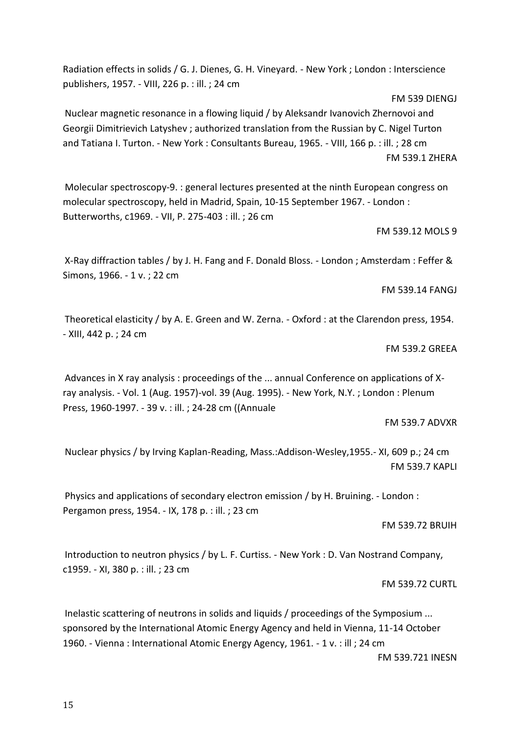Radiation effects in solids / G. J. Dienes, G. H. Vineyard. - New York ; London : Interscience publishers, 1957. - VIII, 226 p. : ill. ; 24 cm

Nuclear magnetic resonance in a flowing liquid / by Aleksandr Ivanovich Zhernovoi and Georgii Dimitrievich Latyshev ; authorized translation from the Russian by C. Nigel Turton and Tatiana I. Turton. - New York : Consultants Bureau, 1965. - VIII, 166 p. : ill. ; 28 cm FM 539.1 ZHERA

Molecular spectroscopy-9. : general lectures presented at the ninth European congress on molecular spectroscopy, held in Madrid, Spain, 10-15 September 1967. - London : Butterworths, c1969. - VII, P. 275-403 : ill. ; 26 cm

FM 539.12 MOLS 9

FM 539 DIENGJ

X-Ray diffraction tables / by J. H. Fang and F. Donald Bloss. - London ; Amsterdam : Feffer & Simons, 1966. - 1 v. ; 22 cm

FM 539.14 FANGJ

Theoretical elasticity / by A. E. Green and W. Zerna. - Oxford : at the Clarendon press, 1954. - XIII, 442 p. ; 24 cm

FM 539.2 GREEA

Advances in X ray analysis : proceedings of the ... annual Conference on applications of Xray analysis. - Vol. 1 (Aug. 1957)-vol. 39 (Aug. 1995). - New York, N.Y. ; London : Plenum Press, 1960-1997. - 39 v. : ill. ; 24-28 cm ((Annuale

FM 539.7 ADVXR

Nuclear physics / by Irving Kaplan-Reading, Mass.:Addison-Wesley,1955.- XI, 609 p.; 24 cm FM 539.7 KAPLI

Physics and applications of secondary electron emission / by H. Bruining. - London : Pergamon press, 1954. - IX, 178 p. : ill. ; 23 cm

FM 539.72 BRUIH

Introduction to neutron physics / by L. F. Curtiss. - New York : D. Van Nostrand Company, c1959. - XI, 380 p. : ill. ; 23 cm

FM 539.72 CURTL

Inelastic scattering of neutrons in solids and liquids / proceedings of the Symposium ... sponsored by the International Atomic Energy Agency and held in Vienna, 11-14 October 1960. - Vienna : International Atomic Energy Agency, 1961. - 1 v. : ill ; 24 cm FM 539.721 INESN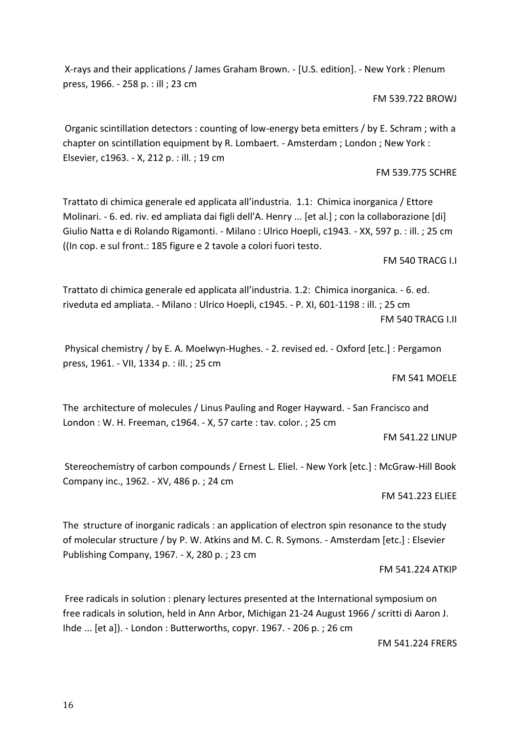16

X-rays and their applications / James Graham Brown. - [U.S. edition]. - New York : Plenum press, 1966. - 258 p. : ill ; 23 cm

FM 539.722 BROWJ

Organic scintillation detectors : counting of low-energy beta emitters / by E. Schram ; with a chapter on scintillation equipment by R. Lombaert. - Amsterdam ; London ; New York : Elsevier, c1963. - X, 212 p. : ill. ; 19 cm

FM 539.775 SCHRE

Trattato di chimica generale ed applicata all'industria. 1.1: Chimica inorganica / Ettore Molinari. - 6. ed. riv. ed ampliata dai figli dell'A. Henry ... [et al.] ; con la collaborazione [di] Giulio Natta e di Rolando Rigamonti. - Milano : Ulrico Hoepli, c1943. - XX, 597 p. : ill. ; 25 cm ((In cop. e sul front.: 185 figure e 2 tavole a colori fuori testo.

FM 540 TRACG I.I

Trattato di chimica generale ed applicata all'industria. 1.2: Chimica inorganica. - 6. ed. riveduta ed ampliata. - Milano : Ulrico Hoepli, c1945. - P. XI, 601-1198 : ill. ; 25 cm FM 540 TRACG I.II

Physical chemistry / by E. A. Moelwyn-Hughes. - 2. revised ed. - Oxford [etc.] : Pergamon press, 1961. - VII, 1334 p. : ill. ; 25 cm

FM 541 MOELE

The architecture of molecules / Linus Pauling and Roger Hayward. - San Francisco and London : W. H. Freeman, c1964. - X, 57 carte : tav. color. ; 25 cm

FM 541.22 LINUP

Stereochemistry of carbon compounds / Ernest L. Eliel. - New York [etc.] : McGraw-Hill Book Company inc., 1962. - XV, 486 p. ; 24 cm

FM 541.223 ELIEE

The structure of inorganic radicals : an application of electron spin resonance to the study of molecular structure / by P. W. Atkins and M. C. R. Symons. - Amsterdam [etc.] : Elsevier Publishing Company, 1967. - X, 280 p. ; 23 cm

FM 541.224 ATKIP

Free radicals in solution : plenary lectures presented at the International symposium on free radicals in solution, held in Ann Arbor, Michigan 21-24 August 1966 / scritti di Aaron J. Ihde ... [et a]). - London : Butterworths, copyr. 1967. - 206 p. ; 26 cm

FM 541.224 FRERS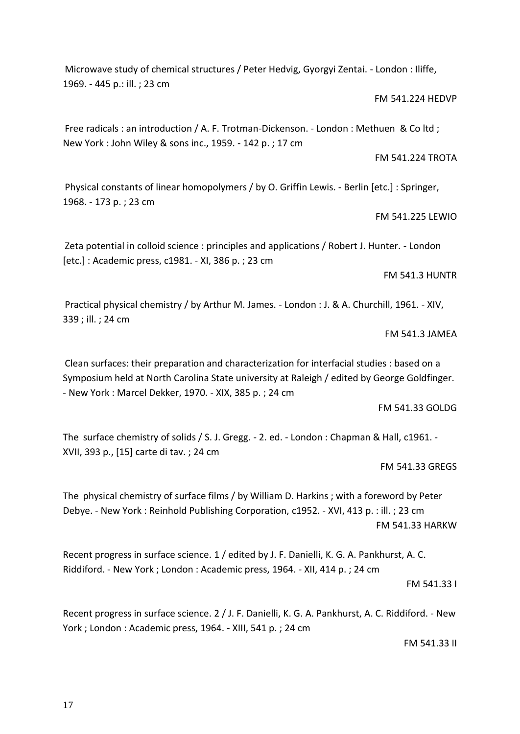Microwave study of chemical structures / Peter Hedvig, Gyorgyi Zentai. - London : Iliffe, 1969. - 445 p.: ill. ; 23 cm

FM 541.224 HEDVP

FM 541.224 TROTA

FM 541.225 LEWIO

Free radicals : an introduction / A. F. Trotman-Dickenson. - London : Methuen & Co ltd ; New York : John Wiley & sons inc., 1959. - 142 p. ; 17 cm

Physical constants of linear homopolymers / by O. Griffin Lewis. - Berlin [etc.] : Springer, 1968. - 173 p. ; 23 cm

Zeta potential in colloid science : principles and applications / Robert J. Hunter. - London [etc.] : Academic press, c1981. - XI, 386 p. ; 23 cm

Practical physical chemistry / by Arthur M. James. - London : J. & A. Churchill, 1961. - XIV, 339 ; ill. ; 24 cm

FM 541.3 JAMEA

FM 541.3 HUNTR

Clean surfaces: their preparation and characterization for interfacial studies : based on a Symposium held at North Carolina State university at Raleigh / edited by George Goldfinger. - New York : Marcel Dekker, 1970. - XIX, 385 p. ; 24 cm

FM 541.33 GOLDG

The surface chemistry of solids / S. J. Gregg. - 2. ed. - London : Chapman & Hall, c1961. - XVII, 393 p., [15] carte di tav. ; 24 cm

FM 541.33 GREGS

The physical chemistry of surface films / by William D. Harkins ; with a foreword by Peter Debye. - New York : Reinhold Publishing Corporation, c1952. - XVI, 413 p. : ill. ; 23 cm FM 541.33 HARKW

Recent progress in surface science. 1 / edited by J. F. Danielli, K. G. A. Pankhurst, A. C. Riddiford. - New York ; London : Academic press, 1964. - XII, 414 p. ; 24 cm

FM 541.33 I

Recent progress in surface science. 2 / J. F. Danielli, K. G. A. Pankhurst, A. C. Riddiford. - New York ; London : Academic press, 1964. - XIII, 541 p. ; 24 cm

FM 541.33 II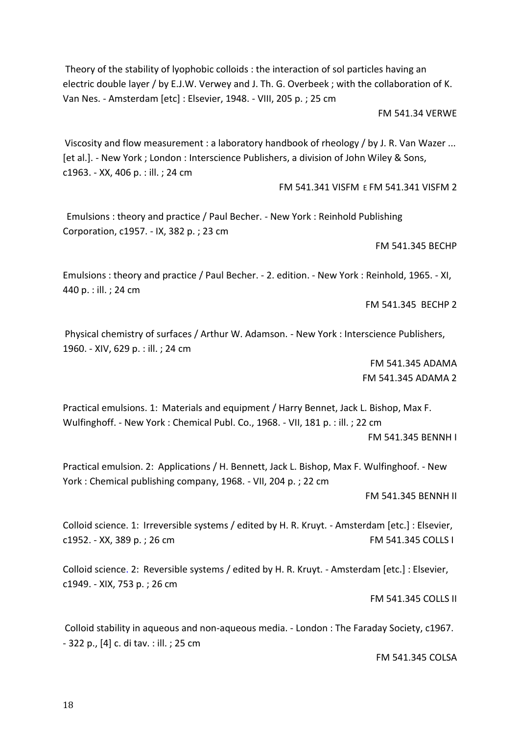Theory of the stability of lyophobic colloids : the interaction of sol particles having an electric double layer / by E.J.W. Verwey and J. Th. G. Overbeek ; with the collaboration of K. Van Nes. - Amsterdam [etc] : Elsevier, 1948. - VIII, 205 p. ; 25 cm

FM 541.34 VERWE

Viscosity and flow measurement : a laboratory handbook of rheology / by J. R. Van Wazer ... [et al.]. - New York ; London : Interscience Publishers, a division of John Wiley & Sons, c1963. - XX, 406 p. : ill. ; 24 cm

FM 541.341 VISFM E FM 541.341 VISFM 2

Emulsions : theory and practice / Paul Becher. - New York : Reinhold Publishing Corporation, c1957. - IX, 382 p. ; 23 cm

FM 541.345 BECHP

Emulsions : theory and practice / Paul Becher. - 2. edition. - New York : Reinhold, 1965. - XI, 440 p. : ill. ; 24 cm

FM 541.345 BECHP 2

Physical chemistry of surfaces / Arthur W. Adamson. - New York : Interscience Publishers, 1960. - XIV, 629 p. : ill. ; 24 cm

> FM 541.345 ADAMA FM 541.345 ADAMA 2

Practical emulsions. 1: Materials and equipment / Harry Bennet, Jack L. Bishop, Max F. Wulfinghoff. - New York : Chemical Publ. Co., 1968. - VII, 181 p. : ill. ; 22 cm FM 541.345 BENNH I

Practical emulsion. 2: Applications / H. Bennett, Jack L. Bishop, Max F. Wulfinghoof. - New York : Chemical publishing company, 1968. - VII, 204 p. ; 22 cm

FM 541.345 BENNH II

Colloid science. 1: Irreversible systems / edited by H. R. Kruyt. - Amsterdam [etc.] : Elsevier, c1952. - XX, 389 p. ; 26 cm extending the state of FM 541.345 COLLS I

Colloid science. 2: Reversible systems / edited by H. R. Kruyt. - Amsterdam [etc.] : Elsevier, c1949. - XIX, 753 p. ; 26 cm

FM 541.345 COLLS II

Colloid stability in aqueous and non-aqueous media. - London : The Faraday Society, c1967. - 322 p., [4] c. di tav. : ill. ; 25 cm

FM 541.345 COLSA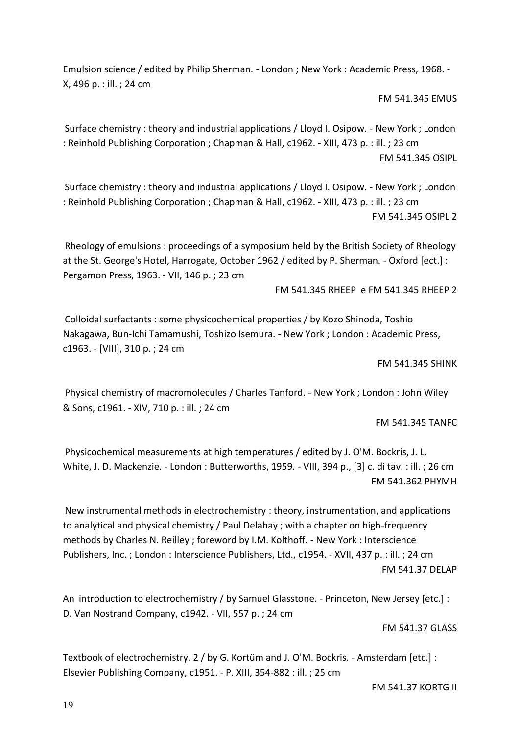Emulsion science / edited by Philip Sherman. - London ; New York : Academic Press, 1968. - X, 496 p. : ill. ; 24 cm

FM 541.345 EMUS

Surface chemistry : theory and industrial applications / Lloyd I. Osipow. - New York ; London : Reinhold Publishing Corporation ; Chapman & Hall, c1962. - XIII, 473 p. : ill. ; 23 cm FM 541.345 OSIPL

Surface chemistry : theory and industrial applications / Lloyd I. Osipow. - New York ; London : Reinhold Publishing Corporation ; Chapman & Hall, c1962. - XIII, 473 p. : ill. ; 23 cm FM 541.345 OSIPL 2

Rheology of emulsions : proceedings of a symposium held by the British Society of Rheology at the St. George's Hotel, Harrogate, October 1962 / edited by P. Sherman. - Oxford [ect.] : Pergamon Press, 1963. - VII, 146 p. ; 23 cm

FM 541.345 RHEEP e FM 541.345 RHEEP 2

Colloidal surfactants : some physicochemical properties / by Kozo Shinoda, Toshio Nakagawa, Bun-Ichi Tamamushi, Toshizo Isemura. - New York ; London : Academic Press, c1963. - [VIII], 310 p. ; 24 cm

FM 541.345 SHINK

Physical chemistry of macromolecules / Charles Tanford. - New York ; London : John Wiley & Sons, c1961. - XIV, 710 p. : ill. ; 24 cm

FM 541.345 TANFC

Physicochemical measurements at high temperatures / edited by J. O'M. Bockris, J. L. White, J. D. Mackenzie. - London : Butterworths, 1959. - VIII, 394 p., [3] c. di tav. : ill. ; 26 cm FM 541.362 PHYMH

New instrumental methods in electrochemistry : theory, instrumentation, and applications to analytical and physical chemistry / Paul Delahay ; with a chapter on high-frequency methods by Charles N. Reilley ; foreword by I.M. Kolthoff. - New York : Interscience Publishers, Inc. ; London : Interscience Publishers, Ltd., c1954. - XVII, 437 p. : ill. ; 24 cm FM 541.37 DELAP

An introduction to electrochemistry / by Samuel Glasstone. - Princeton, New Jersey [etc.] : D. Van Nostrand Company, c1942. - VII, 557 p. ; 24 cm

FM 541.37 GLASS

Textbook of electrochemistry. 2 / by G. Kortüm and J. O'M. Bockris. - Amsterdam [etc.] : Elsevier Publishing Company, c1951. - P. XIII, 354-882 : ill. ; 25 cm

FM 541.37 KORTG II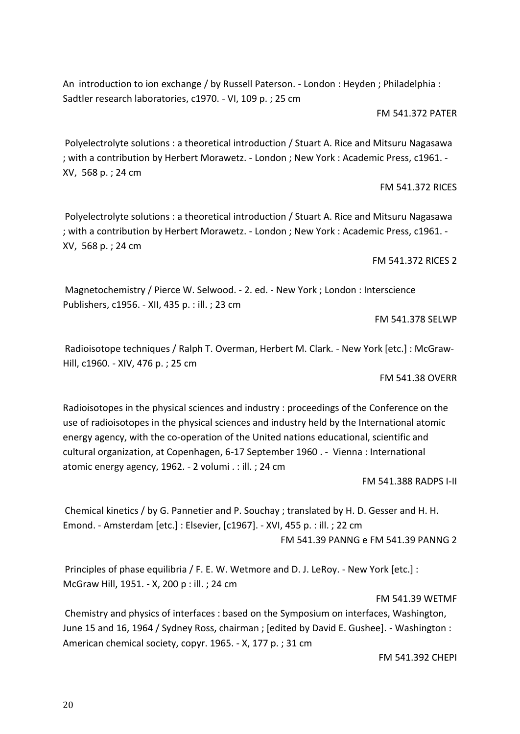An introduction to ion exchange / by Russell Paterson. - London : Heyden ; Philadelphia : Sadtler research laboratories, c1970. - VI, 109 p. ; 25 cm

FM 541.372 PATER

Polyelectrolyte solutions : a theoretical introduction / Stuart A. Rice and Mitsuru Nagasawa ; with a contribution by Herbert Morawetz. - London ; New York : Academic Press, c1961. - XV, 568 p. ; 24 cm

FM 541.372 RICES

Polyelectrolyte solutions : a theoretical introduction / Stuart A. Rice and Mitsuru Nagasawa ; with a contribution by Herbert Morawetz. - London ; New York : Academic Press, c1961. - XV, 568 p. ; 24 cm

FM 541.372 RICES 2

Magnetochemistry / Pierce W. Selwood. - 2. ed. - New York ; London : Interscience Publishers, c1956. - XII, 435 p. : ill. ; 23 cm

FM 541.378 SELWP

Radioisotope techniques / Ralph T. Overman, Herbert M. Clark. - New York [etc.] : McGraw-Hill, c1960. - XIV, 476 p. ; 25 cm

FM 541.38 OVERR

Radioisotopes in the physical sciences and industry : proceedings of the Conference on the use of radioisotopes in the physical sciences and industry held by the International atomic energy agency, with the co-operation of the United nations educational, scientific and cultural organization, at Copenhagen, 6-17 September 1960 . - Vienna : International atomic energy agency, 1962. - 2 volumi . : ill. ; 24 cm

FM 541.388 RADPS I-II

Chemical kinetics / by G. Pannetier and P. Souchay ; translated by H. D. Gesser and H. H. Emond. - Amsterdam [etc.] : Elsevier, [c1967]. - XVI, 455 p. : ill. ; 22 cm FM 541.39 PANNG e FM 541.39 PANNG 2

Principles of phase equilibria / F. E. W. Wetmore and D. J. LeRoy. - New York [etc.] : McGraw Hill, 1951. - X, 200 p : ill. ; 24 cm

FM 541.39 WETMF

Chemistry and physics of interfaces : based on the Symposium on interfaces, Washington, June 15 and 16, 1964 / Sydney Ross, chairman ; [edited by David E. Gushee]. - Washington : American chemical society, copyr. 1965. - X, 177 p. ; 31 cm

FM 541.392 CHEPI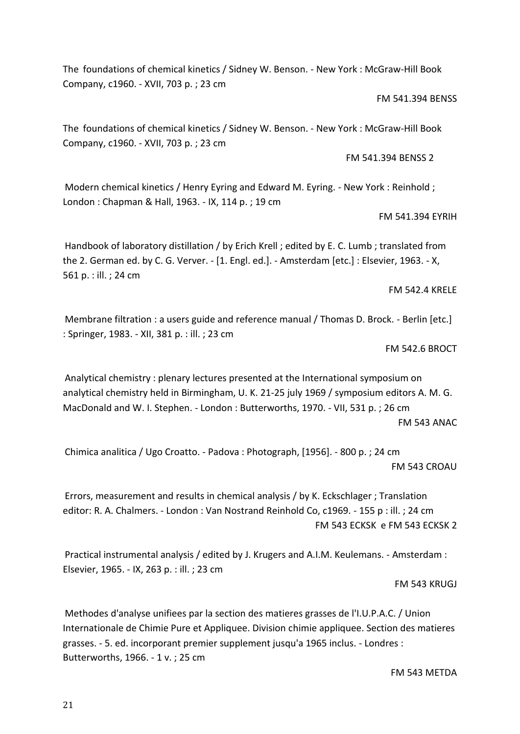FM 543 METDA

21

The foundations of chemical kinetics / Sidney W. Benson. - New York : McGraw-Hill Book Company, c1960. - XVII, 703 p. ; 23 cm

#### FM 541.394 BENSS

The foundations of chemical kinetics / Sidney W. Benson. - New York : McGraw-Hill Book Company, c1960. - XVII, 703 p. ; 23 cm

FM 541.394 BENSS 2

Modern chemical kinetics / Henry Eyring and Edward M. Eyring. - New York : Reinhold ; London : Chapman & Hall, 1963. - IX, 114 p. ; 19 cm

### FM 541.394 EYRIH

Handbook of laboratory distillation / by Erich Krell ; edited by E. C. Lumb ; translated from the 2. German ed. by C. G. Verver. - [1. Engl. ed.]. - Amsterdam [etc.] : Elsevier, 1963. - X, 561 p. : ill. ; 24 cm

#### FM 542.4 KRELE

Membrane filtration : a users guide and reference manual / Thomas D. Brock. - Berlin [etc.] : Springer, 1983. - XII, 381 p. : ill. ; 23 cm

FM 542.6 BROCT

Analytical chemistry : plenary lectures presented at the International symposium on analytical chemistry held in Birmingham, U. K. 21-25 july 1969 / symposium editors A. M. G. MacDonald and W. I. Stephen. - London : Butterworths, 1970. - VII, 531 p. ; 26 cm FM 543 ANAC

Chimica analitica / Ugo Croatto. - Padova : Photograph, [1956]. - 800 p. ; 24 cm FM 543 CROAU

Errors, measurement and results in chemical analysis / by K. Eckschlager ; Translation editor: R. A. Chalmers. - London : Van Nostrand Reinhold Co, c1969. - 155 p : ill. ; 24 cm FM 543 ECKSK e FM 543 ECKSK 2

Practical instrumental analysis / edited by J. Krugers and A.I.M. Keulemans. - Amsterdam : Elsevier, 1965. - IX, 263 p. : ill. ; 23 cm

FM 543 KRUGJ

Methodes d'analyse unifiees par la section des matieres grasses de l'I.U.P.A.C. / Union Internationale de Chimie Pure et Appliquee. Division chimie appliquee. Section des matieres grasses. - 5. ed. incorporant premier supplement jusqu'a 1965 inclus. - Londres : Butterworths, 1966. - 1 v. ; 25 cm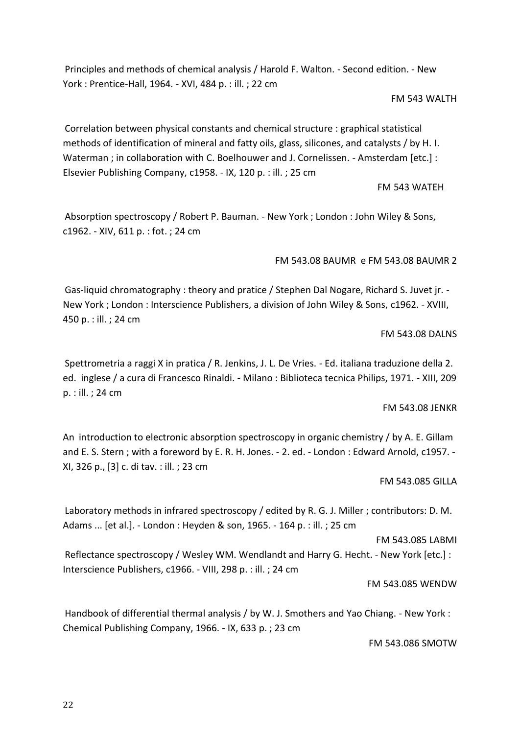Principles and methods of chemical analysis / Harold F. Walton. - Second edition. - New York : Prentice-Hall, 1964. - XVI, 484 p. : ill. ; 22 cm

### FM 543 WALTH

Correlation between physical constants and chemical structure : graphical statistical methods of identification of mineral and fatty oils, glass, silicones, and catalysts / by H. I. Waterman ; in collaboration with C. Boelhouwer and J. Cornelissen. - Amsterdam [etc.] : Elsevier Publishing Company, c1958. - IX, 120 p. : ill. ; 25 cm

FM 543 WATEH

Absorption spectroscopy / Robert P. Bauman. - New York ; London : John Wiley & Sons, c1962. - XIV, 611 p. : fot. ; 24 cm

FM 543.08 BAUMR e FM 543.08 BAUMR 2

Gas-liquid chromatography : theory and pratice / Stephen Dal Nogare, Richard S. Juvet jr. - New York ; London : Interscience Publishers, a division of John Wiley & Sons, c1962. - XVIII, 450 p. : ill. ; 24 cm

# FM 543.08 DALNS

Spettrometria a raggi X in pratica / R. Jenkins, J. L. De Vries. - Ed. italiana traduzione della 2. ed. inglese / a cura di Francesco Rinaldi. - Milano : Biblioteca tecnica Philips, 1971. - XIII, 209 p. : ill. ; 24 cm

# FM 543.08 JENKR

An introduction to electronic absorption spectroscopy in organic chemistry / by A. E. Gillam and E. S. Stern ; with a foreword by E. R. H. Jones. - 2. ed. - London : Edward Arnold, c1957. - XI, 326 p., [3] c. di tav. : ill. ; 23 cm

# FM 543.085 GILLA

Laboratory methods in infrared spectroscopy / edited by R. G. J. Miller ; contributors: D. M. Adams ... [et al.]. - London : Heyden & son, 1965. - 164 p. : ill. ; 25 cm

FM 543.085 LABMI

Reflectance spectroscopy / Wesley WM. Wendlandt and Harry G. Hecht. - New York [etc.] : Interscience Publishers, c1966. - VIII, 298 p. : ill. ; 24 cm

# FM 543.085 WENDW

Handbook of differential thermal analysis / by W. J. Smothers and Yao Chiang. - New York : Chemical Publishing Company, 1966. - IX, 633 p. ; 23 cm

FM 543.086 SMOTW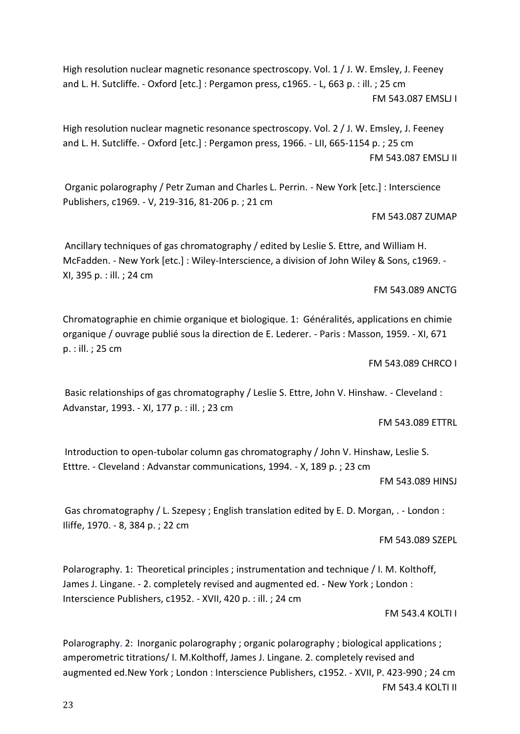High resolution nuclear magnetic resonance spectroscopy. Vol. 1 / J. W. Emsley, J. Feeney and L. H. Sutcliffe. - Oxford [etc.] : Pergamon press, c1965. - L, 663 p. : ill. ; 25 cm FM 543.087 EMSLJ I

High resolution nuclear magnetic resonance spectroscopy. Vol. 2 / J. W. Emsley, J. Feeney and L. H. Sutcliffe. - Oxford [etc.] : Pergamon press, 1966. - LII, 665-1154 p. ; 25 cm FM 543.087 EMSLJ II

Organic polarography / Petr Zuman and Charles L. Perrin. - New York [etc.] : Interscience Publishers, c1969. - V, 219-316, 81-206 p. ; 21 cm

FM 543.087 ZUMAP

Ancillary techniques of gas chromatography / edited by Leslie S. Ettre, and William H. McFadden. - New York [etc.] : Wiley-Interscience, a division of John Wiley & Sons, c1969. - XI, 395 p. : ill. ; 24 cm

FM 543.089 ANCTG

Chromatographie en chimie organique et biologique. 1: Généralités, applications en chimie organique / ouvrage publié sous la direction de E. Lederer. - Paris : Masson, 1959. - XI, 671 p. : ill. ; 25 cm

FM 543.089 CHRCO I

Basic relationships of gas chromatography / Leslie S. Ettre, John V. Hinshaw. - Cleveland : Advanstar, 1993. - XI, 177 p. : ill. ; 23 cm

FM 543.089 ETTRL

Introduction to open-tubolar column gas chromatography / John V. Hinshaw, Leslie S. Etttre. - Cleveland : Advanstar communications, 1994. - X, 189 p. ; 23 cm

FM 543.089 HINSJ

Gas chromatography / L. Szepesy ; English translation edited by E. D. Morgan, . - London : Iliffe, 1970. - 8, 384 p. ; 22 cm

FM 543.089 SZEPL

Polarography. 1: Theoretical principles ; instrumentation and technique / I. M. Kolthoff, James J. Lingane. - 2. completely revised and augmented ed. - New York ; London : Interscience Publishers, c1952. - XVII, 420 p. : ill. ; 24 cm

FM 543.4 KOLTI I

Polarography. 2: Inorganic polarography ; organic polarography ; biological applications ; amperometric titrations/ I. M.Kolthoff, James J. Lingane. 2. completely revised and augmented ed.New York ; London : Interscience Publishers, c1952. - XVII, P. 423-990 ; 24 cm FM 543.4 KOLTI II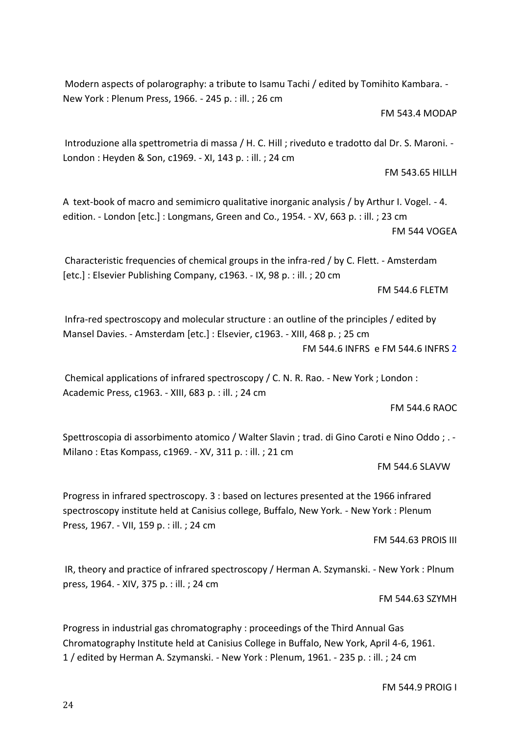Modern aspects of polarography: a tribute to Isamu Tachi / edited by Tomihito Kambara. - New York : Plenum Press, 1966. - 245 p. : ill. ; 26 cm

FM 543.4 MODAP

Introduzione alla spettrometria di massa / H. C. Hill ; riveduto e tradotto dal Dr. S. Maroni. - London : Heyden & Son, c1969. - XI, 143 p. : ill. ; 24 cm

FM 543.65 HILLH

A text-book of macro and semimicro qualitative inorganic analysis / by Arthur I. Vogel. - 4. edition. - London [etc.] : Longmans, Green and Co., 1954. - XV, 663 p. : ill. ; 23 cm FM 544 VOGEA

Characteristic frequencies of chemical groups in the infra-red / by C. Flett. - Amsterdam [etc.] : Elsevier Publishing Company, c1963. - IX, 98 p. : ill. ; 20 cm

FM 544.6 FLETM

Infra-red spectroscopy and molecular structure : an outline of the principles / edited by Mansel Davies. - Amsterdam [etc.] : Elsevier, c1963. - XIII, 468 p. ; 25 cm FM 544.6 INFRS e FM 544.6 INFRS 2

Chemical applications of infrared spectroscopy / C. N. R. Rao. - New York ; London : Academic Press, c1963. - XIII, 683 p. : ill. ; 24 cm

FM 544.6 RAOC

Spettroscopia di assorbimento atomico / Walter Slavin ; trad. di Gino Caroti e Nino Oddo ; . - Milano : Etas Kompass, c1969. - XV, 311 p. : ill. ; 21 cm

FM 544.6 SLAVW

Progress in infrared spectroscopy. 3 : based on lectures presented at the 1966 infrared spectroscopy institute held at Canisius college, Buffalo, New York. - New York : Plenum Press, 1967. - VII, 159 p. : ill. ; 24 cm

FM 544.63 PROIS III

IR, theory and practice of infrared spectroscopy / Herman A. Szymanski. - New York : Plnum press, 1964. - XIV, 375 p. : ill. ; 24 cm

FM 544.63 SZYMH

Progress in industrial gas chromatography : proceedings of the Third Annual Gas Chromatography Institute held at Canisius College in Buffalo, New York, April 4-6, 1961. 1 / edited by Herman A. Szymanski. - New York : Plenum, 1961. - 235 p. : ill. ; 24 cm

FM 544.9 PROIG I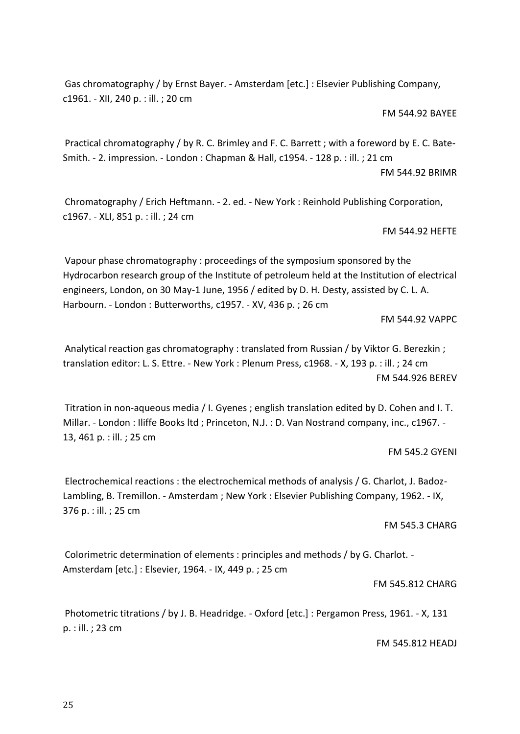Gas chromatography / by Ernst Bayer. - Amsterdam [etc.] : Elsevier Publishing Company, c1961. - XII, 240 p. : ill. ; 20 cm

FM 544.92 BAYEE

Practical chromatography / by R. C. Brimley and F. C. Barrett ; with a foreword by E. C. Bate-Smith. - 2. impression. - London : Chapman & Hall, c1954. - 128 p. : ill. ; 21 cm FM 544.92 BRIMR

Chromatography / Erich Heftmann. - 2. ed. - New York : Reinhold Publishing Corporation, c1967. - XLI, 851 p. : ill. ; 24 cm

FM 544.92 HEFTE

Vapour phase chromatography : proceedings of the symposium sponsored by the Hydrocarbon research group of the Institute of petroleum held at the Institution of electrical engineers, London, on 30 May-1 June, 1956 / edited by D. H. Desty, assisted by C. L. A. Harbourn. - London : Butterworths, c1957. - XV, 436 p. ; 26 cm

FM 544.92 VAPPC

Analytical reaction gas chromatography : translated from Russian / by Viktor G. Berezkin ; translation editor: L. S. Ettre. - New York : Plenum Press, c1968. - X, 193 p. : ill. ; 24 cm FM 544.926 BEREV

Titration in non-aqueous media / I. Gyenes ; english translation edited by D. Cohen and I. T. Millar. - London : Iliffe Books ltd ; Princeton, N.J. : D. Van Nostrand company, inc., c1967. - 13, 461 p. : ill. ; 25 cm

FM 545.2 GYENI

Electrochemical reactions : the electrochemical methods of analysis / G. Charlot, J. Badoz-Lambling, B. Tremillon. - Amsterdam ; New York : Elsevier Publishing Company, 1962. - IX, 376 p. : ill. ; 25 cm

FM 545.3 CHARG

Colorimetric determination of elements : principles and methods / by G. Charlot. - Amsterdam [etc.] : Elsevier, 1964. - IX, 449 p. ; 25 cm

#### FM 545.812 CHARG

Photometric titrations / by J. B. Headridge. - Oxford [etc.] : Pergamon Press, 1961. - X, 131 p. : ill. ; 23 cm

FM 545.812 HEADJ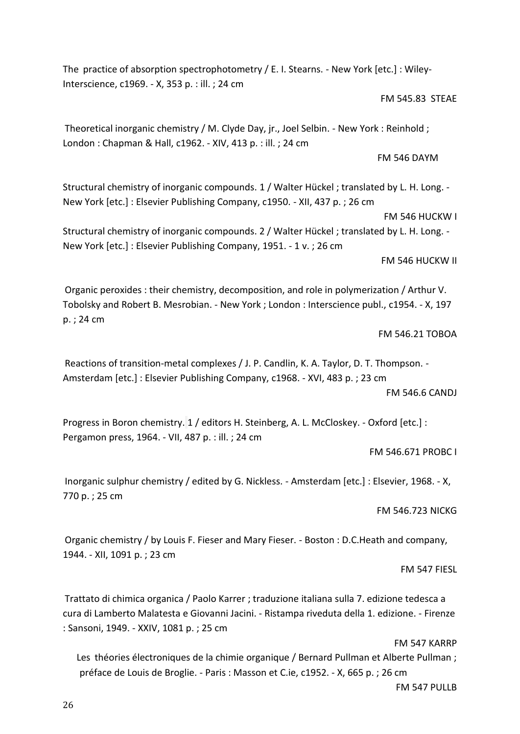The practice of absorption spectrophotometry / E. I. Stearns. - New York [etc.] : Wiley-Interscience, c1969. - X, 353 p. : ill. ; 24 cm

# FM 545.83 STEAE

Theoretical inorganic chemistry / M. Clyde Day, jr., Joel Selbin. - New York : Reinhold ; London : Chapman & Hall, c1962. - XIV, 413 p. : ill. ; 24 cm

FM 546 DAYM

Structural chemistry of inorganic compounds. 1 / Walter Hückel ; translated by L. H. Long. - New York [etc.] : Elsevier Publishing Company, c1950. - XII, 437 p. ; 26 cm

FM 546 HUCKW I

Structural chemistry of inorganic compounds. 2 / Walter Hückel ; translated by L. H. Long. - New York [etc.] : Elsevier Publishing Company, 1951. - 1 v. ; 26 cm

FM 546 HUCKW II

Organic peroxides : their chemistry, decomposition, and role in polymerization / Arthur V. Tobolsky and Robert B. Mesrobian. - New York ; London : Interscience publ., c1954. - X, 197 p. ; 24 cm

FM 546.21 TOBOA

Reactions of transition-metal complexes / J. P. Candlin, K. A. Taylor, D. T. Thompson. - Amsterdam [etc.] : Elsevier Publishing Company, c1968. - XVI, 483 p. ; 23 cm

FM 546.6 CANDJ

Progress in Boron chemistry. 1 / editors H. Steinberg, A. L. McCloskey. - Oxford [etc.] : Pergamon press, 1964. - VII, 487 p. : ill. ; 24 cm

FM 546.671 PROBC I

Inorganic sulphur chemistry / edited by G. Nickless. - Amsterdam [etc.] : Elsevier, 1968. - X, 770 p. ; 25 cm

FM 546.723 NICKG

Organic chemistry / by Louis F. Fieser and Mary Fieser. - Boston : D.C.Heath and company, 1944. - XII, 1091 p. ; 23 cm

FM 547 FIESL

Trattato di chimica organica / Paolo Karrer ; traduzione italiana sulla 7. edizione tedesca a cura di Lamberto Malatesta e Giovanni Jacini. - Ristampa riveduta della 1. edizione. - Firenze : Sansoni, 1949. - XXIV, 1081 p. ; 25 cm

FM 547 KARRP

Les théories électroniques de la chimie organique / Bernard Pullman et Alberte Pullman ; préface de Louis de Broglie. - Paris : Masson et C.ie, c1952. - X, 665 p. ; 26 cm

FM 547 PULLB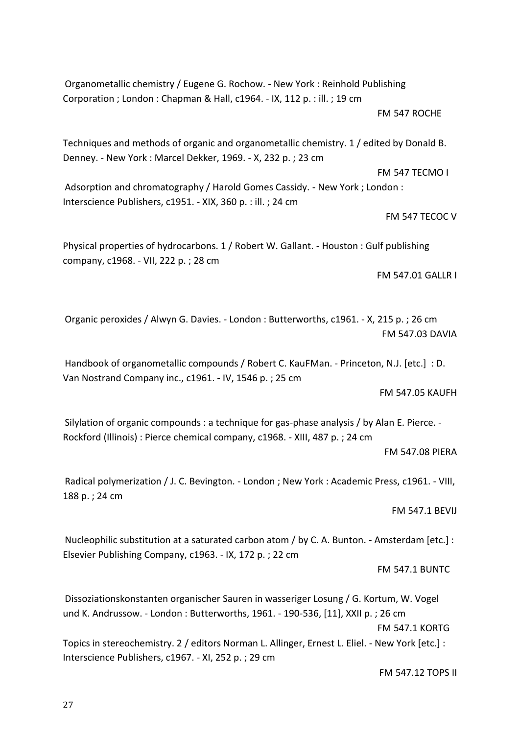Organometallic chemistry / Eugene G. Rochow. - New York : Reinhold Publishing Corporation ; London : Chapman & Hall, c1964. - IX, 112 p. : ill. ; 19 cm FM 547 ROCHE

Techniques and methods of organic and organometallic chemistry. 1 / edited by Donald B. Denney. - New York : Marcel Dekker, 1969. - X, 232 p. ; 23 cm

FM 547 TECMO I Adsorption and chromatography / Harold Gomes Cassidy. - New York ; London : Interscience Publishers, c1951. - XIX, 360 p. : ill. ; 24 cm

FM 547 TECOC V

Physical properties of hydrocarbons. 1 / Robert W. Gallant. - Houston : Gulf publishing company, c1968. - VII, 222 p. ; 28 cm

FM 547.01 GALLR I

Organic peroxides / Alwyn G. Davies. - London : Butterworths, c1961. - X, 215 p. ; 26 cm FM 547.03 DAVIA

Handbook of organometallic compounds / Robert C. KauFMan. - Princeton, N.J. [etc.] : D. Van Nostrand Company inc., c1961. - IV, 1546 p. ; 25 cm

FM 547.05 KAUFH

Silylation of organic compounds : a technique for gas-phase analysis / by Alan E. Pierce. - Rockford (Illinois) : Pierce chemical company, c1968. - XIII, 487 p. ; 24 cm

FM 547.08 PIERA

Radical polymerization / J. C. Bevington. - London ; New York : Academic Press, c1961. - VIII, 188 p. ; 24 cm

FM 547.1 BEVIJ

Nucleophilic substitution at a saturated carbon atom / by C. A. Bunton. - Amsterdam [etc.] : Elsevier Publishing Company, c1963. - IX, 172 p. ; 22 cm

FM 547.1 BUNTC

Dissoziationskonstanten organischer Sauren in wasseriger Losung / G. Kortum, W. Vogel und K. Andrussow. - London : Butterworths, 1961. - 190-536, [11], XXII p. ; 26 cm FM 547.1 KORTG Topics in stereochemistry. 2 / editors Norman L. Allinger, Ernest L. Eliel. - New York [etc.] : Interscience Publishers, c1967. - XI, 252 p. ; 29 cm

FM 547.12 TOPS II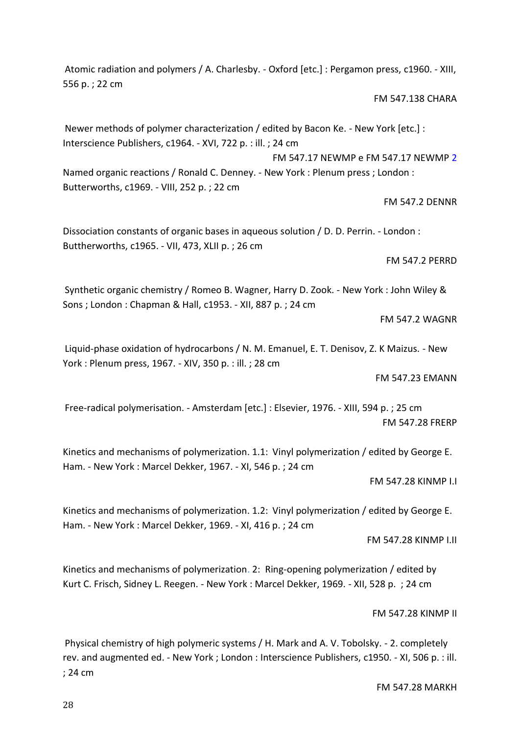556 p. ; 22 cm FM 547.138 CHARA Newer methods of polymer characterization / edited by Bacon Ke. - New York [etc.] : Interscience Publishers, c1964. - XVI, 722 p. : ill. ; 24 cm

Atomic radiation and polymers / A. Charlesby. - Oxford [etc.] : Pergamon press, c1960. - XIII,

FM 547.17 NEWMP e FM 547.17 NEWMP 2 Named organic reactions / Ronald C. Denney. - New York : Plenum press ; London : Butterworths, c1969. - VIII, 252 p. ; 22 cm

FM 547.2 DENNR

Dissociation constants of organic bases in aqueous solution / D. D. Perrin. - London : Buttherworths, c1965. - VII, 473, XLII p. ; 26 cm

FM 547.2 PERRD

Synthetic organic chemistry / Romeo B. Wagner, Harry D. Zook. - New York : John Wiley & Sons ; London : Chapman & Hall, c1953. - XII, 887 p. ; 24 cm

FM 547.2 WAGNR

Liquid-phase oxidation of hydrocarbons / N. M. Emanuel, E. T. Denisov, Z. K Maizus. - New York : Plenum press, 1967. - XIV, 350 p. : ill. ; 28 cm

FM 547.23 EMANN

Free-radical polymerisation. - Amsterdam [etc.] : Elsevier, 1976. - XIII, 594 p. ; 25 cm FM 547.28 FRERP

Kinetics and mechanisms of polymerization. 1.1: Vinyl polymerization / edited by George E. Ham. - New York : Marcel Dekker, 1967. - XI, 546 p. ; 24 cm

FM 547.28 KINMP I.I

Kinetics and mechanisms of polymerization. 1.2: Vinyl polymerization / edited by George E. Ham. - New York : Marcel Dekker, 1969. - XI, 416 p. ; 24 cm

FM 547.28 KINMP I.II

Kinetics and mechanisms of polymerization. 2: Ring-opening polymerization / edited by Kurt C. Frisch, Sidney L. Reegen. - New York : Marcel Dekker, 1969. - XII, 528 p. ; 24 cm

FM 547.28 KINMP II

Physical chemistry of high polymeric systems / H. Mark and A. V. Tobolsky. - 2. completely rev. and augmented ed. - New York ; London : Interscience Publishers, c1950. - XI, 506 p. : ill. ; 24 cm

FM 547.28 MARKH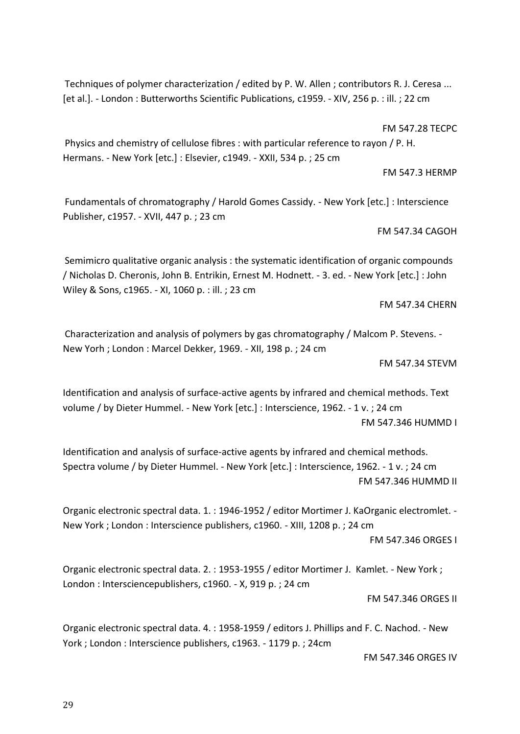29

Techniques of polymer characterization / edited by P. W. Allen ; contributors R. J. Ceresa ... [et al.]. - London : Butterworths Scientific Publications, c1959. - XIV, 256 p. : ill. ; 22 cm

FM 547.28 TECPC

Physics and chemistry of cellulose fibres : with particular reference to rayon / P. H. Hermans. - New York [etc.] : Elsevier, c1949. - XXII, 534 p. ; 25 cm

FM 547.3 HERMP

Fundamentals of chromatography / Harold Gomes Cassidy. - New York [etc.] : Interscience Publisher, c1957. - XVII, 447 p. ; 23 cm

FM 547.34 CAGOH

Semimicro qualitative organic analysis : the systematic identification of organic compounds / Nicholas D. Cheronis, John B. Entrikin, Ernest M. Hodnett. - 3. ed. - New York [etc.] : John Wiley & Sons, c1965. - XI, 1060 p. : ill. ; 23 cm

FM 547.34 CHERN

Characterization and analysis of polymers by gas chromatography / Malcom P. Stevens. - New Yorh ; London : Marcel Dekker, 1969. - XII, 198 p. ; 24 cm

FM 547.34 STEVM

Identification and analysis of surface-active agents by infrared and chemical methods. Text volume / by Dieter Hummel. - New York [etc.] : Interscience, 1962. - 1 v. ; 24 cm FM 547.346 HUMMD I

Identification and analysis of surface-active agents by infrared and chemical methods. Spectra volume / by Dieter Hummel. - New York [etc.] : Interscience, 1962. - 1 v. ; 24 cm FM 547.346 HUMMD II

Organic electronic spectral data. 1. : 1946-1952 / editor Mortimer J. KaOrganic electromlet. - New York ; London : Interscience publishers, c1960. - XIII, 1208 p. ; 24 cm

FM 547.346 ORGES I

Organic electronic spectral data. 2. : 1953-1955 / editor Mortimer J. Kamlet. - New York ; London : Intersciencepublishers, c1960. - X, 919 p. ; 24 cm

FM 547.346 ORGES II

Organic electronic spectral data. 4. : 1958-1959 / editors J. Phillips and F. C. Nachod. - New York ; London : Interscience publishers, c1963. - 1179 p. ; 24cm

FM 547.346 ORGES IV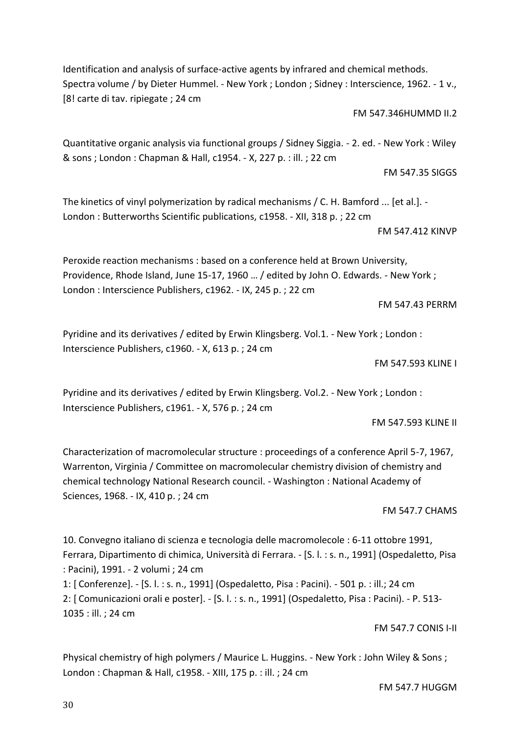Identification and analysis of surface-active agents by infrared and chemical methods. Spectra volume / by Dieter Hummel. - New York ; London ; Sidney : Interscience, 1962. - 1 v., [8! carte di tav. ripiegate ; 24 cm

FM 547.346HUMMD II.2

# Quantitative organic analysis via functional groups / Sidney Siggia. - 2. ed. - New York : Wiley & sons ; London : Chapman & Hall, c1954. - X, 227 p. : ill. ; 22 cm

The kinetics of vinyl polymerization by radical mechanisms / C. H. Bamford ... [et al.]. - London : Butterworths Scientific publications, c1958. - XII, 318 p. ; 22 cm

FM 547.412 KINVP

FM 547.35 SIGGS

Peroxide reaction mechanisms : based on a conference held at Brown University, Providence, Rhode Island, June 15-17, 1960 … / edited by John O. Edwards. - New York ; London : Interscience Publishers, c1962. - IX, 245 p. ; 22 cm

FM 547.43 PERRM

Pyridine and its derivatives / edited by Erwin Klingsberg. Vol.1. - New York ; London : Interscience Publishers, c1960. - X, 613 p. ; 24 cm

FM 547.593 KLINE I

Pyridine and its derivatives / edited by Erwin Klingsberg. Vol.2. - New York ; London : Interscience Publishers, c1961. - X, 576 p. ; 24 cm

FM 547.593 KLINE II

Characterization of macromolecular structure : proceedings of a conference April 5-7, 1967, Warrenton, Virginia / Committee on macromolecular chemistry division of chemistry and chemical technology National Research council. - Washington : National Academy of Sciences, 1968. - IX, 410 p. ; 24 cm

FM 547.7 CHAMS

10. Convegno italiano di scienza e tecnologia delle macromolecole : 6-11 ottobre 1991, Ferrara, Dipartimento di chimica, Università di Ferrara. - [S. l. : s. n., 1991] (Ospedaletto, Pisa : Pacini), 1991. - 2 volumi ; 24 cm

1: [ Conferenze]. - [S. l. : s. n., 1991] (Ospedaletto, Pisa : Pacini). - 501 p. : ill.; 24 cm 2: [ Comunicazioni orali e poster]. - [S. l. : s. n., 1991] (Ospedaletto, Pisa : Pacini). - P. 513- 1035 : ill. ; 24 cm

FM 547.7 CONIS I-II

Physical chemistry of high polymers / Maurice L. Huggins. - New York : John Wiley & Sons ; London : Chapman & Hall, c1958. - XIII, 175 p. : ill. ; 24 cm

FM 547.7 HUGGM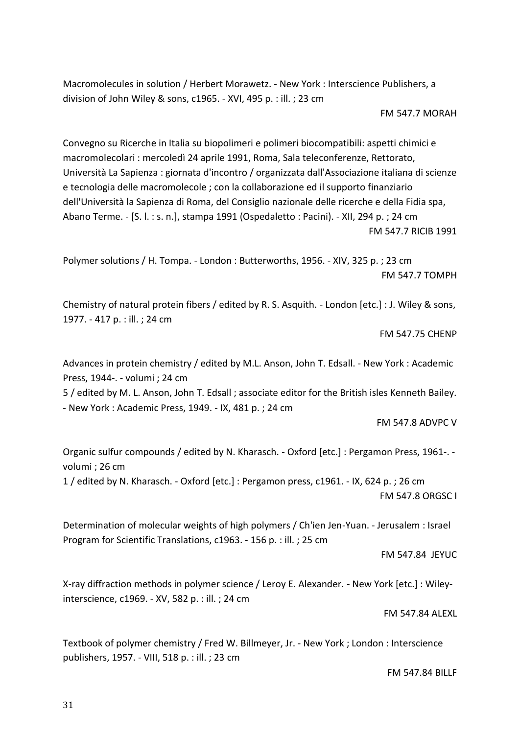Macromolecules in solution / Herbert Morawetz. - New York : Interscience Publishers, a division of John Wiley & sons, c1965. - XVI, 495 p. : ill. ; 23 cm

FM 547.7 MORAH

Convegno su Ricerche in Italia su biopolimeri e polimeri biocompatibili: aspetti chimici e macromolecolari : mercoledì 24 aprile 1991, Roma, Sala teleconferenze, Rettorato, Università La Sapienza : giornata d'incontro / organizzata dall'Associazione italiana di scienze e tecnologia delle macromolecole ; con la collaborazione ed il supporto finanziario dell'Università la Sapienza di Roma, del Consiglio nazionale delle ricerche e della Fidia spa, Abano Terme. - [S. l. : s. n.], stampa 1991 (Ospedaletto : Pacini). - XII, 294 p. ; 24 cm FM 547.7 RICIB 1991

Polymer solutions / H. Tompa. - London : Butterworths, 1956. - XIV, 325 p. ; 23 cm FM 547.7 TOMPH

Chemistry of natural protein fibers / edited by R. S. Asquith. - London [etc.] : J. Wiley & sons, 1977. - 417 p. : ill. ; 24 cm

FM 547.75 CHENP

Advances in protein chemistry / edited by M.L. Anson, John T. Edsall. - New York : Academic Press, 1944-. - volumi ; 24 cm

5 / edited by M. L. Anson, John T. Edsall ; associate editor for the British isles Kenneth Bailey. - New York : Academic Press, 1949. - IX, 481 p. ; 24 cm

FM 547.8 ADVPC V

[Organic sulfur compounds / edited by N. Kharasch. -](https://polovea.sebina.it/sebina/catalogazione/D_TIT_RET2.do?codFnz=D_TIT_RET2&operation=visualizzaDettaglio&typeCall=INSTANCE&id=2141519&idIndice=UBO0013674) Oxford [etc.] : Pergamon Press, 1961-. [volumi ; 26 cm](https://polovea.sebina.it/sebina/catalogazione/D_TIT_RET2.do?codFnz=D_TIT_RET2&operation=visualizzaDettaglio&typeCall=INSTANCE&id=2141519&idIndice=UBO0013674)

1 / edited by N. Kharasch. - Oxford [etc.] : Pergamon press, c1961. - IX, 624 p. ; 26 cm FM 547.8 ORGSC I

Determination of molecular weights of high polymers / Ch'ien Jen-Yuan. - Jerusalem : Israel Program for Scientific Translations, c1963. - 156 p. : ill. ; 25 cm

FM 547.84 JEYUC

X-ray diffraction methods in polymer science / Leroy E. Alexander. - New York [etc.] : Wileyinterscience, c1969. - XV, 582 p. : ill. ; 24 cm

FM 547.84 ALEXL

Textbook of polymer chemistry / Fred W. Billmeyer, Jr. - New York ; London : Interscience publishers, 1957. - VIII, 518 p. : ill. ; 23 cm

FM 547.84 BILLF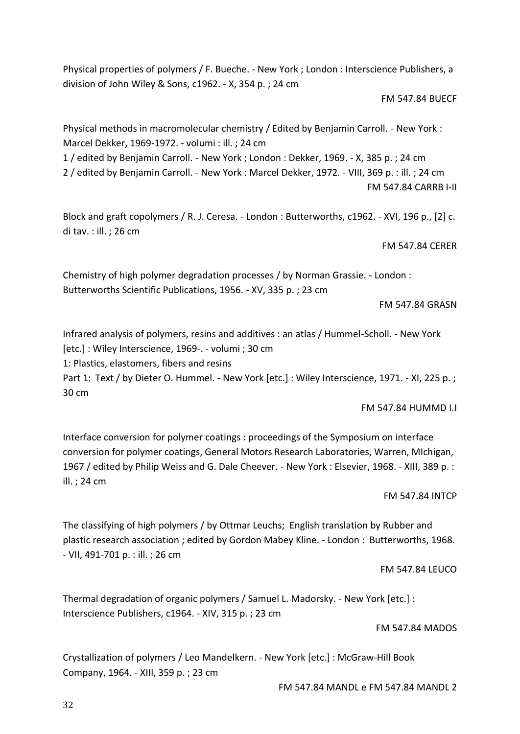Physical properties of polymers / F. Bueche. - New York ; London : Interscience Publishers, a division of John Wiley & Sons, c1962. - X, 354 p. ; 24 cm

### FM 547.84 BUECF

Physical methods in macromolecular chemistry / Edited by Benjamin Carroll. - New York : Marcel Dekker, 1969-1972. - volumi : ill. ; 24 cm 1 / edited by Benjamin Carroll. - New York ; London : Dekker, 1969. - X, 385 p. ; 24 cm 2 / edited by Benjamin Carroll. - New York : Marcel Dekker, 1972. - VIII, 369 p. : ill. ; 24 cm FM 547.84 CARRB I-II

Block and graft copolymers / R. J. Ceresa. - London : Butterworths, c1962. - XVI, 196 p., [2] c. di tav. : ill. ; 26 cm

FM 547.84 CERER

Chemistry of high polymer degradation processes / by Norman Grassie. - London : Butterworths Scientific Publications, 1956. - XV, 335 p. ; 23 cm

FM 547.84 GRASN

Infrared analysis of polymers, resins and additives : an atlas / Hummel-Scholl. - New York [etc.] : Wiley Interscience, 1969-. - volumi ; 30 cm

1: Plastics, elastomers, fibers and resins

Part 1: Text / by Dieter O. Hummel. - New York [etc.] : Wiley Interscience, 1971. - XI, 225 p.; 30 cm

FM 547.84 HUMMD I.I

Interface conversion for polymer coatings : proceedings of the Symposium on interface conversion for polymer coatings, General Motors Research Laboratories, Warren, MIchigan, 1967 / edited by Philip Weiss and G. Dale Cheever. - New York : Elsevier, 1968. - XIII, 389 p. : ill. ; 24 cm

FM 547.84 INTCP

The classifying of high polymers / by Ottmar Leuchs; English translation by Rubber and plastic research association ; edited by Gordon Mabey Kline. - London : Butterworths, 1968. - VII, 491-701 p. : ill. ; 26 cm

# FM 547.84 LEUCO

Thermal degradation of organic polymers / Samuel L. Madorsky. - New York [etc.] : Interscience Publishers, c1964. - XIV, 315 p. ; 23 cm

FM 547.84 MADOS

Crystallization of polymers / Leo Mandelkern. - New York [etc.] : McGraw-Hill Book Company, 1964. - XIII, 359 p. ; 23 cm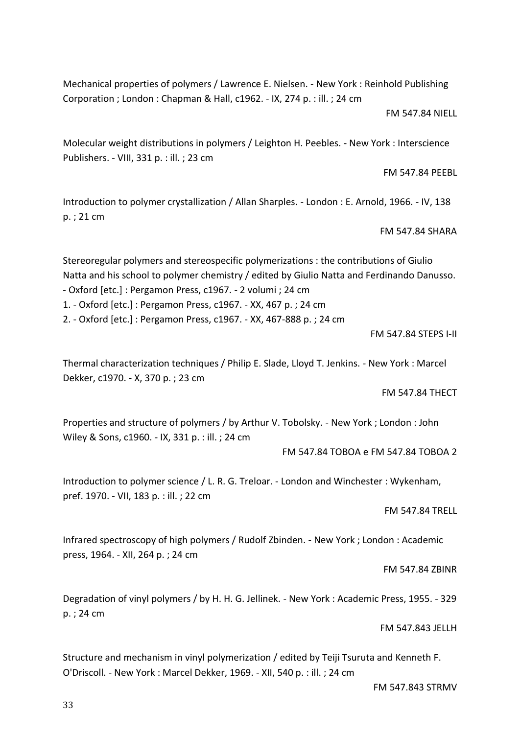Mechanical properties of polymers / Lawrence E. Nielsen. - New York : Reinhold Publishing Corporation ; London : Chapman & Hall, c1962. - IX, 274 p. : ill. ; 24 cm

FM 547.84 NIELL

Molecular weight distributions in polymers / Leighton H. Peebles. - New York : Interscience Publishers. - VIII, 331 p. : ill. ; 23 cm

FM 547.84 PEEBL

Introduction to polymer crystallization / Allan Sharples. - London : E. Arnold, 1966. - IV, 138 p. ; 21 cm

FM 547.84 SHARA

Stereoregular polymers and stereospecific polymerizations : the contributions of Giulio Natta and his school to polymer chemistry / edited by Giulio Natta and Ferdinando Danusso. - Oxford [etc.] : Pergamon Press, c1967. - 2 volumi ; 24 cm

1. - Oxford [etc.] : Pergamon Press, c1967. - XX, 467 p. ; 24 cm

2. - Oxford [etc.] : Pergamon Press, c1967. - XX, 467-888 p. ; 24 cm

FM 547.84 STEPS I-II

Thermal characterization techniques / Philip E. Slade, Lloyd T. Jenkins. - New York : Marcel Dekker, c1970. - X, 370 p. ; 23 cm

FM 547.84 THECT

Properties and structure of polymers / by Arthur V. Tobolsky. - New York ; London : John Wiley & Sons, c1960. - IX, 331 p. : ill. ; 24 cm

FM 547.84 TOBOA e FM 547.84 TOBOA 2

Introduction to polymer science / L. R. G. Treloar. - London and Winchester : Wykenham, pref. 1970. - VII, 183 p. : ill. ; 22 cm

FM 547.84 TRELL

Infrared spectroscopy of high polymers / Rudolf Zbinden. - New York ; London : Academic press, 1964. - XII, 264 p. ; 24 cm

FM 547.84 ZBINR

Degradation of vinyl polymers / by H. H. G. Jellinek. - New York : Academic Press, 1955. - 329 p. ; 24 cm

FM 547.843 JELLH

Structure and mechanism in vinyl polymerization / edited by Teiji Tsuruta and Kenneth F. O'Driscoll. - New York : Marcel Dekker, 1969. - XII, 540 p. : ill. ; 24 cm

FM 547.843 STRMV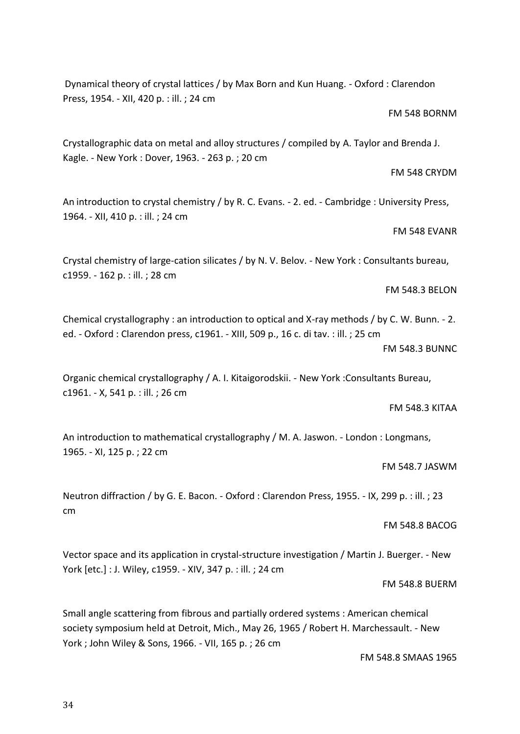Dynamical theory of crystal lattices / by Max Born and Kun Huang. - Oxford : Clarendon Press, 1954. - XII, 420 p. : ill. ; 24 cm

#### FM 548 BORNM

FM 548 CRYDM

Crystallographic data on metal and alloy structures / compiled by A. Taylor and Brenda J. Kagle. - New York : Dover, 1963. - 263 p. ; 20 cm

An introduction to crystal chemistry / by R. C. Evans. - 2. ed. - Cambridge : University Press, 1964. - XII, 410 p. : ill. ; 24 cm

# FM 548 EVANR

Crystal chemistry of large-cation silicates / by N. V. Belov. - New York : Consultants bureau, c1959. - 162 p. : ill. ; 28 cm

FM 548.3 BELON

Chemical crystallography : an introduction to optical and X-ray methods / by C. W. Bunn. - 2. ed. - Oxford : Clarendon press, c1961. - XIII, 509 p., 16 c. di tav. : ill. ; 25 cm FM 548.3 BUNNC

Organic chemical crystallography / A. I. Kitaigorodskii. - New York :Consultants Bureau, c1961. - X, 541 p. : ill. ; 26 cm

FM 548.3 KITAA

An introduction to mathematical crystallography / M. A. Jaswon. - London : Longmans, 1965. - XI, 125 p. ; 22 cm

#### FM 548.7 JASWM

Neutron diffraction / by G. E. Bacon. - Oxford : Clarendon Press, 1955. - IX, 299 p. : ill. ; 23 cm

FM 548.8 BACOG

Vector space and its application in crystal-structure investigation / Martin J. Buerger. - New York [etc.] : J. Wiley, c1959. - XIV, 347 p. : ill. ; 24 cm

FM 548.8 BUERM

Small angle scattering from fibrous and partially ordered systems : American chemical society symposium held at Detroit, Mich., May 26, 1965 / Robert H. Marchessault. - New York ; John Wiley & Sons, 1966. - VII, 165 p. ; 26 cm

FM 548.8 SMAAS 1965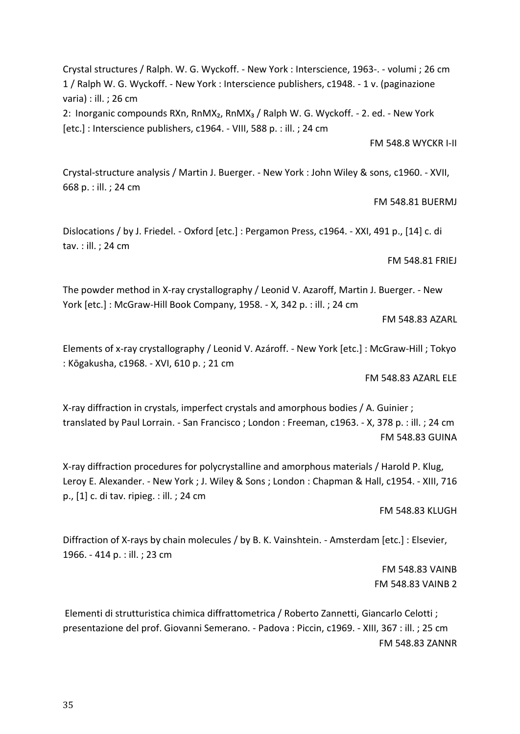35

Crystal structures / Ralph. W. G. Wyckoff. - New York : Interscience, 1963-. - volumi ; 26 cm 1 / Ralph W. G. Wyckoff. - New York : Interscience publishers, c1948. - 1 v. (paginazione varia) : ill. ; 26 cm

2: Inorganic compounds RXn, RnMX<sub>2</sub>, RnMX<sub>3</sub> / Ralph W. G. Wyckoff. - 2. ed. - New York [etc.] : Interscience publishers, c1964. - VIII, 588 p. : ill. ; 24 cm

FM 548.8 WYCKR I-II

Crystal-structure analysis / Martin J. Buerger. - New York : John Wiley & sons, c1960. - XVII, 668 p. : ill. ; 24 cm

FM 548.81 BUERMJ

Dislocations / by J. Friedel. - Oxford [etc.] : Pergamon Press, c1964. - XXI, 491 p., [14] c. di tav. : ill. ; 24 cm

FM 548.81 FRIEJ

The powder method in X-ray crystallography / Leonid V. Azaroff, Martin J. Buerger. - New York [etc.] : McGraw-Hill Book Company, 1958. - X, 342 p. : ill. ; 24 cm

FM 548.83 AZARL

Elements of x-ray crystallography / Leonid V. Azároff. - New York [etc.] : McGraw-Hill ; Tokyo : Kōgakusha, c1968. - XVI, 610 p. ; 21 cm

FM 548.83 AZARL ELE

X-ray diffraction in crystals, imperfect crystals and amorphous bodies / A. Guinier ; translated by Paul Lorrain. - San Francisco ; London : Freeman, c1963. - X, 378 p. : ill. ; 24 cm FM 548.83 GUINA

X-ray diffraction procedures for polycrystalline and amorphous materials / Harold P. Klug, Leroy E. Alexander. - New York ; J. Wiley & Sons ; London : Chapman & Hall, c1954. - XIII, 716 p., [1] c. di tav. ripieg. : ill. ; 24 cm

FM 548.83 KLUGH

Diffraction of X-rays by chain molecules / by B. K. Vainshtein. - Amsterdam [etc.] : Elsevier, 1966. - 414 p. : ill. ; 23 cm

> FM 548.83 VAINB FM 548.83 VAINB 2

Elementi di strutturistica chimica diffrattometrica / Roberto Zannetti, Giancarlo Celotti ; presentazione del prof. Giovanni Semerano. - Padova : Piccin, c1969. - XIII, 367 : ill. ; 25 cm FM 548.83 ZANNR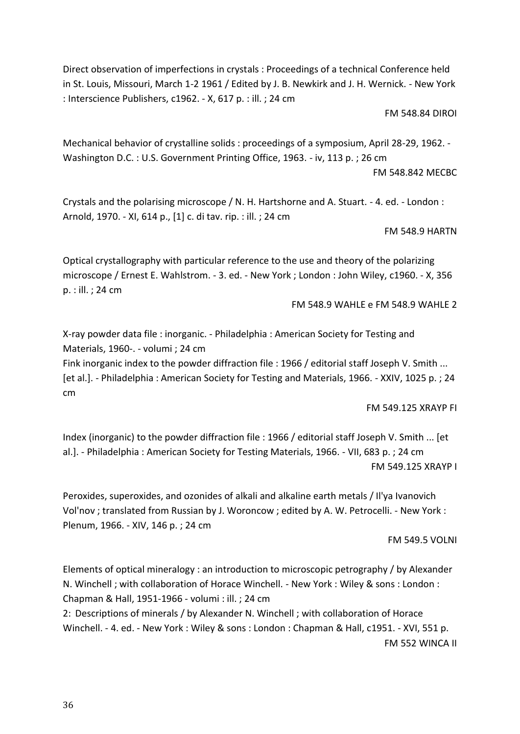Direct observation of imperfections in crystals : Proceedings of a technical Conference held in St. Louis, Missouri, March 1-2 1961 / Edited by J. B. Newkirk and J. H. Wernick. - New York : Interscience Publishers, c1962. - X, 617 p. : ill. ; 24 cm

FM 548.84 DIROI

Mechanical behavior of crystalline solids : proceedings of a symposium, April 28-29, 1962. - Washington D.C. : U.S. Government Printing Office, 1963. - iv, 113 p. ; 26 cm

FM 548.842 MECBC

Crystals and the polarising microscope / N. H. Hartshorne and A. Stuart. - 4. ed. - London : Arnold, 1970. - XI, 614 p., [1] c. di tav. rip. : ill. ; 24 cm

FM 548.9 HARTN

Optical crystallography with particular reference to the use and theory of the polarizing microscope / Ernest E. Wahlstrom. - 3. ed. - New York ; London : John Wiley, c1960. - X, 356 p. : ill. ; 24 cm

FM 548.9 WAHLE e FM 548.9 WAHLE 2

X-ray powder data file : inorganic. - Philadelphia : American Society for Testing and Materials, 1960-. - volumi ; 24 cm

Fink inorganic index to the powder diffraction file : 1966 / editorial staff Joseph V. Smith ... [et al.]. - Philadelphia : American Society for Testing and Materials, 1966. - XXIV, 1025 p. ; 24 cm

FM 549.125 XRAYP FI

Index (inorganic) to the powder diffraction file : 1966 / editorial staff Joseph V. Smith ... [et al.]. - Philadelphia : American Society for Testing Materials, 1966. - VII, 683 p. ; 24 cm FM 549.125 XRAYP I

Peroxides, superoxides, and ozonides of alkali and alkaline earth metals / Il'ya Ivanovich Vol'nov ; translated from Russian by J. Woroncow ; edited by A. W. Petrocelli. - New York : Plenum, 1966. - XIV, 146 p. ; 24 cm

FM 549.5 VOLNI

Elements of optical mineralogy : an introduction to microscopic petrography / by Alexander N. Winchell ; with collaboration of Horace Winchell. - New York : Wiley & sons : London : Chapman & Hall, 1951-1966 - volumi : ill. ; 24 cm

2: Descriptions of minerals / by Alexander N. Winchell ; with collaboration of Horace Winchell. - 4. ed. - New York : Wiley & sons : London : Chapman & Hall, c1951. - XVI, 551 p. FM 552 WINCA II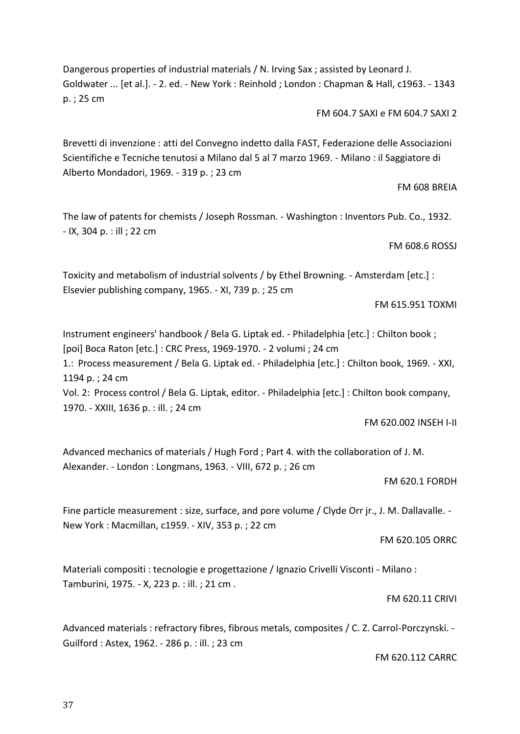Dangerous properties of industrial materials / N. Irving Sax ; assisted by Leonard J. Goldwater ... [et al.]. - 2. ed. - New York : Reinhold ; London : Chapman & Hall, c1963. - 1343 p. ; 25 cm

FM 604.7 SAXI e FM 604.7 SAXI 2

Brevetti di invenzione : atti del Convegno indetto dalla FAST, Federazione delle Associazioni Scientifiche e Tecniche tenutosi a Milano dal 5 al 7 marzo 1969. - Milano : il Saggiatore di Alberto Mondadori, 1969. - 319 p. ; 23 cm

FM 608 BREIA

The law of patents for chemists / Joseph Rossman. - Washington : Inventors Pub. Co., 1932. - IX, 304 p. : ill ; 22 cm

FM 608.6 ROSSJ

Toxicity and metabolism of industrial solvents / by Ethel Browning. - Amsterdam [etc.] : Elsevier publishing company, 1965. - XI, 739 p. ; 25 cm

FM 615.951 TOXMI

Instrument engineers' handbook / Bela G. Liptak ed. - Philadelphia [etc.] : Chilton book ; [poi] Boca Raton [etc.] : CRC Press, 1969-1970. - 2 volumi ; 24 cm

1.: Process measurement / Bela G. Liptak ed. - Philadelphia [etc.] : Chilton book, 1969. - XXI, 1194 p. ; 24 cm

Vol. 2: Process control / Bela G. Liptak, editor. - Philadelphia [etc.] : Chilton book company, 1970. - XXIII, 1636 p. : ill. ; 24 cm

FM 620.002 INSEH I-II

Advanced mechanics of materials / Hugh Ford ; Part 4. with the collaboration of J. M. Alexander. - London : Longmans, 1963. - VIII, 672 p. ; 26 cm

FM 620.1 FORDH

Fine particle measurement : size, surface, and pore volume / Clyde Orr jr., J. M. Dallavalle. - New York : Macmillan, c1959. - XIV, 353 p. ; 22 cm

FM 620.105 ORRC

Materiali compositi : tecnologie e progettazione / Ignazio Crivelli Visconti - Milano : Tamburini, 1975. - X, 223 p. : ill. ; 21 cm .

FM 620.11 CRIVI

Advanced materials : refractory fibres, fibrous metals, composites / C. Z. Carrol-Porczynski. - Guilford : Astex, 1962. - 286 p. : ill. ; 23 cm

FM 620.112 CARRC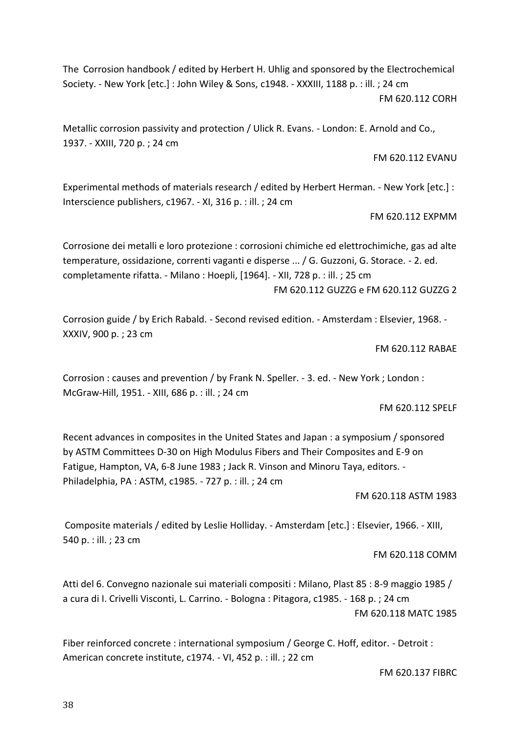The Corrosion handbook / edited by Herbert H. Uhlig and sponsored by the Electrochemical Society. - New York [etc.] : John Wiley & Sons, c1948. - XXXIII, 1188 p. : ill. ; 24 cm FM 620.112 CORH

Metallic corrosion passivity and protection / Ulick R. Evans. - London: E. Arnold and Co., 1937. - XXIII, 720 p. ; 24 cm

FM 620.112 EVANU

Experimental methods of materials research / edited by Herbert Herman. - New York [etc.] : Interscience publishers, c1967. - XI, 316 p. : ill. ; 24 cm

FM 620.112 EXPMM

Corrosione dei metalli e loro protezione : corrosioni chimiche ed elettrochimiche, gas ad alte temperature, ossidazione, correnti vaganti e disperse ... / G. Guzzoni, G. Storace. - 2. ed. completamente rifatta. - Milano : Hoepli, [1964]. - XII, 728 p. : ill. ; 25 cm FM 620.112 GUZZG e FM 620.112 GUZZG 2

Corrosion guide / by Erich Rabald. - Second revised edition. - Amsterdam : Elsevier, 1968. - XXXIV, 900 p. ; 23 cm

FM 620.112 RABAE

Corrosion : causes and prevention / by Frank N. Speller. - 3. ed. - New York ; London : McGraw-Hill, 1951. - XIII, 686 p. : ill. ; 24 cm

FM 620.112 SPELF

Recent advances in composites in the United States and Japan : a symposium / sponsored by ASTM Committees D-30 on High Modulus Fibers and Their Composites and E-9 on Fatigue, Hampton, VA, 6-8 June 1983 ; Jack R. Vinson and Minoru Taya, editors. - Philadelphia, PA : ASTM, c1985. - 727 p. : ill. ; 24 cm

FM 620.118 ASTM 1983

Composite materials / edited by Leslie Holliday. - Amsterdam [etc.] : Elsevier, 1966. - XIII, 540 p. : ill. ; 23 cm

FM 620.118 COMM

Atti del 6. Convegno nazionale sui materiali compositi : Milano, Plast 85 : 8-9 maggio 1985 / a cura di I. Crivelli Visconti, L. Carrino. - Bologna : Pitagora, c1985. - 168 p. ; 24 cm FM 620.118 MATC 1985

Fiber reinforced concrete : international symposium / George C. Hoff, editor. - Detroit : American concrete institute, c1974. - VI, 452 p. : ill. ; 22 cm

FM 620.137 FIBRC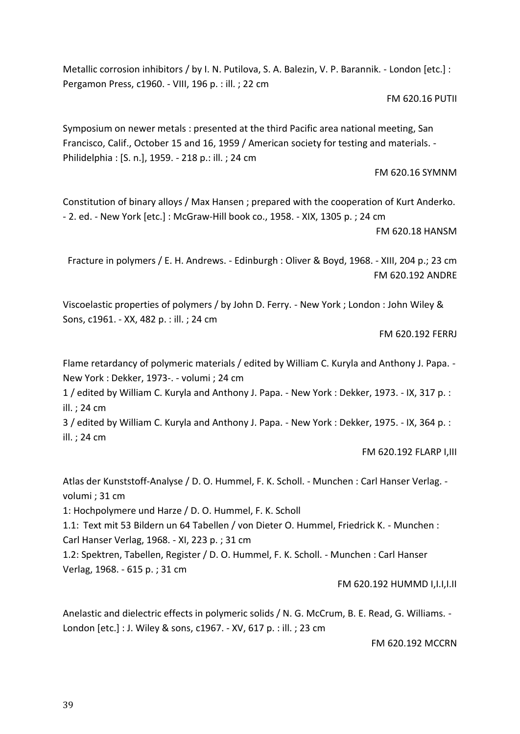Metallic corrosion inhibitors / by I. N. Putilova, S. A. Balezin, V. P. Barannik. - London [etc.] : Pergamon Press, c1960. - VIII, 196 p. : ill. ; 22 cm

FM 620.16 PUTII

Symposium on newer metals : presented at the third Pacific area national meeting, San Francisco, Calif., October 15 and 16, 1959 / American society for testing and materials. - Philidelphia : [S. n.], 1959. - 218 p.: ill. ; 24 cm

FM 620.16 SYMNM

Constitution of binary alloys / Max Hansen ; prepared with the cooperation of Kurt Anderko. - 2. ed. - New York [etc.] : McGraw-Hill book co., 1958. - XIX, 1305 p. ; 24 cm

FM 620.18 HANSM

Fracture in polymers / E. H. Andrews. - Edinburgh : Oliver & Boyd, 1968. - XIII, 204 p.; 23 cm FM 620.192 ANDRE

Viscoelastic properties of polymers / by John D. Ferry. - New York ; London : John Wiley & Sons, c1961. - XX, 482 p. : ill. ; 24 cm

FM 620.192 FERRJ

Flame retardancy of polymeric materials / edited by William C. Kuryla and Anthony J. Papa. - New York : Dekker, 1973-. - volumi ; 24 cm

1 / edited by William C. Kuryla and Anthony J. Papa. - New York : Dekker, 1973. - IX, 317 p. : ill. ; 24 cm

3 / edited by William C. Kuryla and Anthony J. Papa. - New York : Dekker, 1975. - IX, 364 p. : ill. ; 24 cm

FM 620.192 FLARP I,III

Atlas der Kunststoff-Analyse / D. O. Hummel, F. K. Scholl. - Munchen : Carl Hanser Verlag. volumi ; 31 cm

1: Hochpolymere und Harze / D. O. Hummel, F. K. Scholl

1.1: Text mit 53 Bildern un 64 Tabellen / von Dieter O. Hummel, Friedrick K. - Munchen : Carl Hanser Verlag, 1968. - XI, 223 p. ; 31 cm

[1.2: Spektren, Tabellen, Register / D. O. Hummel, F. K. Scholl. -](https://polovea.sebina.it/sebina/catalogazione/D_TIT_RET2.do?codFnz=D_TIT_RET2&operation=visualizzaDettaglio&typeCall=INSTANCE&id=2116337&idIndice=VEA1049116) Munchen : Carl Hanser [Verlag, 1968. -](https://polovea.sebina.it/sebina/catalogazione/D_TIT_RET2.do?codFnz=D_TIT_RET2&operation=visualizzaDettaglio&typeCall=INSTANCE&id=2116337&idIndice=VEA1049116) 615 p. ; 31 cm

# FM 620.192 HUMMD I,I.I,I.II

Anelastic and dielectric effects in polymeric solids / N. G. McCrum, B. E. Read, G. Williams. -London [etc.] : J. Wiley & sons, c1967. - XV, 617 p. : ill. ; 23 cm

FM 620.192 MCCRN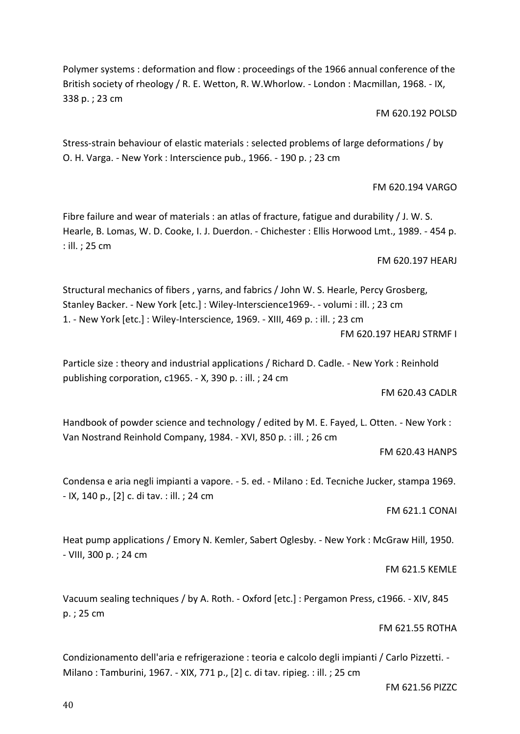Polymer systems : deformation and flow : proceedings of the 1966 annual conference of the British society of rheology / R. E. Wetton, R. W.Whorlow. - London: Macmillan, 1968. - IX, 338 p. ; 23 cm

FM 620.192 POLSD

Stress-strain behaviour of elastic materials : selected problems of large deformations / by O. H. Varga. - New York : Interscience pub., 1966. - 190 p. ; 23 cm

FM 620.194 VARGO

Fibre failure and wear of materials : an atlas of fracture, fatigue and durability / J. W. S. Hearle, B. Lomas, W. D. Cooke, I. J. Duerdon. - Chichester : Ellis Horwood Lmt., 1989. - 454 p. : ill. ; 25 cm

FM 620.197 HEARJ

Structural mechanics of fibers , yarns, and fabrics / John W. S. Hearle, Percy Grosberg, Stanley Backer. - New York [etc.] : Wiley-Interscience1969-. - volumi : ill. ; 23 cm 1. - New York [etc.] : Wiley-Interscience, 1969. - XIII, 469 p. : ill. ; 23 cm

FM 620.197 HEARJ STRMF I

Particle size : theory and industrial applications / Richard D. Cadle. - New York : Reinhold publishing corporation, c1965. - X, 390 p. : ill. ; 24 cm

FM 620.43 CADLR

Handbook of powder science and technology / edited by M. E. Fayed, L. Otten. - New York : Van Nostrand Reinhold Company, 1984. - XVI, 850 p. : ill. ; 26 cm

FM 620.43 HANPS

Condensa e aria negli impianti a vapore. - 5. ed. - Milano : Ed. Tecniche Jucker, stampa 1969. - IX, 140 p., [2] c. di tav. : ill. ; 24 cm

FM 621.1 CONAI

Heat pump applications / Emory N. Kemler, Sabert Oglesby. - New York : McGraw Hill, 1950. - VIII, 300 p. ; 24 cm

FM 621.5 KEMLE

Vacuum sealing techniques / by A. Roth. - Oxford [etc.] : Pergamon Press, c1966. - XIV, 845 p. ; 25 cm

FM 621.55 ROTHA

Condizionamento dell'aria e refrigerazione : teoria e calcolo degli impianti / Carlo Pizzetti. - Milano : Tamburini, 1967. - XIX, 771 p., [2] c. di tav. ripieg. : ill. ; 25 cm

FM 621.56 PIZZC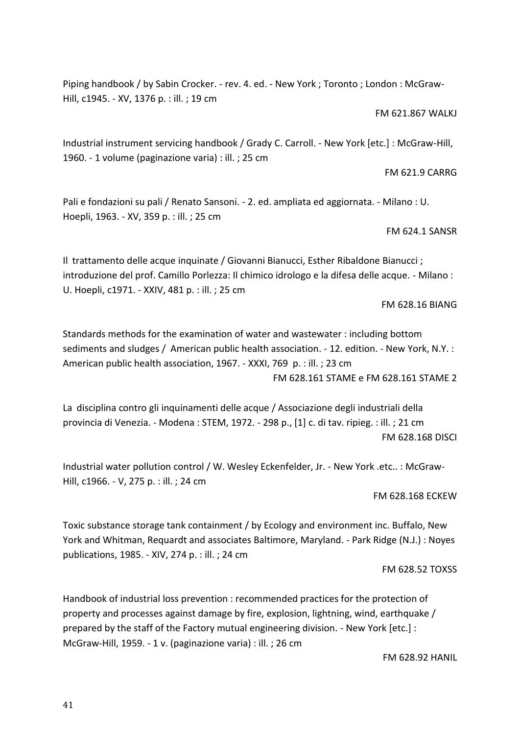Piping handbook / by Sabin Crocker. - rev. 4. ed. - New York ; Toronto ; London : McGraw-Hill, c1945. - XV, 1376 p. : ill. ; 19 cm

FM 621.867 WALKJ

Industrial instrument servicing handbook / Grady C. Carroll. - New York [etc.] : McGraw-Hill, 1960. - 1 volume (paginazione varia) : ill. ; 25 cm

FM 621.9 CARRG

Pali e fondazioni su pali / Renato Sansoni. - 2. ed. ampliata ed aggiornata. - Milano : U. Hoepli, 1963. - XV, 359 p. : ill. ; 25 cm

FM 624.1 SANSR

Il trattamento delle acque inquinate / Giovanni Bianucci, Esther Ribaldone Bianucci ; introduzione del prof. Camillo Porlezza: Il chimico idrologo e la difesa delle acque. - Milano : U. Hoepli, c1971. - XXIV, 481 p. : ill. ; 25 cm

FM 628.16 BIANG

Standards methods for the examination of water and wastewater : including bottom sediments and sludges / American public health association. - 12. edition. - New York, N.Y. : American public health association, 1967. - XXXI, 769 p. : ill. ; 23 cm FM 628.161 STAME e FM 628.161 STAME 2

La disciplina contro gli inquinamenti delle acque / Associazione degli industriali della provincia di Venezia. - Modena : STEM, 1972. - 298 p., [1] c. di tav. ripieg. : ill. ; 21 cm FM 628.168 DISCI

Industrial water pollution control / W. Wesley Eckenfelder, Jr. - New York .etc.. : McGraw-Hill, c1966. - V, 275 p. : ill. ; 24 cm

FM 628.168 ECKEW

Toxic substance storage tank containment / by Ecology and environment inc. Buffalo, New York and Whitman, Requardt and associates Baltimore, Maryland. - Park Ridge (N.J.) : Noyes publications, 1985. - XIV, 274 p. : ill. ; 24 cm

FM 628.52 TOXSS

Handbook of industrial loss prevention : recommended practices for the protection of property and processes against damage by fire, explosion, lightning, wind, earthquake / prepared by the staff of the Factory mutual engineering division. - New York [etc.] : McGraw-Hill, 1959. - 1 v. (paginazione varia) : ill. ; 26 cm

FM 628.92 HANIL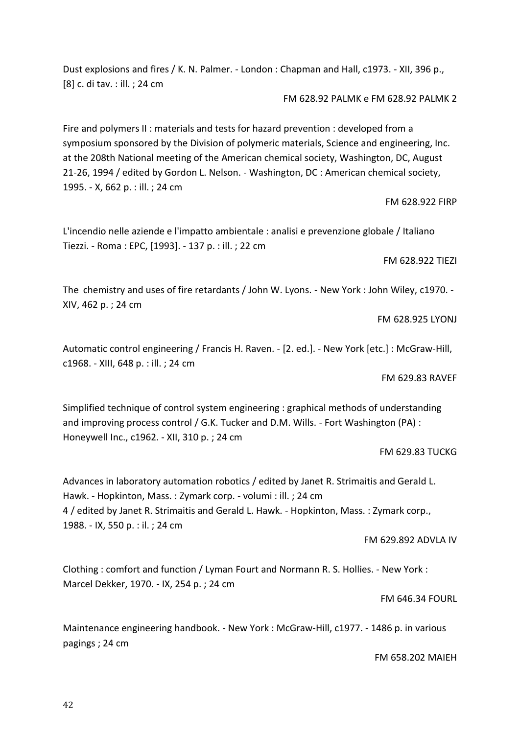Dust explosions and fires / K. N. Palmer. - London : Chapman and Hall, c1973. - XII, 396 p., [8] c. di tav. : ill. ; 24 cm

FM 628.92 PALMK e FM 628.92 PALMK 2

Fire and polymers II : materials and tests for hazard prevention : developed from a symposium sponsored by the Division of polymeric materials, Science and engineering, Inc. at the 208th National meeting of the American chemical society, Washington, DC, August 21-26, 1994 / edited by Gordon L. Nelson. - Washington, DC : American chemical society, 1995. - X, 662 p. : ill. ; 24 cm

FM 628.922 FIRP

L'incendio nelle aziende e l'impatto ambientale : analisi e prevenzione globale / Italiano Tiezzi. - Roma : EPC, [1993]. - 137 p. : ill. ; 22 cm

FM 628.922 TIEZI

The chemistry and uses of fire retardants / John W. Lyons. - New York : John Wiley, c1970. - XIV, 462 p. ; 24 cm

FM 628.925 LYONJ

Automatic control engineering / Francis H. Raven. - [2. ed.]. - New York [etc.] : McGraw-Hill, c1968. - XIII, 648 p. : ill. ; 24 cm

FM 629.83 RAVEF

Simplified technique of control system engineering : graphical methods of understanding and improving process control / G.K. Tucker and D.M. Wills. - Fort Washington (PA) : Honeywell Inc., c1962. - XII, 310 p. ; 24 cm

#### FM 629.83 TUCKG

Advances in laboratory automation robotics / edited by Janet R. Strimaitis and Gerald L. Hawk. - Hopkinton, Mass. : Zymark corp. - volumi : ill. ; 24 cm 4 / edited by Janet R. Strimaitis and Gerald L. Hawk. - Hopkinton, Mass. : Zymark corp., 1988. - IX, 550 p. : il. ; 24 cm

#### FM 629.892 ADVLA IV

Clothing : comfort and function / Lyman Fourt and Normann R. S. Hollies. - New York : Marcel Dekker, 1970. - IX, 254 p. ; 24 cm

#### FM 646.34 FOURL

Maintenance engineering handbook. - New York : McGraw-Hill, c1977. - 1486 p. in various pagings ; 24 cm

FM 658.202 MAIEH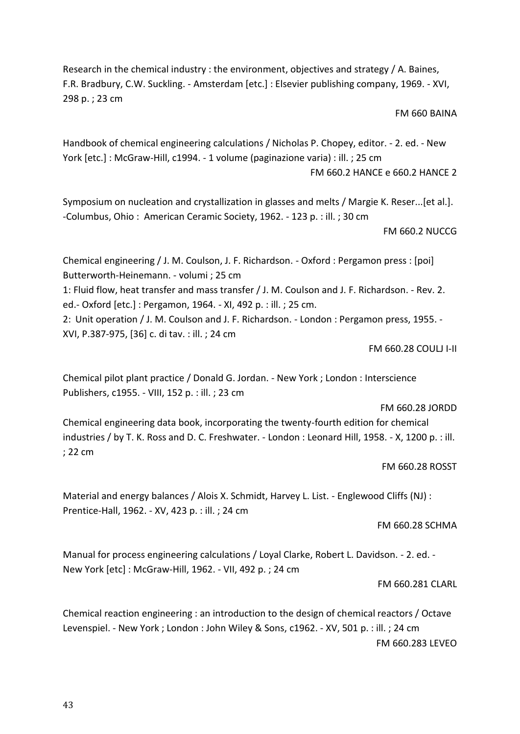Research in the chemical industry : the environment, objectives and strategy / A. Baines, F.R. Bradbury, C.W. Suckling. - Amsterdam [etc.] : Elsevier publishing company, 1969. - XVI, 298 p. ; 23 cm

#### FM 660 BAINA

Handbook of chemical engineering calculations / Nicholas P. Chopey, editor. - 2. ed. - New York [etc.] : McGraw-Hill, c1994. - 1 volume (paginazione varia) : ill. ; 25 cm FM 660.2 HANCE e 660.2 HANCE 2

Symposium on nucleation and crystallization in glasses and melts / Margie K. Reser...[et al.]. -Columbus, Ohio : American Ceramic Society, 1962. - 123 p. : ill. ; 30 cm

### FM 660.2 NUCCG

Chemical engineering / J. M. Coulson, J. F. Richardson. - Oxford : Pergamon press : [poi] Butterworth-Heinemann. - volumi ; 25 cm 1: Fluid flow, heat transfer and mass transfer / J. M. Coulson and J. F. Richardson. - Rev. 2. ed.- Oxford [etc.] : Pergamon, 1964. - XI, 492 p. : ill. ; 25 cm. 2: Unit operation / J. M. Coulson and J. F. Richardson. - London : Pergamon press, 1955. - XVI, P.387-975, [36] c. di tav. : ill. ; 24 cm

FM 660.28 COULJ I-II

Chemical pilot plant practice / Donald G. Jordan. - New York ; London : Interscience Publishers, c1955. - VIII, 152 p. : ill. ; 23 cm

#### FM 660.28 JORDD

Chemical engineering data book, incorporating the twenty-fourth edition for chemical industries / by T. K. Ross and D. C. Freshwater. - London : Leonard Hill, 1958. - X, 1200 p. : ill. ; 22 cm

FM 660.28 ROSST

Material and energy balances / Alois X. Schmidt, Harvey L. List. - Englewood Cliffs (NJ) : Prentice-Hall, 1962. - XV, 423 p. : ill. ; 24 cm

FM 660.28 SCHMA

Manual for process engineering calculations / Loyal Clarke, Robert L. Davidson. - 2. ed. - New York [etc] : McGraw-Hill, 1962. - VII, 492 p. ; 24 cm

# FM 660.281 CLARL

Chemical reaction engineering : an introduction to the design of chemical reactors / Octave Levenspiel. - New York ; London : John Wiley & Sons, c1962. - XV, 501 p. : ill. ; 24 cm FM 660.283 LEVEO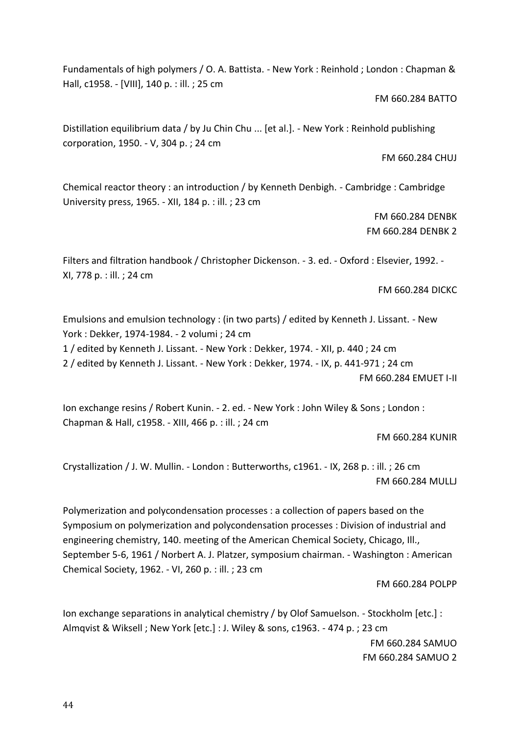Fundamentals of high polymers / O. A. Battista. - New York : Reinhold ; London : Chapman & Hall, c1958. - [VIII], 140 p. : ill. ; 25 cm

FM 660.284 BATTO

Distillation equilibrium data / by Ju Chin Chu ... [et al.]. - New York : Reinhold publishing corporation, 1950. - V, 304 p. ; 24 cm

FM 660.284 CHUJ

Chemical reactor theory : an introduction / by Kenneth Denbigh. - Cambridge : Cambridge University press, 1965. - XII, 184 p. : ill. ; 23 cm

> FM 660.284 DENBK FM 660.284 DENBK 2

Filters and filtration handbook / Christopher Dickenson. - 3. ed. - Oxford : Elsevier, 1992. - XI, 778 p. : ill. ; 24 cm

FM 660.284 DICKC

Emulsions and emulsion technology : (in two parts) / edited by Kenneth J. Lissant. - New York : Dekker, 1974-1984. - 2 volumi ; 24 cm

1 / edited by Kenneth J. Lissant. - New York : Dekker, 1974. - XII, p. 440 ; 24 cm 2 / edited by Kenneth J. Lissant. - New York : Dekker, 1974. - IX, p. 441-971 ; 24 cm

FM 660.284 EMUET I-II

Ion exchange resins / Robert Kunin. - 2. ed. - New York : John Wiley & Sons ; London : Chapman & Hall, c1958. - XIII, 466 p. : ill. ; 24 cm

FM 660.284 KUNIR

Crystallization / J. W. Mullin. - London : Butterworths, c1961. - IX, 268 p. : ill. ; 26 cm FM 660.284 MULLJ

Polymerization and polycondensation processes : a collection of papers based on the Symposium on polymerization and polycondensation processes : Division of industrial and engineering chemistry, 140. meeting of the American Chemical Society, Chicago, Ill., September 5-6, 1961 / Norbert A. J. Platzer, symposium chairman. - Washington : American Chemical Society, 1962. - VI, 260 p. : ill. ; 23 cm

FM 660.284 POLPP

Ion exchange separations in analytical chemistry / by Olof Samuelson. - Stockholm [etc.] : Almqvist & Wiksell ; New York [etc.] : J. Wiley & sons, c1963. - 474 p. ; 23 cm FM 660.284 SAMUO FM 660.284 SAMUO 2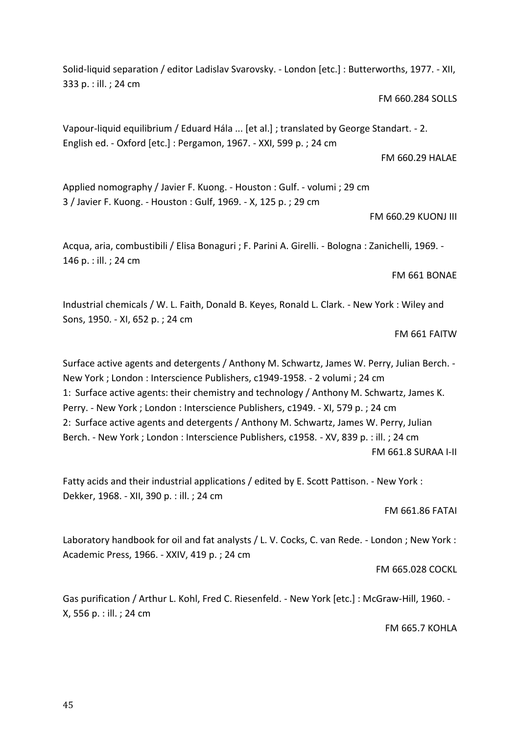Solid-liquid separation / editor Ladislav Svarovsky. - London [etc.] : Butterworths, 1977. - XII, 333 p. : ill. ; 24 cm

FM 660.284 SOLLS

Vapour-liquid equilibrium / Eduard Hála ... [et al.] ; translated by George Standart. - 2. English ed. - Oxford [etc.] : Pergamon, 1967. - XXI, 599 p. ; 24 cm

Applied nomography / Javier F. Kuong. - Houston : Gulf. - volumi ; 29 cm 3 / Javier F. Kuong. - Houston : Gulf, 1969. - X, 125 p. ; 29 cm

FM 660.29 KUONJ III

FM 660.29 HALAE

Acqua, aria, combustibili / Elisa Bonaguri ; F. Parini A. Girelli. - Bologna : Zanichelli, 1969. - 146 p. : ill. ; 24 cm

FM 661 BONAE

Industrial chemicals / W. L. Faith, Donald B. Keyes, Ronald L. Clark. - New York : Wiley and Sons, 1950. - XI, 652 p. ; 24 cm

FM 661 FAITW

Surface active agents and detergents / Anthony M. Schwartz, James W. Perry, Julian Berch. - New York ; London : Interscience Publishers, c1949-1958. - 2 volumi ; 24 cm 1: Surface active agents: their chemistry and technology / Anthony M. Schwartz, James K. Perry. - New York ; London : Interscience Publishers, c1949. - XI, 579 p. ; 24 cm 2: Surface active agents and detergents / Anthony M. Schwartz, James W. Perry, Julian Berch. - New York ; London : Interscience Publishers, c1958. - XV, 839 p. : ill. ; 24 cm FM 661.8 SURAA I-II

Fatty acids and their industrial applications / edited by E. Scott Pattison. - New York : Dekker, 1968. - XII, 390 p. : ill. ; 24 cm

FM 661.86 FATAI

Laboratory handbook for oil and fat analysts / L. V. Cocks, C. van Rede. - London ; New York : Academic Press, 1966. - XXIV, 419 p. ; 24 cm

FM 665.028 COCKL

Gas purification / Arthur L. Kohl, Fred C. Riesenfeld. - New York [etc.] : McGraw-Hill, 1960. - X, 556 p. : ill. ; 24 cm

FM 665.7 KOHLA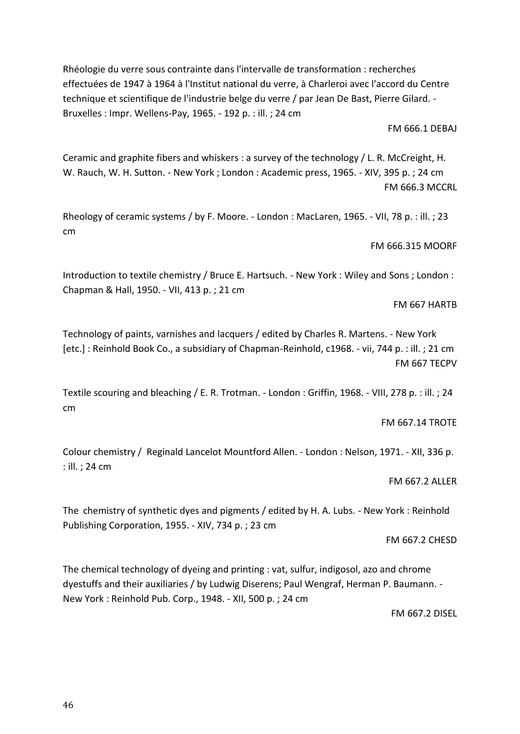Chapman & Hall, 1950. - VII, 413 p. ; 21 cm

Bruxelles : Impr. Wellens-Pay, 1965. - 192 p. : ill. ; 24 cm

Technology of paints, varnishes and lacquers / edited by Charles R. Martens. - New York [etc.] : Reinhold Book Co., a subsidiary of Chapman-Reinhold, c1968. - vii, 744 p. : ill. ; 21 cm FM 667 TECPV

Textile scouring and bleaching / E. R. Trotman. - London : Griffin, 1968. - VIII, 278 p. : ill. ; 24 cm

FM 667.14 TROTE

Colour chemistry / Reginald Lancelot Mountford Allen. - London : Nelson, 1971. - XII, 336 p. : ill. ; 24 cm

FM 667.2 ALLER

The chemistry of synthetic dyes and pigments / edited by H. A. Lubs. - New York : Reinhold Publishing Corporation, 1955. - XIV, 734 p. ; 23 cm

FM 667.2 CHESD

The chemical technology of dyeing and printing : vat, sulfur, indigosol, azo and chrome dyestuffs and their auxiliaries / by Ludwig Diserens; Paul Wengraf, Herman P. Baumann. - New York : Reinhold Pub. Corp., 1948. - XII, 500 p. ; 24 cm

FM 667.2 DISEL

# Ceramic and graphite fibers and whiskers : a survey of the technology / L. R. McCreight, H.

effectuées de 1947 à 1964 à l'Institut national du verre, à Charleroi avec l'accord du Centre technique et scientifique de l'industrie belge du verre / par Jean De Bast, Pierre Gilard. -

Rhéologie du verre sous contrainte dans l'intervalle de transformation : recherches

W. Rauch, W. H. Sutton. - New York ; London : Academic press, 1965. - XIV, 395 p. ; 24 cm FM 666.3 MCCRL

Rheology of ceramic systems / by F. Moore. - London : MacLaren, 1965. - VII, 78 p. : ill. ; 23 cm

Introduction to textile chemistry / Bruce E. Hartsuch. - New York : Wiley and Sons ; London :

### FM 666.315 MOORF

FM 666.1 DEBAJ

# FM 667 HARTB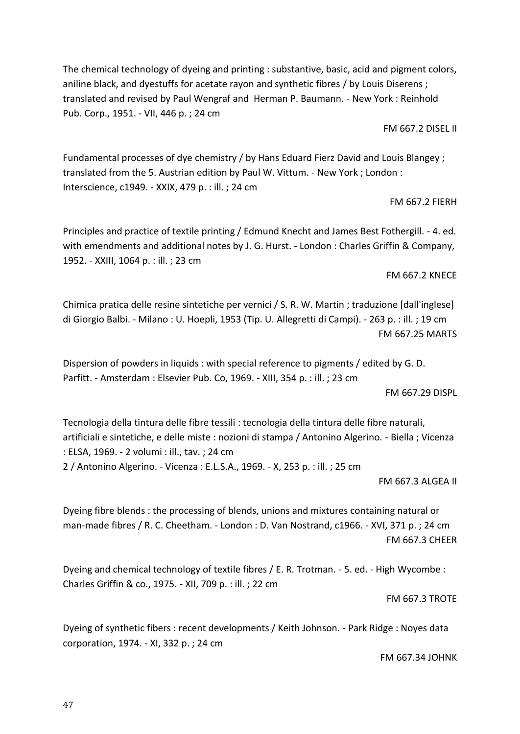The chemical technology of dyeing and printing : substantive, basic, acid and pigment colors, aniline black, and dyestuffs for acetate rayon and synthetic fibres / by Louis Diserens ; translated and revised by Paul Wengraf and Herman P. Baumann. - New York : Reinhold Pub. Corp., 1951. - VII, 446 p. ; 24 cm

FM 667.2 DISEL II

Fundamental processes of dye chemistry / by Hans Eduard Fierz David and Louis Blangey ; translated from the 5. Austrian edition by Paul W. Vittum. - New York ; London : Interscience, c1949. - XXIX, 479 p. : ill. ; 24 cm

FM 667.2 FIERH

Principles and practice of textile printing / Edmund Knecht and James Best Fothergill. - 4. ed. with emendments and additional notes by J. G. Hurst. - London : Charles Griffin & Company, 1952. - XXIII, 1064 p. : ill. ; 23 cm

FM 667.2 KNECE

Chimica pratica delle resine sintetiche per vernici / S. R. W. Martin ; traduzione [dall'inglese] di Giorgio Balbi. - Milano : U. Hoepli, 1953 (Tip. U. Allegretti di Campi). - 263 p. : ill. ; 19 cm FM 667.25 MARTS

Dispersion of powders in liquids : with special reference to pigments / edited by G. D. Parfitt. - Amsterdam : Elsevier Pub. Co, 1969. - XIII, 354 p. : ill. ; 23 cm

FM 667.29 DISPL

Tecnologia della tintura delle fibre tessili : tecnologia della tintura delle fibre naturali, artificiali e sintetiche, e delle miste : nozioni di stampa / Antonino Algerino. - Biella ; Vicenza : ELSA, 1969. - 2 volumi : ill., tav. ; 24 cm 2 / Antonino Algerino. - Vicenza : E.L.S.A., 1969. - X, 253 p. : ill. ; 25 cm

FM 667.3 ALGEA II

Dyeing fibre blends : the processing of blends, unions and mixtures containing natural or man-made fibres / R. C. Cheetham. - London : D. Van Nostrand, c1966. - XVI, 371 p. ; 24 cm FM 667.3 CHEER

Dyeing and chemical technology of textile fibres / E. R. Trotman. - 5. ed. - High Wycombe : Charles Griffin & co., 1975. - XII, 709 p. : ill. ; 22 cm

FM 667.3 TROTE

Dyeing of synthetic fibers : recent developments / Keith Johnson. - Park Ridge : Noyes data corporation, 1974. - XI, 332 p. ; 24 cm

FM 667.34 JOHNK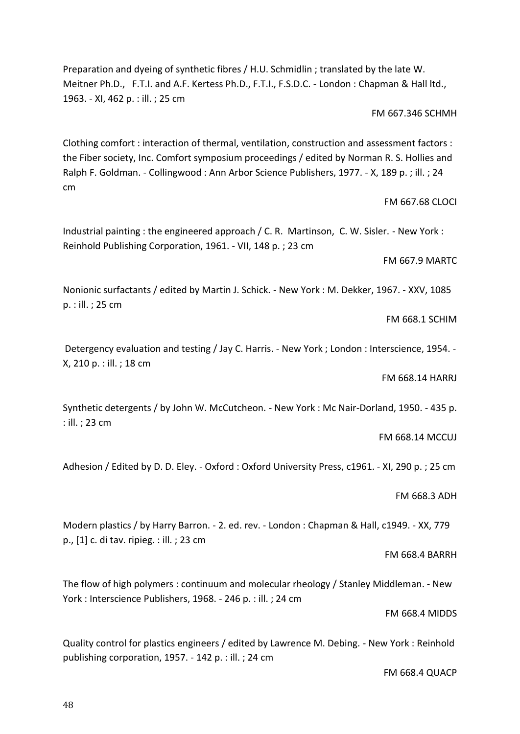48

Preparation and dyeing of synthetic fibres / H.U. Schmidlin ; translated by the late W. Meitner Ph.D., F.T.I. and A.F. Kertess Ph.D., F.T.I., F.S.D.C. - London : Chapman & Hall ltd., 1963. - XI, 462 p. : ill. ; 25 cm

FM 667.346 SCHMH

Clothing comfort : interaction of thermal, ventilation, construction and assessment factors : the Fiber society, Inc. Comfort symposium proceedings / edited by Norman R. S. Hollies and Ralph F. Goldman. - Collingwood : Ann Arbor Science Publishers, 1977. - X, 189 p. ; ill. ; 24 cm

Industrial painting : the engineered approach / C. R. Martinson, C. W. Sisler. - New York : Reinhold Publishing Corporation, 1961. - VII, 148 p. ; 23 cm

FM 667.9 MARTC

FM 667.68 CLOCI

Nonionic surfactants / edited by Martin J. Schick. - New York : M. Dekker, 1967. - XXV, 1085 p. : ill. ; 25 cm

FM 668.1 SCHIM

Detergency evaluation and testing / Jay C. Harris. - New York ; London : Interscience, 1954. -X, 210 p. : ill. ; 18 cm

FM 668.14 HARRJ

Synthetic detergents / by John W. McCutcheon. - New York : Mc Nair-Dorland, 1950. - 435 p. : ill. ; 23 cm

FM 668.14 MCCUJ

Adhesion / Edited by D. D. Eley. - Oxford : Oxford University Press, c1961. - XI, 290 p. ; 25 cm

FM 668.3 ADH

Modern plastics / by Harry Barron. - 2. ed. rev. - London : Chapman & Hall, c1949. - XX, 779 p., [1] c. di tav. ripieg. : ill. ; 23 cm

FM 668.4 BARRH

The flow of high polymers : continuum and molecular rheology / Stanley Middleman. - New York : Interscience Publishers, 1968. - 246 p. : ill. ; 24 cm

FM 668.4 MIDDS

Quality control for plastics engineers / edited by Lawrence M. Debing. - New York : Reinhold publishing corporation, 1957. - 142 p. : ill. ; 24 cm

FM 668.4 QUACP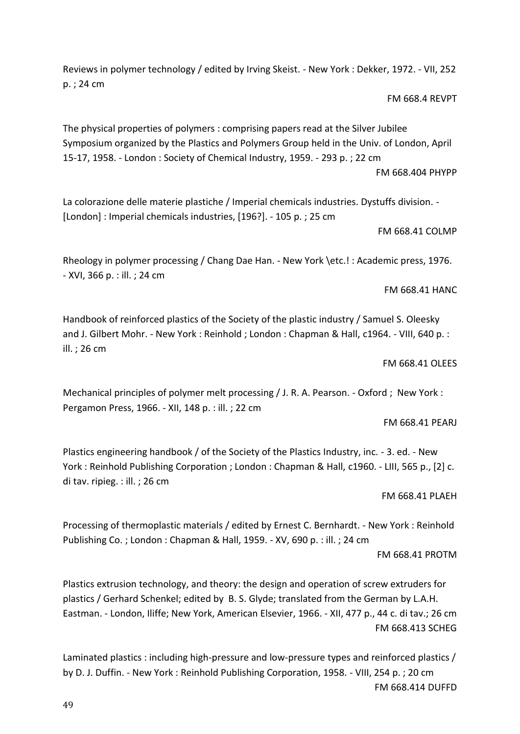Reviews in polymer technology / edited by Irving Skeist. - New York : Dekker, 1972. - VII, 252 p. ; 24 cm

FM 668.4 REVPT

The physical properties of polymers : comprising papers read at the Silver Jubilee Symposium organized by the Plastics and Polymers Group held in the Univ. of London, April 15-17, 1958. - London : Society of Chemical Industry, 1959. - 293 p. ; 22 cm FM 668.404 PHYPP

La colorazione delle materie plastiche / Imperial chemicals industries. Dystuffs division. - [London] : Imperial chemicals industries, [196?]. - 105 p. ; 25 cm

FM 668.41 COLMP

Rheology in polymer processing / Chang Dae Han. - New York \etc.! : Academic press, 1976. - XVI, 366 p. : ill. ; 24 cm

FM 668.41 HANC

Handbook of reinforced plastics of the Society of the plastic industry / Samuel S. Oleesky and J. Gilbert Mohr. - New York : Reinhold ; London : Chapman & Hall, c1964. - VIII, 640 p. : ill. ; 26 cm

FM 668.41 OLEES

Mechanical principles of polymer melt processing / J. R. A. Pearson. - Oxford ; New York : Pergamon Press, 1966. - XII, 148 p. : ill. ; 22 cm

FM 668.41 PEARJ

Plastics engineering handbook / of the Society of the Plastics Industry, inc. - 3. ed. - New York : Reinhold Publishing Corporation ; London : Chapman & Hall, c1960. - LIII, 565 p., [2] c. di tav. ripieg. : ill. ; 26 cm

FM 668.41 PLAEH

Processing of thermoplastic materials / edited by Ernest C. Bernhardt. - New York : Reinhold Publishing Co. ; London : Chapman & Hall, 1959. - XV, 690 p. : ill. ; 24 cm

Plastics extrusion technology, and theory: the design and operation of screw extruders for plastics / Gerhard Schenkel; edited by B. S. Glyde; translated from the German by L.A.H. Eastman. - London, Iliffe; New York, American Elsevier, 1966. - XII, 477 p., 44 c. di tav.; 26 cm FM 668.413 SCHEG

Laminated plastics : including high-pressure and low-pressure types and reinforced plastics / by D. J. Duffin. - New York : Reinhold Publishing Corporation, 1958. - VIII, 254 p. ; 20 cm FM 668.414 DUFFD

FM 668.41 PROTM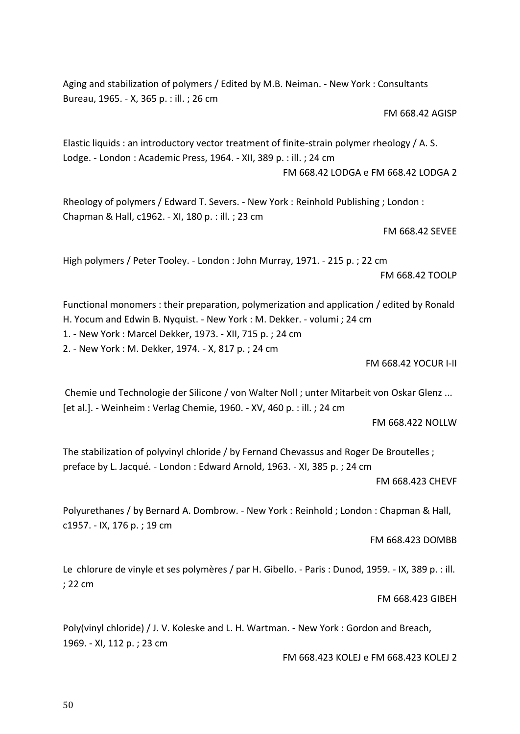Aging and stabilization of polymers / Edited by M.B. Neiman. - New York : Consultants Bureau, 1965. - X, 365 p. : ill. ; 26 cm

FM 668.42 AGISP

Elastic liquids : an introductory vector treatment of finite-strain polymer rheology / A. S. Lodge. - London : Academic Press, 1964. - XII, 389 p. : ill. ; 24 cm FM 668.42 LODGA e FM 668.42 LODGA 2

Rheology of polymers / Edward T. Severs. - New York : Reinhold Publishing ; London : Chapman & Hall, c1962. - XI, 180 p. : ill. ; 23 cm

FM 668.42 SEVEE

High polymers / Peter Tooley. - London : John Murray, 1971. - 215 p. ; 22 cm FM 668.42 TOOLP

Functional monomers : their preparation, polymerization and application / edited by Ronald H. Yocum and Edwin B. Nyquist. - New York : M. Dekker. - volumi ; 24 cm

1. - New York : Marcel Dekker, 1973. - XII, 715 p. ; 24 cm

2. - New York : M. Dekker, 1974. - X, 817 p. ; 24 cm

FM 668.42 YOCUR I-II

Chemie und Technologie der Silicone / von Walter Noll ; unter Mitarbeit von Oskar Glenz ... [et al.]. - Weinheim : Verlag Chemie, 1960. - XV, 460 p. : ill. ; 24 cm

FM 668.422 NOLLW

The stabilization of polyvinyl chloride / by Fernand Chevassus and Roger De Broutelles ; preface by L. Jacqué. - London : Edward Arnold, 1963. - XI, 385 p. ; 24 cm

FM 668.423 CHEVF

Polyurethanes / by Bernard A. Dombrow. - New York : Reinhold ; London : Chapman & Hall, c1957. - IX, 176 p. ; 19 cm

FM 668.423 DOMBB

Le chlorure de vinyle et ses polymères / par H. Gibello. - Paris : Dunod, 1959. - IX, 389 p. : ill. ; 22 cm

FM 668.423 GIBEH

Poly(vinyl chloride) / J. V. Koleske and L. H. Wartman. - New York : Gordon and Breach, 1969. - XI, 112 p. ; 23 cm

FM 668.423 KOLEJ e FM 668.423 KOLEJ 2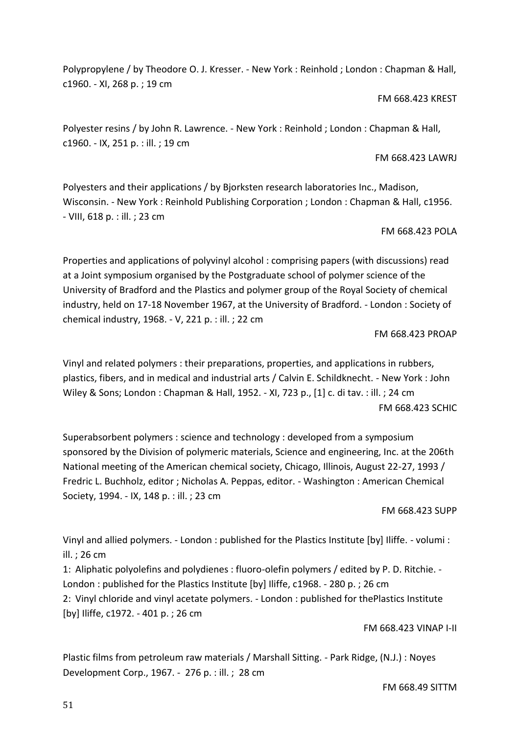Polypropylene / by Theodore O. J. Kresser. - New York : Reinhold ; London : Chapman & Hall, c1960. - XI, 268 p. ; 19 cm

## FM 668.423 KREST

Polyester resins / by John R. Lawrence. - New York : Reinhold ; London : Chapman & Hall, c1960. - IX, 251 p. : ill. ; 19 cm

## FM 668.423 LAWRJ

Polyesters and their applications / by Bjorksten research laboratories Inc., Madison, Wisconsin. - New York : Reinhold Publishing Corporation ; London : Chapman & Hall, c1956. - VIII, 618 p. : ill. ; 23 cm

# FM 668.423 POLA

Properties and applications of polyvinyl alcohol : comprising papers (with discussions) read at a Joint symposium organised by the Postgraduate school of polymer science of the University of Bradford and the Plastics and polymer group of the Royal Society of chemical industry, held on 17-18 November 1967, at the University of Bradford. - London : Society of chemical industry, 1968. - V, 221 p. : ill. ; 22 cm

# FM 668.423 PROAP

Vinyl and related polymers : their preparations, properties, and applications in rubbers, plastics, fibers, and in medical and industrial arts / Calvin E. Schildknecht. - New York : John Wiley & Sons; London : Chapman & Hall, 1952. - XI, 723 p., [1] c. di tav. : ill. ; 24 cm FM 668.423 SCHIC

Superabsorbent polymers : science and technology : developed from a symposium sponsored by the Division of polymeric materials, Science and engineering, Inc. at the 206th National meeting of the American chemical society, Chicago, Illinois, August 22-27, 1993 / Fredric L. Buchholz, editor ; Nicholas A. Peppas, editor. - Washington : American Chemical Society, 1994. - IX, 148 p. : ill. ; 23 cm

# FM 668.423 SUPP

Vinyl and allied polymers. - London : published for the Plastics Institute [by] Iliffe. - volumi : ill. ; 26 cm

1: Aliphatic polyolefins and polydienes : fluoro-olefin polymers / edited by P. D. Ritchie. - London : published for the Plastics Institute [by] Iliffe, c1968. - 280 p. ; 26 cm

2: Vinyl chloride and vinyl acetate polymers. - London : published for thePlastics Institute [by] Iliffe, c1972. - 401 p. ; 26 cm

FM 668.423 VINAP I-II

Plastic films from petroleum raw materials / Marshall Sitting. - Park Ridge, (N.J.) : Noyes Development Corp., 1967. - 276 p. : ill. ; 28 cm

FM 668.49 SITTM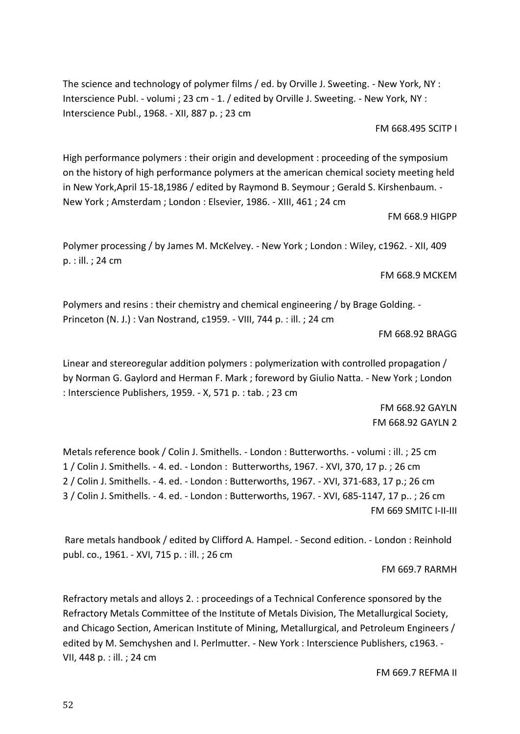52

The science and technology of polymer films / ed. by Orville J. Sweeting. - New York, NY : Interscience Publ. - volumi ; 23 cm - 1. / edited by Orville J. Sweeting. - New York, NY : Interscience Publ., 1968. - XII, 887 p. ; 23 cm

FM 668.495 SCITP I

High performance polymers : their origin and development : proceeding of the symposium on the history of high performance polymers at the american chemical society meeting held in New York,April 15-18,1986 / edited by Raymond B. Seymour ; Gerald S. Kirshenbaum. - New York ; Amsterdam ; London : Elsevier, 1986. - XIII, 461 ; 24 cm

FM 668.9 HIGPP

Polymer processing / by James M. McKelvey. - New York ; London : Wiley, c1962. - XII, 409 p. : ill. ; 24 cm

FM 668.9 MCKEM

Polymers and resins : their chemistry and chemical engineering / by Brage Golding. - Princeton (N. J.) : Van Nostrand, c1959. - VIII, 744 p. : ill. ; 24 cm

FM 668.92 BRAGG

Linear and stereoregular addition polymers : polymerization with controlled propagation / by Norman G. Gaylord and Herman F. Mark ; foreword by Giulio Natta. - New York ; London : Interscience Publishers, 1959. - X, 571 p. : tab. ; 23 cm

> FM 668.92 GAYLN FM 668.92 GAYLN 2

Metals reference book / Colin J. Smithells. - London : Butterworths. - volumi : ill. ; 25 cm 1 / Colin J. Smithells. - 4. ed. - London : Butterworths, 1967. - XVI, 370, 17 p. ; 26 cm 2 / Colin J. Smithells. - 4. ed. - London : Butterworths, 1967. - XVI, 371-683, 17 p.; 26 cm 3 / Colin J. Smithells. - 4. ed. - London : Butterworths, 1967. - XVI, 685-1147, 17 p.. ; 26 cm FM 669 SMITC I-II-III

Rare metals handbook / edited by Clifford A. Hampel. - Second edition. - London : Reinhold publ. co., 1961. - XVI, 715 p. : ill. ; 26 cm

FM 669.7 RARMH

Refractory metals and alloys 2. : proceedings of a Technical Conference sponsored by the Refractory Metals Committee of the Institute of Metals Division, The Metallurgical Society, and Chicago Section, American Institute of Mining, Metallurgical, and Petroleum Engineers / edited by M. Semchyshen and I. Perlmutter. - New York : Interscience Publishers, c1963. - VII, 448 p. : ill. ; 24 cm

FM 669.7 REFMA II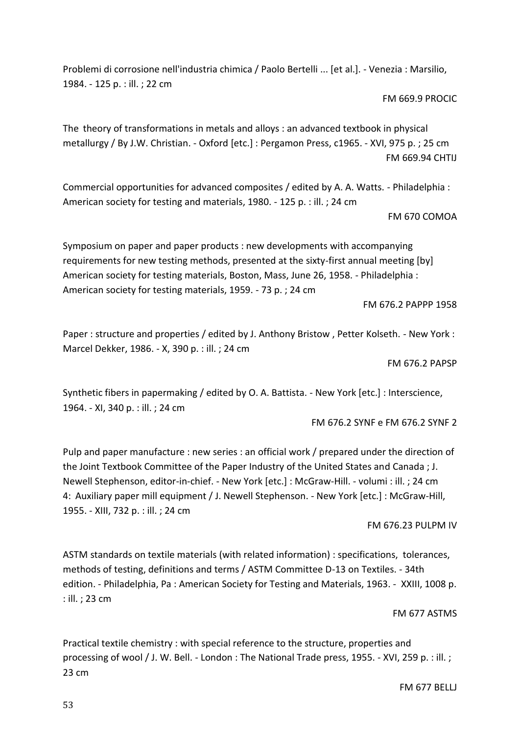FM 677 BELLJ

Problemi di corrosione nell'industria chimica / Paolo Bertelli ... [et al.]. - Venezia : Marsilio, 1984. - 125 p. : ill. ; 22 cm

FM 669.9 PROCIC

The theory of transformations in metals and alloys : an advanced textbook in physical metallurgy / By J.W. Christian. - Oxford [etc.] : Pergamon Press, c1965. - XVI, 975 p. ; 25 cm FM 669.94 CHTIJ

Commercial opportunities for advanced composites / edited by A. A. Watts. - Philadelphia : American society for testing and materials, 1980. - 125 p. : ill. ; 24 cm

# FM 670 COMOA

Symposium on paper and paper products : new developments with accompanying requirements for new testing methods, presented at the sixty-first annual meeting [by] American society for testing materials, Boston, Mass, June 26, 1958. - Philadelphia : American society for testing materials, 1959. - 73 p. ; 24 cm

FM 676.2 PAPPP 1958

Paper : structure and properties / edited by J. Anthony Bristow , Petter Kolseth. - New York : Marcel Dekker, 1986. - X, 390 p. : ill. ; 24 cm

FM 676.2 PAPSP

Synthetic fibers in papermaking / edited by O. A. Battista. - New York [etc.] : Interscience, 1964. - XI, 340 p. : ill. ; 24 cm

FM 676.2 SYNF e FM 676.2 SYNF 2

Pulp and paper manufacture : new series : an official work / prepared under the direction of the Joint Textbook Committee of the Paper Industry of the United States and Canada ; J. Newell Stephenson, editor-in-chief. - New York [etc.] : McGraw-Hill. - volumi : ill. ; 24 cm 4: Auxiliary paper mill equipment / J. Newell Stephenson. - New York [etc.] : McGraw-Hill, 1955. - XIII, 732 p. : ill. ; 24 cm

FM 676.23 PULPM IV

ASTM standards on textile materials (with related information) : specifications, tolerances, methods of testing, definitions and terms / ASTM Committee D-13 on Textiles. - 34th edition. - Philadelphia, Pa : American Society for Testing and Materials, 1963. - XXIII, 1008 p. : ill. ; 23 cm

FM 677 ASTMS

Practical textile chemistry : with special reference to the structure, properties and processing of wool / J. W. Bell. - London : The National Trade press, 1955. - XVI, 259 p. : ill. ; 23 cm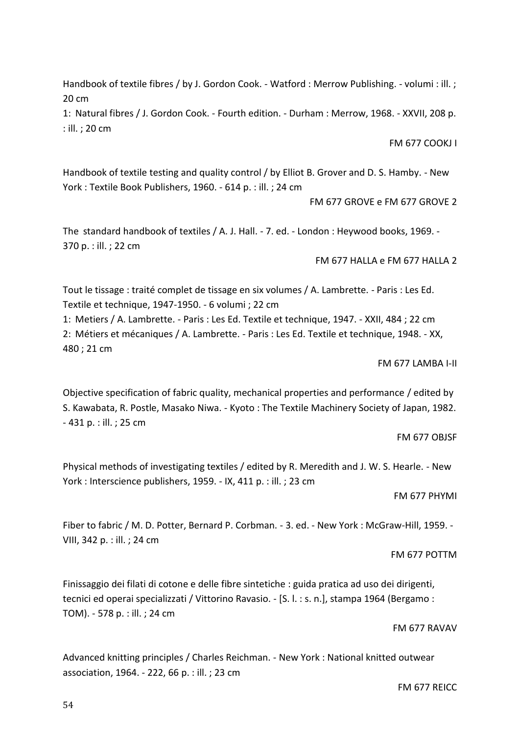Handbook of textile fibres / by J. Gordon Cook. - Watford : Merrow Publishing. - volumi : ill. ; 20 cm

1: Natural fibres / J. Gordon Cook. - Fourth edition. - Durham : Merrow, 1968. - XXVII, 208 p. : ill. ; 20 cm

FM 677 COOKJ I

Handbook of textile testing and quality control / by Elliot B. Grover and D. S. Hamby. - New York : Textile Book Publishers, 1960. - 614 p. : ill. ; 24 cm

FM 677 GROVE e FM 677 GROVE 2

The standard handbook of textiles / A. J. Hall. - 7. ed. - London : Heywood books, 1969. - 370 p. : ill. ; 22 cm

FM 677 HALLA e FM 677 HALLA 2

Tout le tissage : traité complet de tissage en six volumes / A. Lambrette. - Paris : Les Ed. Textile et technique, 1947-1950. - 6 volumi ; 22 cm

1: Metiers / A. Lambrette. - Paris : Les Ed. Textile et technique, 1947. - XXII, 484 ; 22 cm 2: Métiers et mécaniques / A. Lambrette. - Paris : Les Ed. Textile et technique, 1948. - XX, 480 ; 21 cm

FM 677 LAMBA I-II

Objective specification of fabric quality, mechanical properties and performance / edited by S. Kawabata, R. Postle, Masako Niwa. - Kyoto : The Textile Machinery Society of Japan, 1982. - 431 p. : ill. ; 25 cm

FM 677 OBJSF

Physical methods of investigating textiles / edited by R. Meredith and J. W. S. Hearle. - New York : Interscience publishers, 1959. - IX, 411 p. : ill. ; 23 cm

FM 677 PHYMI

Fiber to fabric / M. D. Potter, Bernard P. Corbman. - 3. ed. - New York : McGraw-Hill, 1959. - VIII, 342 p. : ill. ; 24 cm

FM 677 POTTM

Finissaggio dei filati di cotone e delle fibre sintetiche : guida pratica ad uso dei dirigenti, tecnici ed operai specializzati / Vittorino Ravasio. - [S. l. : s. n.], stampa 1964 (Bergamo : TOM). - 578 p. : ill. ; 24 cm

FM 677 RAVAV

Advanced knitting principles / Charles Reichman. - New York : National knitted outwear association, 1964. - 222, 66 p. : ill. ; 23 cm

FM 677 REICC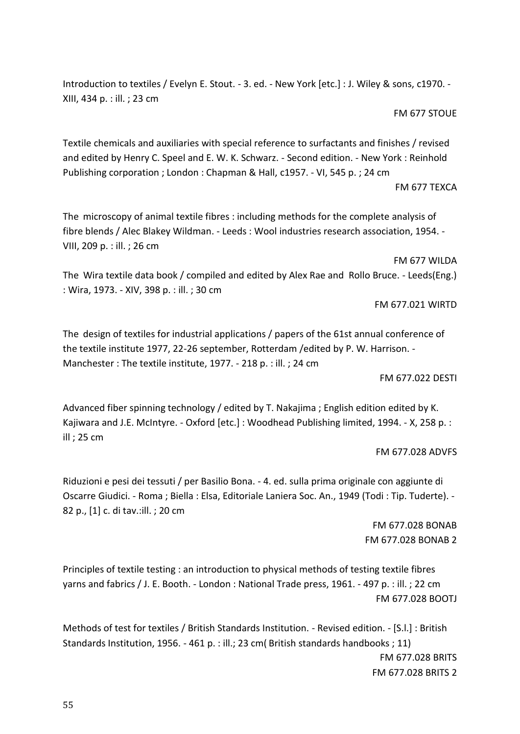Introduction to textiles / Evelyn E. Stout. - 3. ed. - New York [etc.] : J. Wiley & sons, c1970. - XIII, 434 p. : ill. ; 23 cm

FM 677 STOUE

Textile chemicals and auxiliaries with special reference to surfactants and finishes / revised and edited by Henry C. Speel and E. W. K. Schwarz. - Second edition. - New York : Reinhold Publishing corporation ; London : Chapman & Hall, c1957. - VI, 545 p. ; 24 cm FM 677 TEXCA

The microscopy of animal textile fibres : including methods for the complete analysis of fibre blends / Alec Blakey Wildman. - Leeds : Wool industries research association, 1954. - VIII, 209 p. : ill. ; 26 cm

FM 677 WILDA The Wira textile data book / compiled and edited by Alex Rae and Rollo Bruce. - Leeds(Eng.) : Wira, 1973. - XIV, 398 p. : ill. ; 30 cm

FM 677.021 WIRTD

The design of textiles for industrial applications / papers of the 61st annual conference of the textile institute 1977, 22-26 september, Rotterdam /edited by P. W. Harrison. - Manchester : The textile institute, 1977. - 218 p. : ill. ; 24 cm

FM 677.022 DESTI

Advanced fiber spinning technology / edited by T. Nakajima ; English edition edited by K. Kajiwara and J.E. McIntyre. - Oxford [etc.] : Woodhead Publishing limited, 1994. - X, 258 p. : ill ; 25 cm

FM 677.028 ADVFS

Riduzioni e pesi dei tessuti / per Basilio Bona. - 4. ed. sulla prima originale con aggiunte di Oscarre Giudici. - Roma ; Biella : Elsa, Editoriale Laniera Soc. An., 1949 (Todi : Tip. Tuderte). - 82 p., [1] c. di tav.:ill. ; 20 cm

> FM 677.028 BONAB FM 677.028 BONAB 2

Principles of textile testing : an introduction to physical methods of testing textile fibres yarns and fabrics / J. E. Booth. - London : National Trade press, 1961. - 497 p. : ill. ; 22 cm FM 677.028 BOOTJ

Methods of test for textiles / British Standards Institution. - Revised edition. - [S.l.] : British Standards Institution, 1956. - 461 p. : ill.; 23 cm( British standards handbooks ; 11) FM 677.028 BRITS FM 677.028 BRITS 2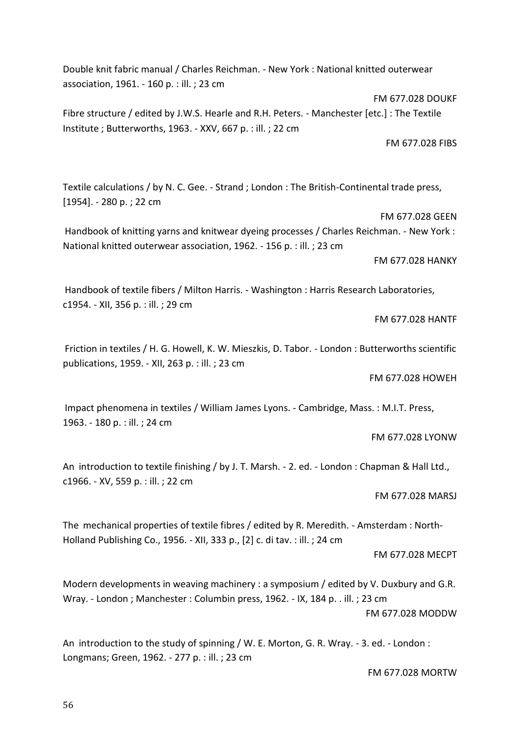Double knit fabric manual / Charles Reichman. - New York : National knitted outerwear association, 1961. - 160 p. : ill. ; 23 cm

Fibre structure / edited by J.W.S. Hearle and R.H. Peters. - Manchester [etc.] : The Textile Institute ; Butterworths, 1963. - XXV, 667 p. : ill. ; 22 cm

Textile calculations / by N. C. Gee. - Strand ; London : The British-Continental trade press, [1954]. - 280 p. ; 22 cm

FM 677.028 GEEN Handbook of knitting yarns and knitwear dyeing processes / Charles Reichman. - New York : National knitted outerwear association, 1962. - 156 p. : ill. ; 23 cm

FM 677.028 HANKY

Handbook of textile fibers / Milton Harris. - Washington : Harris Research Laboratories, c1954. - XII, 356 p. : ill. ; 29 cm

FM 677.028 HANTF

Friction in textiles / H. G. Howell, K. W. Mieszkis, D. Tabor. - London : Butterworths scientific publications, 1959. - XII, 263 p. : ill. ; 23 cm

FM 677.028 HOWEH

Impact phenomena in textiles / William James Lyons. - Cambridge, Mass. : M.I.T. Press, 1963. - 180 p. : ill. ; 24 cm

FM 677.028 LYONW

An introduction to textile finishing / by J. T. Marsh. - 2. ed. - London : Chapman & Hall Ltd., c1966. - XV, 559 p. : ill. ; 22 cm

FM 677.028 MARSJ

The mechanical properties of textile fibres / edited by R. Meredith. - Amsterdam : North-Holland Publishing Co., 1956. - XII, 333 p., [2] c. di tav. : ill. ; 24 cm

FM 677.028 MECPT

Modern developments in weaving machinery : a symposium / edited by V. Duxbury and G.R. Wray. - London ; Manchester : Columbin press, 1962. - IX, 184 p. . ill. ; 23 cm FM 677.028 MODDW

An introduction to the study of spinning / W. E. Morton, G. R. Wray. - 3. ed. - London : Longmans; Green, 1962. - 277 p. : ill. ; 23 cm

FM 677.028 MORTW

FM 677.028 DOUKF

FM 677.028 FIBS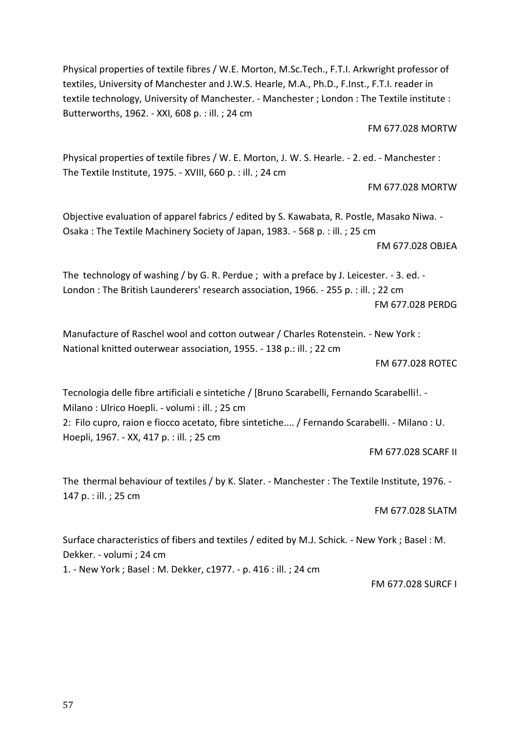Physical properties of textile fibres / W.E. Morton, M.Sc.Tech., F.T.I. Arkwright professor of textiles, University of Manchester and J.W.S. Hearle, M.A., Ph.D., F.Inst., F.T.I. reader in textile technology, University of Manchester. - Manchester ; London : The Textile institute : Butterworths, 1962. - XXI, 608 p. : ill. ; 24 cm

FM 677.028 MORTW

Physical properties of textile fibres / W. E. Morton, J. W. S. Hearle. - 2. ed. - Manchester : The Textile Institute, 1975. - XVIII, 660 p. : ill. ; 24 cm

FM 677.028 MORTW

Objective evaluation of apparel fabrics / edited by S. Kawabata, R. Postle, Masako Niwa. - Osaka : The Textile Machinery Society of Japan, 1983. - 568 p. : ill. ; 25 cm FM 677.028 OBJEA

The technology of washing / by G. R. Perdue ; with a preface by J. Leicester. - 3. ed. - London : The British Launderers' research association, 1966. - 255 p. : ill. ; 22 cm FM 677.028 PERDG

Manufacture of Raschel wool and cotton outwear / Charles Rotenstein. - New York : National knitted outerwear association, 1955. - 138 p.: ill. ; 22 cm

FM 677.028 ROTEC

Tecnologia delle fibre artificiali e sintetiche / [Bruno Scarabelli, Fernando Scarabelli!. - Milano : Ulrico Hoepli. - volumi : ill. ; 25 cm 2: Filo cupro, raion e fiocco acetato, fibre sintetiche.... / Fernando Scarabelli. - Milano : U. Hoepli, 1967. - XX, 417 p. : ill. ; 25 cm

FM 677.028 SCARF II

The thermal behaviour of textiles / by K. Slater. - Manchester : The Textile Institute, 1976. - 147 p. : ill. ; 25 cm

FM 677.028 SLATM

Surface characteristics of fibers and textiles / edited by M.J. Schick. - New York ; Basel : M. Dekker. - volumi ; 24 cm 1. - New York ; Basel : M. Dekker, c1977. - p. 416 : ill. ; 24 cm

FM 677.028 SURCF I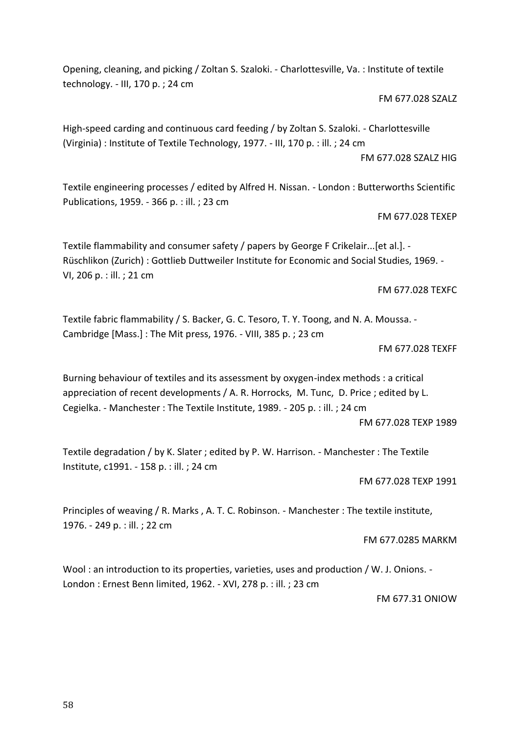58

Opening, cleaning, and picking / Zoltan S. Szaloki. - Charlottesville, Va. : Institute of textile technology. - III, 170 p. ; 24 cm

FM 677.028 SZALZ

High-speed carding and continuous card feeding / by Zoltan S. Szaloki. - Charlottesville (Virginia) : Institute of Textile Technology, 1977. - III, 170 p. : ill. ; 24 cm

FM 677.028 SZALZ HIG

Textile engineering processes / edited by Alfred H. Nissan. - London : Butterworths Scientific Publications, 1959. - 366 p. : ill. ; 23 cm

FM 677.028 TEXEP

Textile flammability and consumer safety / papers by George F Crikelair...[et al.]. - Rüschlikon (Zurich) : Gottlieb Duttweiler Institute for Economic and Social Studies, 1969. - VI, 206 p. : ill. ; 21 cm

FM 677.028 TEXFC

Textile fabric flammability / S. Backer, G. C. Tesoro, T. Y. Toong, and N. A. Moussa. - Cambridge [Mass.] : The Mit press, 1976. - VIII, 385 p. ; 23 cm

FM 677.028 TEXFF

Burning behaviour of textiles and its assessment by oxygen-index methods : a critical appreciation of recent developments / A. R. Horrocks, M. Tunc, D. Price ; edited by L. Cegielka. - Manchester : The Textile Institute, 1989. - 205 p. : ill. ; 24 cm FM 677.028 TEXP 1989

Textile degradation / by K. Slater ; edited by P. W. Harrison. - Manchester : The Textile Institute, c1991. - 158 p. : ill. ; 24 cm

FM 677.028 TEXP 1991

Principles of weaving / R. Marks , A. T. C. Robinson. - Manchester : The textile institute, 1976. - 249 p. : ill. ; 22 cm

FM 677.0285 MARKM

Wool : an introduction to its properties, varieties, uses and production / W. J. Onions. -London : Ernest Benn limited, 1962. - XVI, 278 p. : ill. ; 23 cm

FM 677.31 ONIOW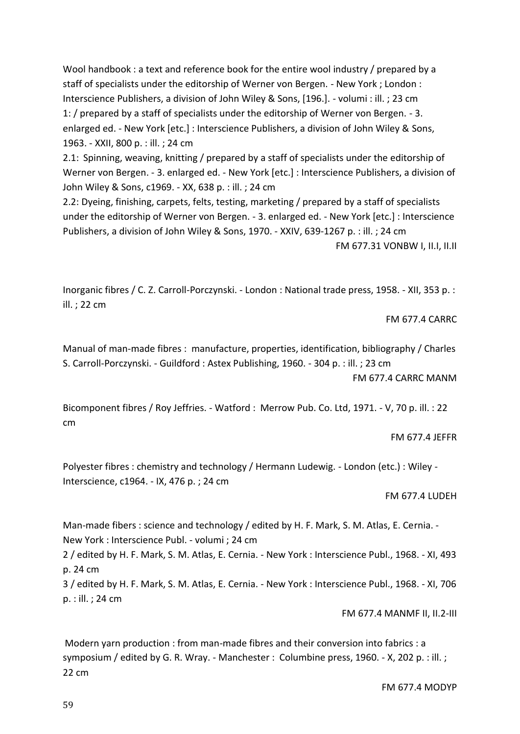Wool handbook : a text and reference book for the entire wool industry / prepared by a staff of specialists under the editorship of Werner von Bergen. - New York ; London : Interscience Publishers, a division of John Wiley & Sons, [196.]. - volumi : ill. ; 23 cm 1: / prepared by a staff of specialists under the editorship of Werner von Bergen. - 3. enlarged ed. - New York [etc.] : Interscience Publishers, a division of John Wiley & Sons, 1963. - XXII, 800 p. : ill. ; 24 cm

2.1: Spinning, weaving, knitting / prepared by a staff of specialists under the editorship of Werner von Bergen. - 3. enlarged ed. - New York [etc.] : Interscience Publishers, a division of John Wiley & Sons, c1969. - XX, 638 p. : ill. ; 24 cm

2.2: Dyeing, finishing, carpets, felts, testing, marketing / prepared by a staff of specialists under the editorship of Werner von Bergen. - 3. enlarged ed. - New York [etc.] : Interscience Publishers, a division of John Wiley & Sons, 1970. - XXIV, 639-1267 p. : ill. ; 24 cm

FM 677.31 VONBW I, II.I, II.II

Inorganic fibres / C. Z. Carroll-Porczynski. - London : National trade press, 1958. - XII, 353 p. : ill. ; 22 cm

FM 677.4 CARRC

Manual of man-made fibres : manufacture, properties, identification, bibliography / Charles S. Carroll-Porczynski. - Guildford : Astex Publishing, 1960. - 304 p. : ill. ; 23 cm

FM 677.4 CARRC MANM

Bicomponent fibres / Roy Jeffries. - Watford : Merrow Pub. Co. Ltd, 1971. - V, 70 p. ill. : 22 cm

FM 677.4 JEFFR

Polyester fibres : chemistry and technology / Hermann Ludewig. - London (etc.) : Wiley - Interscience, c1964. - IX, 476 p. ; 24 cm

FM 677.4 LUDEH

Man-made fibers : science and technology / edited by H. F. Mark, S. M. Atlas, E. Cernia. -New York : Interscience Publ. - volumi ; 24 cm

2 / edited by H. F. Mark, S. M. Atlas, E. Cernia. - New York : Interscience Publ., 1968. - XI, 493 p. 24 cm

3 / edited by H. F. Mark, S. M. Atlas, E. Cernia. - New York : Interscience Publ., 1968. - XI, 706 p. : ill. ; 24 cm

FM 677.4 MANMF II, II.2-III

Modern yarn production : from man-made fibres and their conversion into fabrics : a symposium / edited by G. R. Wray. - Manchester : Columbine press, 1960. - X, 202 p. : ill. ; 22 cm

FM 677.4 MODYP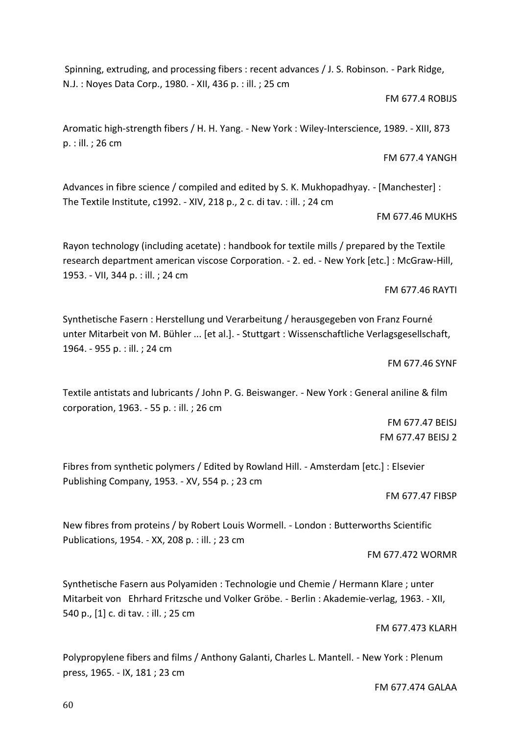Spinning, extruding, and processing fibers : recent advances / J. S. Robinson. - Park Ridge, N.J. : Noyes Data Corp., 1980. - XII, 436 p. : ill. ; 25 cm

#### FM 677.4 ROBIJS

FM 677.4 YANGH

Aromatic high-strength fibers / H. H. Yang. - New York : Wiley-Interscience, 1989. - XIII, 873 p. : ill. ; 26 cm

Advances in fibre science / compiled and edited by S. K. Mukhopadhyay. - [Manchester] : The Textile Institute, c1992. - XIV, 218 p., 2 c. di tav. : ill. ; 24 cm

FM 677.46 MUKHS

Rayon technology (including acetate) : handbook for textile mills / prepared by the Textile research department american viscose Corporation. - 2. ed. - New York [etc.] : McGraw-Hill, 1953. - VII, 344 p. : ill. ; 24 cm

FM 677.46 RAYTI

Synthetische Fasern : Herstellung und Verarbeitung / herausgegeben von Franz Fourné unter Mitarbeit von M. Bühler ... [et al.]. - Stuttgart : Wissenschaftliche Verlagsgesellschaft, 1964. - 955 p. : ill. ; 24 cm

FM 677.46 SYNF

Textile antistats and lubricants / John P. G. Beiswanger. - New York : General aniline & film corporation, 1963. - 55 p. : ill. ; 26 cm

> FM 677.47 BEISJ FM 677.47 BEISJ 2

Fibres from synthetic polymers / Edited by Rowland Hill. - Amsterdam [etc.] : Elsevier Publishing Company, 1953. - XV, 554 p. ; 23 cm

FM 677.47 FIBSP

New fibres from proteins / by Robert Louis Wormell. - London : Butterworths Scientific Publications, 1954. - XX, 208 p. : ill. ; 23 cm

FM 677.472 WORMR

Synthetische Fasern aus Polyamiden : Technologie und Chemie / Hermann Klare ; unter Mitarbeit von Ehrhard Fritzsche und Volker Gröbe. - Berlin : Akademie-verlag, 1963. - XII, 540 p., [1] c. di tav. : ill. ; 25 cm

FM 677.473 KLARH

Polypropylene fibers and films / Anthony Galanti, Charles L. Mantell. - New York : Plenum press, 1965. - IX, 181 ; 23 cm

FM 677.474 GALAA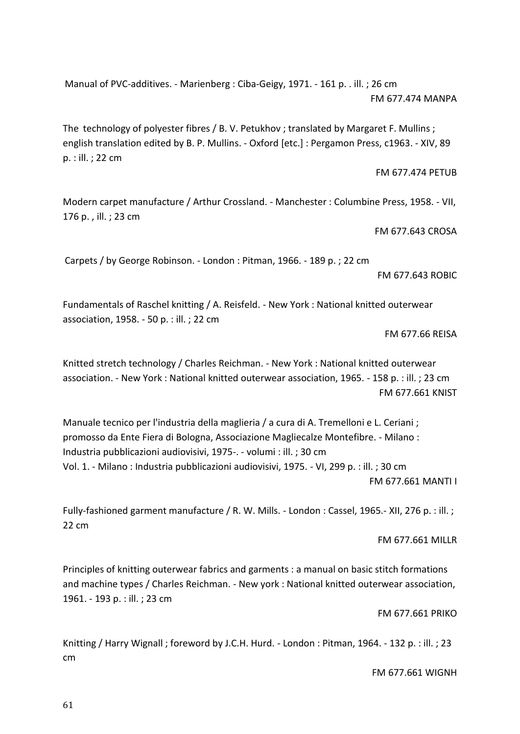Manual of PVC-additives. - Marienberg : Ciba-Geigy, 1971. - 161 p. . ill. ; 26 cm FM 677.474 MANPA

The technology of polyester fibres / B. V. Petukhov ; translated by Margaret F. Mullins ; english translation edited by B. P. Mullins. - Oxford [etc.] : Pergamon Press, c1963. - XIV, 89 p. : ill. ; 22 cm

FM 677.474 PETUB

Modern carpet manufacture / Arthur Crossland. - Manchester : Columbine Press, 1958. - VII, 176 p. , ill. ; 23 cm

FM 677.643 CROSA

Carpets / by George Robinson. - London : Pitman, 1966. - 189 p. ; 22 cm

FM 677.643 ROBIC

Fundamentals of Raschel knitting / A. Reisfeld. - New York : National knitted outerwear association, 1958. - 50 p. : ill. ; 22 cm

FM 677.66 REISA

Knitted stretch technology / Charles Reichman. - New York : National knitted outerwear association. - New York : National knitted outerwear association, 1965. - 158 p. : ill. ; 23 cm FM 677.661 KNIST

Manuale tecnico per l'industria della maglieria / a cura di A. Tremelloni e L. Ceriani ; promosso da Ente Fiera di Bologna, Associazione Magliecalze Montefibre. - Milano : Industria pubblicazioni audiovisivi, 1975-. - volumi : ill. ; 30 cm Vol. 1. - Milano : Industria pubblicazioni audiovisivi, 1975. - VI, 299 p. : ill. ; 30 cm FM 677.661 MANTI I

Fully-fashioned garment manufacture / R. W. Mills. - London : Cassel, 1965.- XII, 276 p. : ill. ; 22 cm

FM 677.661 MILLR

Principles of knitting outerwear fabrics and garments : a manual on basic stitch formations and machine types / Charles Reichman. - New york : National knitted outerwear association, 1961. - 193 p. : ill. ; 23 cm

FM 677.661 PRIKO

Knitting / Harry Wignall ; foreword by J.C.H. Hurd. - London : Pitman, 1964. - 132 p. : ill. ; 23 cm

FM 677.661 WIGNH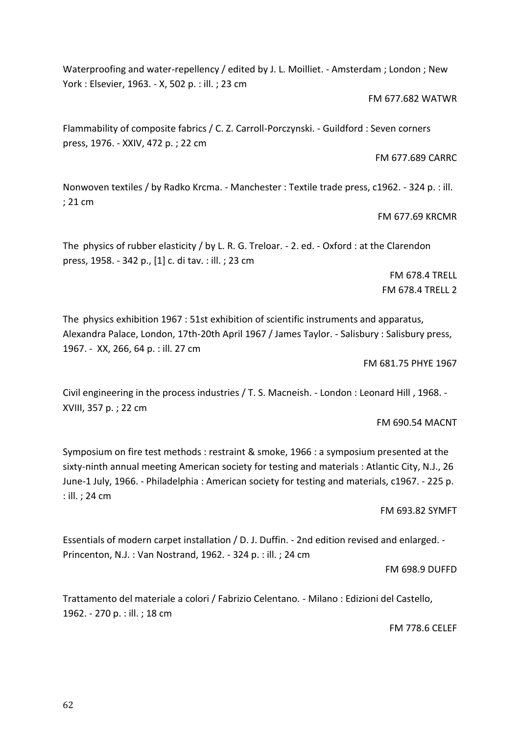Waterproofing and water-repellency / edited by J. L. Moilliet. - Amsterdam ; London ; New York : Elsevier, 1963. - X, 502 p. : ill. ; 23 cm

FM 677.682 WATWR

Flammability of composite fabrics / C. Z. Carroll-Porczynski. - Guildford : Seven corners press, 1976. - XXIV, 472 p. ; 22 cm

FM 677.689 CARRC

Nonwoven textiles / by Radko Krcma. - Manchester : Textile trade press, c1962. - 324 p. : ill. ; 21 cm

FM 677.69 KRCMR

The physics of rubber elasticity / by L. R. G. Treloar. - 2. ed. - Oxford : at the Clarendon press, 1958. - 342 p., [1] c. di tav. : ill. ; 23 cm

> FM 678.4 TRELL FM 678.4 TRELL 2

The physics exhibition 1967 : 51st exhibition of scientific instruments and apparatus, Alexandra Palace, London, 17th-20th April 1967 / James Taylor. - Salisbury : Salisbury press, 1967. - XX, 266, 64 p. : ill. 27 cm

FM 681.75 PHYE 1967

Civil engineering in the process industries / T. S. Macneish. - London : Leonard Hill , 1968. - XVIII, 357 p. ; 22 cm

FM 690.54 MACNT

Symposium on fire test methods : restraint & smoke, 1966 : a symposium presented at the sixty-ninth annual meeting American society for testing and materials : Atlantic City, N.J., 26 June-1 July, 1966. - Philadelphia : American society for testing and materials, c1967. - 225 p. : ill. ; 24 cm

FM 693.82 SYMFT

Essentials of modern carpet installation / D. J. Duffin. - 2nd edition revised and enlarged. - Princenton, N.J. : Van Nostrand, 1962. - 324 p. : ill. ; 24 cm

FM 698.9 DUFFD

Trattamento del materiale a colori / Fabrizio Celentano. - Milano : Edizioni del Castello, 1962. - 270 p. : ill. ; 18 cm

FM 778.6 CELEF